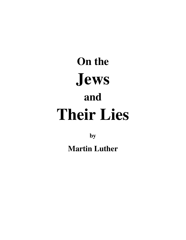# On the Jews and Their Lies

by

Martin Luther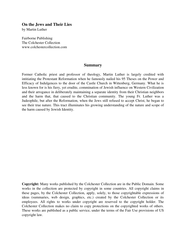### On the Jews and Their Lies

by Martin Luther

Fairborne Publishing The Colchester Collection [www.colchestercollection.com](http://www.colchestercollection.com/)

#### Summary

Former Catholic priest and professor of theology, Martin Luther is largely credited with intitiating the Protestant Reformation when he famously nailed his 95 Theses on the Power and Efficacy of Indulgences to the door of the Castle Church in Wittenberg, Germany. What he is less known for is his fiery, yet erudite, commination of Jewish influence on Western Civilization and their arrogance in deliberately maintaining a separate identity from their Christian neighbors and the harm that, that caused to the Christian community. The young Fr. Luther was a Judeophile, but after the Reformation, when the Jews still refused to accept Christ, he began to see their true nature. This tract illuminates his growing understanding of the nature and scope of the harm caused by Jewish Identity.

Copyright: Many works published by the Colchester Collection are in the Public Domain. Some works in the collection are protected by copyright in some countries. All copyright claims in these pages, by the Colchester Collection, apply, solely, to those copyrightable expressions of ideas (summaries, web design, graphics, etc.) created by the Colchester Collection or its employees. All rights to works under copyright are reserved to the copyright holder. The Colchester Collection makes no claim to copy protections on the copyrighted works of others. These works are published as a public service, under the terms of the Fair Use provisions of US copyright law.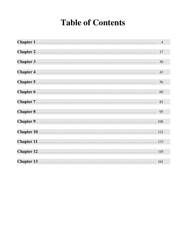# **Table of Contents**

| $\overline{4}$ |
|----------------|
|                |
| 17             |
|                |
| 30             |
|                |
| 43             |
|                |
| 56             |
|                |
| 69             |
|                |
| 82             |
|                |
|                |
|                |
|                |
|                |
|                |
|                |
|                |
|                |
|                |
|                |
|                |
|                |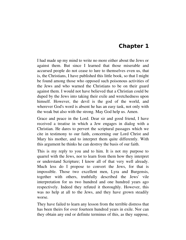# <span id="page-3-0"></span>**[Chapter 1](#page-3-0)**

I had made up my mind to write no more either about the Jews or against them. But since I learned that those miserable and accursed people do not cease to lure to themselves even us, that is, the Christians, I have published this little book, so that I might be found among those who opposed such poisonous activities of the Jews and who warned the Christians to be on their guard against them. I would not have believed that a Christian could be duped by the Jews into taking their exile and wretchedness upon himself. However, the devil is the god of the world, and wherever God's word is absent he has an easy task, not only with the weak but also with the strong. May God help us. Amen.

Grace and peace in the Lord. Dear sir and good friend, I have received a treatise in which a Jew engages in dialog with a Christian. He dares to pervert the scriptural passages which we cite in testimony to our faith, concerning our Lord Christ and Mary his mother, and to interpret them quite differently. With this argument he thinks he can destroy the basis of our faith.

This is my reply to you and to him. It is not my purpose to quarrel with the Jews, nor to learn from them how they interpret or understand Scripture; I know all of that very well already. Much less do I propose to convert the Jews, for that is impossible. Those two excellent men, Lyra and Burgensis, together with others, truthfully described the Jews' vile interpretation for us two hundred and one hundred years ago respectively. Indeed they refuted it thoroughly. However, this was no help at all to the Jews, and they have grown steadily worse.

They have failed to learn any lesson from the terrible distress that has been theirs for over fourteen hundred years in exile. Nor can they obtain any end or definite terminus of this, as they suppose,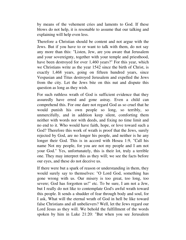by means of the vehement cries and laments to God. If these blows do not help, it is resonable to assume that our talking and explaining will help even less.

Therefore a Christian should be content and not argue with the Jews. But if you have to or want to talk with them, do not say any more than this: "Listen, Jew, are you aware that Jerusalem and your sovereignty, together with your temple and priesthood, have been destroyed for over 1,460 years?" For this year, which we Christians write as the year 1542 since the birth of Christ, is exactly 1,468 years, going on fifteen hundred years, since Vespasian and Titus destroyed Jerusalem and expelled the Jews from the city. Let the Jews bite on this nut and dispute this question as long as they wish.

For such ruthless wrath of God is sufficient evidence that they assuredly have erred and gone astray. Even a child can comprehend this. For one dare not regard God as so cruel that he would punish his own people so long, so terribly, so unmercifully, and in addition keep silent, comforting them neither with words nor with deeds, and fixing no time limit and no end to it. Who would have faith, hope, or love toward such a God? Therefore this work of wrath is proof that the Jews, surely rejected by God, are no longer his people, and neither is he any longer their God. This is in accord with Hosea 1:9, "Call his name Not my people, for you are not my people and I am not your God." Yes, unfortunately, this is their lot, truly a terrible one. They may interpret this as they will; we see the facts before our eyes, and these do not deceive us.

If there were but a spark of reason or understanding in them, they would surely say to themselves: "O Lord God, something has gone wrong with us. Our misery is too great, too long, too severe; God has forgotten us!" etc. To be sure, I am not a Jew, but I really do not like to contemplate God's awful wrath toward this people. It sends a shudder of fear through body and soul, for I ask, What will the eternal wrath of God in hell be like toward false Christians and all unbelievers? Well, let the Jews regard our Lord Jesus as they will. We behold the fulfillment of the words spoken by him in Luke 21:20: "But when you see Jerusalem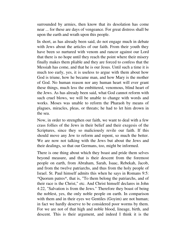surrounded by armies, then know that its desolation has come near ... for these are days of vengeance. For great distress shall be upon the earth and wrath upon this people.

In short, as has already been said, do not engage much in debate with Jews about the articles of our faith. From their youth they have been so nurtured with venom and rancor against our Lord that there is no hope until they reach the point where their misery finally makes them pliable and they are forced to confess that the Messiah has come, and that he is our Jesus. Until such a time it is much too early, yes, it is useless to argue with them about how God is triune, how he became man, and how Mary is the mother of God. No human reason nor any human heart will ever grant these things, much less the embittered, venomous, blind heart of the Jews. As has already been said, what God cannot reform with such cruel blows, we will be unable to change with words and works. Moses was unable to reform the Pharaoh by means of plagues, miracles, pleas, or threats; he had to let him drown in the sea.

Now, in order to strengthen our faith, we want to deal with a few crass follies of the Jews in their belief and their exegesis of the Scriptures, since they so maliciously revile our faith. If this should move any Jew to reform and repent, so much the better. We are now not talking with the Jews but about the Jews and their dealings, so that our Germans, too, might be informed.

There is one thing about which they boast and pride them selves beyond measure, and that is their descent from the foremost people on earth, from Abraham, Sarah, Isaac, Rebekah, Jacob, and from the twelve patriarchs, and thus from the holy people of Israel. St. Paul himself admits this when he says in Romans 9:5: \*Quorum patres\*, that is, "To them belong the patriarchs, and of their race is the Christ," etc. And Christ himself declares in John 4:22, "Salvation is from the Jews." Therefore they boast of being the noblest, yes, the only noble people on earth. In comparison with them and in their eyes we Gentiles (Goyim) are not human; in fact we hardly deserve to be considered poor worms by them. For we are not of that high and noble blood, lineage, birth, and descent. This is their argument, and indeed I think it is the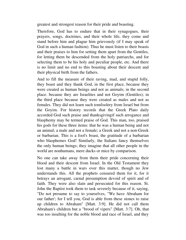greatest and strongest reason for their pride and boasting.

Therefore, God has to endure that in their synagogues, their prayers, songs, doctrines, and their whole life, they come and stand before him and plague him grievously (if I may speak of God in such a human fashion). Thus he must listen to their boasts and their praises to him for setting them apart from the Gentiles, for letting them be descended from the holy patriarchs, and for selecting them to be his holy and peculiar people, etc. And there is no limit and no end to this boasting about their descent and their physical birth from the fathers.

And to fill the measure of their raving, mad, and stupid folly, they boast and they thank God, in the first place, because they were created as human beings and not as animals; in the second place. because they are Israelites and not Goyim (Gentiles); in the third place because they were created as males and not as females. They did not learn such tomfoolery from Israel but from the Goyim. For history records that the Greek Plato daily accorded God such praise and thanksgivingif such arrogance and blasphemy may be termed praise of God. This man, too, praised his gods for these three items: that he was a human being and not an animal; a male and not a female; a Greek and not a non-Greek or barbarian. This is a fool's boast, the gratitude of a barbarian who blasphemes God! Similarly, the Italians fancy themselves the only human beings; they imagine that all other people in the world are nonhumans, mere ducks or mice by comparison.

No one can take away from them their pride concerning their blood and their descent from Israel. In the Old Testament they lost many a battle in wars over this matter, though no Jew understands this. All the prophets censured them for it, for it betrays an arrogant, carnal presumption devoid of spirit and of faith. They were also slain and persecuted for this reason. St. John the Baptist took them to task severely because of it, saying, "Do not presume to say to yourselves, "We have Abraham for our father'; for I tell you, God is able from these stones to raise up children to Abraham" [Matt. 3:9]. He did not call them Abraham's children but a "brood of vipers" [Matt. 3:7]. Oh, that was too insulting for the noble blood and race of Israel, and they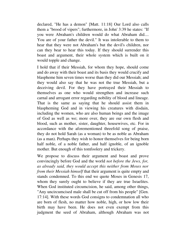declared, "He has a demon" [Matt. 11:18] Our Lord also calls them a "brood of vipers"; furthermore, in John' 3:39 he states: "If you were Abraham's children would do what Abraham did.... You are of your father the devil." It was intolerable to them to hear that they were not Abraham's but the devil's children, nor can they bear to hear this today. If they should surrender this boast and argument, their whole system which is built on it would topple and change.

I hold that if their Messiah, for whom they hope, should come and do away with their boast and its basis they would crucify and blaspheme him seven times worse than they did our Messiah; and they would also say that he was not the true Messiah, but a deceiving devil. For they have portrayed their Messiah to themselves as one who would strengthen and increase such carnal and arrogant error regarding nobility of blood and lineage. That is the same as saying that he should assist them in blaspheming God and in viewing his creatures with disdain, including the women, who are also human beings and the image of God as well as we; more over, they are our own flesh and blood, such as mother, sister, daughter, housewives, etc. For in accordance with the aforementioned threefold song of praise, they do not hold Sarah (as a woman) to be as noble as Abraham (as a man). Perhaps they wish to honor themselves for being born half noble, of a noble father, and half ignoble, of an ignoble mother. But enough of this tomfoolery and trickery.

We propose to discuss their argument and boast and prove convincingly before God and the world *not before the Jews, for, as already said, they would accept this neither from Moses nor from their Messiah himself* that their argument is quite empty and stands condemned. To this end we quote Moses in Genesis 17, whom they surely ought to believe if they are true Israelites. When God instituted circumcision, he said, among other things, "Any uncircumcised male shall be cut off from his people" [Gen. 17:14]. With these words God consigns to condemnation all who are born of flesh, no matter how noble, high, or how low their birth may have been. He does not even exempt from this judgment the seed of Abraham, although Abraham was not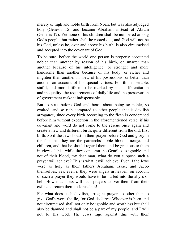merely of high and noble birth from Noah, but was also adjudged holy (Genesis 15) and became Abraham instead of Abram (Genesis 17). Yet none of his children shall be numbered among God's people, but rather shall he rooted out, and God will not be his God, unless he, over and above his birth, is also circumcised and accepted into the covenant of God.

To be sure, before the world one person is properly accounted nobler than another by reason of his birth, or smarter than another because of his intelligence, or stronger and more handsome than another because of his body, or richer and mightier than another in view of his possessions, or better than another on account of his special virtues. For this miserable, sinful, and mortal life must be marked by such differentiation and inequality; the requirements of daily life and the preservation of government make it indispensable.

But to strut before God and boast about being so noble, so exalted, and so rich compared to other people that is devilish arrogance, since every birth according to the flesh is condemned before him without exception in the aforementioned verse, if his covenant and word do not come to the rescue once again and create a new and different birth, quite different from the old, first birth. So if the Jews boast in their prayer before God and glory in the fact that they are the patriarchs' noble blood, lineage, and children, and that he should regard them and be gracious to them in view of this, while they condemn the Gentiles as ignoble and not of their blood, my dear man, what do you suppose such a prayer will achieve? This is what it will achieve: Even if the Jews were as holy as their fathers Abraham, Isaac, and Jacob themselves, yes, even if they were angels in heaven, on account of such a prayer they would have to be hurled into the abyss of hell. How much less will such prayers deliver them from their exile and return them to Jerusalem!

For what does such devilish, arrogant prayer do other than to give God's word the lie, for God declares: Whoever is born and not circumcised shall not only he ignoble and worthless but shall also be damned and shall not be a part of my people, and I will not be his God. The Jews rage against this with their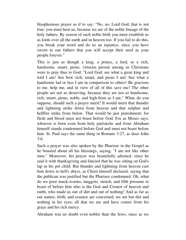blasphemous prayer as if to say: "No, no, Lord God, that is not true; you must hear us, because we are of the noble lineage of the holy fathers. By reason of such noble birth you must establish us as lords over all the earth and in heaven too. If you fail to do this, you break your word and do us an injustice, since you have sworn to our fathers that you will accept their seed as your people forever."

This is just as though a king, a prince, a lord, or a rich, handsome, smart, pious, virtuous person among us Christians were to pray thus to God: "Lord God, see what a great king and lord I am! See how rich, smart, and pious I am! See what a handsome lad or lass I am in comparison to others! Be gracious to me, help me, and in view of all of this save me! The other people are not as deserving, because they are not so handsome, rich, smart, pious, noble, and high-born as I am." What, do you suppose, should such a prayer merit? It would merit that thunder and lightning strike down from heaven and that sulphur and hellfire strike from below. That would be just punishment; for flesh and blood must not boast before God. For as Moses says, whoever is born even from holy patriarchs and from Abraham himself stands condemned before God and must not boast before him. St. Paul says the same thing in Romans 3:27, as does John 3:6.

Such a prayer was also spoken by the Pharisee in the Gospel as he boasted about all his blessings, saying, "I am not like other men." Moreover, his prayer was beautifully adorned, since he said it with thanksgiving and fancied that he was sitting on God's lap as his pet child. But thunder and lightning from heaven cast him down to hell's abyss, as Christ himself declared, saying that the publican was justified but the Pharisee condemned. Oh, what do we poor muckworms, maggots, stench, and filth presume to boast of before him who is the God and Creator of heaven and earth, who made us out of dirt and out of nothing! And as far as our nature, birth, and essence are concerned, we are but dirt and nothing in his eyes; all that we are and have comes from his grace and his rich mercy.

Abraham was no doubt even nobler than the Jews, since as we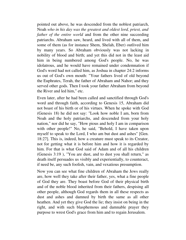pointed out above, he was descended from the noblest patriarch, Noah *who in his day was the greatest and oldest lord, priest, and father of the entire world* and from the other nine succeeding patriarchs. Abraham saw, heard, and lived with all of them, and some of them (as for instance Shem, Shelah, Eber) outlived him by many years. So Abraham obviously was not lacking in nobility of blood and birth; and yet this did not in the least aid him in being numbered among God's people. No, he was idolatrous, and he would have remained under condemnation if God's word had not called him, as Joshua in chapter 24:2 informs us out of God's own mouth: "Your fathers lived of old beyond the Euphrates, Terah, the father of Abraham and Nahor; and they served other gods. Then I took your father Abraham from beyond the River and led him," etc.

Even later, after he had been called and sanctified through God's word and through faith, according to Genesis 15, Abraham did not boast of his birth or of his virtues. When he spoke with God (Genesis 18) he did not say: "Look how noble I am, born from Noah and the holy patriarchs, and descended from your holy nation," nor did he say, "How pious and holy I am in comparison with other people!" No, he said, "Behold, I have taken upon myself to speak to the Lord, I who am but dust and ashes" [Gen. 18:27]. This is, indeed, how a creature must speak to its Creator, not for getting what it is before him and how it is regarded by him. For that is what God said of Adam and of all his children (Genesis 3:19 ), "You are dust, and to dust you shall return," as death itself persuades us visibly and experientially, to counteract, if need be, any such foolish, vain, and vexatious presumption.

Now you can see what fine children of Abraham the Jews really are, how well they take after their father, yes, what a fine people of God they are. They boast before God of their physical birth and of the noble blood inherited from their fathers, despising all other people, although God regards them in all these respects as dust and ashes and damned by birth the same as all other heathen. And yet they give God the lie; they insist on being in the right, and with such blasphemous and damnable prayer they purpose to wrest God's grace from him and to regain Jerusalem.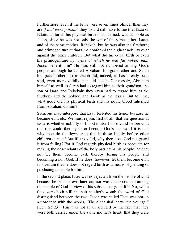Furthermore, even if the Jews were seven times blinder than they are *if that were possible* they would still have to see that Esau or Edom, as far as his physical birth is concerned, was as noble as Jacob, since he was not only the son of the same father, Isaac, and of the same mother, Rebekah, but he was also the firstborn; and primogeniture at that time conferred the highest nobility over against the other children. But what did his equal birth or even his primogeniture *by virtue of which he was far nobler than Jacob* benefit him? He was still not numbered among God's people, although he called Abraham his grandfather and Sarah his grandmother just as Jacob did, indeed, as has already been said, even more validly than did Jacob. Conversely, Abraham himself as well as Sarah had to regard him as their grandson, the son of Isaac and Rebekah; they even had to regard him as the firstborn and the nobler, and Jacob as the lesser. But tell me, what good did his physical birth and his noble blood inherited from Abraham do him?

Someone may interpose that Esau forfeited his honor because he became evil, etc. We must rejoin, first of all, that the question at issue is whether nobility of blood in itself is so valid before God that one could thereby be or become God's people. If it is not, why then do the Jews exalt this birth so highly before other children of men! But if it is valid, why then does God not guard it from falling? For if God regards physical birth as adequate for making the descendants of the holy patriarchs his people, he dare not let them become evil, thereby losing his people and becoming a non God. If he does, however, let them become evil, it is certain that he does not regard birth as a means of yielding or producing a people for him.

In the second place, Esau was not ejected from the people of God because he became evil later on, nor was Jacob counted among the people of God in view of his subsequent good life. No, while they were both still in their mother's womb the word of God distinguishd between the two: Jacob was called Esau was not, in accordance with the words, "The elder shall serve the younger" [Gen. 25:23]. This was not at all affected by the fact that they were both carried under the same mother's heart; that they were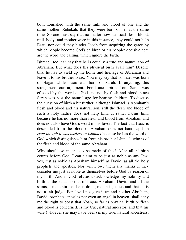both nourished with the same milk and blood of one and the same mother, Rebekah; that they were born of her at the same time. So one must say that no matter how identical flesh, blood, milk body, and mother were in this instance, they could not help Esau, nor could they hinder Jacob from acquiring the grace by which people become God's children or his people; decisive here are the word and calling, which ignore the birth.

Ishmael, too, can say that he is equally a true and natural son of Abraham. But what does his physical birth avail him? Despite this, he has to yield up the home and heritage of Abraham and leave it to his brother Isaac. You may say that Ishmael was born of Hagar while Isaac was born of Sarah. If anything, this strengthens our argument. For Isaac's birth from Sarah was effected by the word of God and not by flesh and blood, since Sarah was past the natural age for bearing children. To discuss the question of birth a bit further, although Ishmael is Abraham's flesh and blood and his natural son, still the flesh and blood of such a holy father does not help him. It rather harms him, because he has no more than flesh and blood from Abraham and does not also have God's word in his favor. The fact that Isaac is descended from the blood of Abraham does not handicap him *even though it was useless to Ishmael* because he has the word of God which distinguishes him from his brother Ishmael, who is of the flesh and blood of the same Abraham.

Why should so much ado be made of this? After all, if birth counts before God, I can claim to be just as noble as any Jew, yes, just as noble as Abraham himself, as David, as all the holy prophets and apostles. Nor will I owe them any thanks if they consider me just as noble as themselves before God by reason of my birth. And if God refuses to acknowledge my nobility and birth as the equal to that of Isaac, Abraham, David, and all the saints, I maintain that he is doing me an injustice and that he is not a fair judge. For I will not give it up and neither Abraham, David, prophets, apostles nor even an angel in heaven, shall deny me the right to boast that Noah, so far as physical birth or flesh and blood is concerned, is my true, natural ancestor, and that his wife (whoever she may have been) is my true, natural ancestress;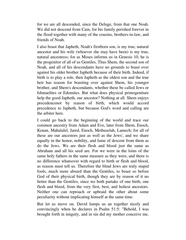for we are all descended, since the Deluge, from that one Noah. We did not descend from Cain, for his family perished forever in the flood together with many of the cousins, brothers-in-law, and friends of Noah.

I also boast that Japheth, Noah's firstborn son, is my true, natural ancestor and his wife (whoever she may have been) is my true, natural ancestress; for as Moses informs us in Genesis 10, he is the progenitor of all of us Gentiles. Thus Shem, the second son of Noah, and all of his descendants have no grounds to boast over against his older brother Japheth because of their birth. Indeed, if birth is to play a role, then Japheth as the oldest son and the true heir has reason for boasting over against Shem, his younger brother, and Shem's descendants, whether these be called Jews or Ishmaelites or Edomites. But what does physical primogeniture help the good Japheth, our ancestor? Nothing at all. Shem enjoys precedencenot by reason of birth, which would accord precedence to Japheth, but because God's word and calling are the arbiter here.

I could go back to the beginning of the world and trace our common ancestry from Adam and Eve, later from Shem, Enoch, Kenan, Mahalalel, Jared, Enoch, Methuselah, Lamech; for all of these are our ancestors just as well as the Jews', and we share equally in the honor, nobility, and fame of descent from them as do the Jews. We are their flesh and blood just the same as Abraham and all his seed are. For we were in the loins of the same holy fathers in the same measure as they were, and there is no difference whatsover with regard to birth or flesh and blood, as reason must tell us. Therefore the blind Jews are truly stupid fools, much more absurd than the Gentiles, to boast so before God of their physical birth, though they are by reason of it no better than the Gentiles, since we both partake of one birth, one flesh and blood, from the very first, best, and holiest ancestors. Neither one can reproach or upbraid the other about some peculiarity without implicating himself at the same time.

But let us move on. David lumps us an together nicely and convincingly when he declares in Psalm 51:5: "Behold, I was brought forth in iniquity, and in sin did my mother conceive me.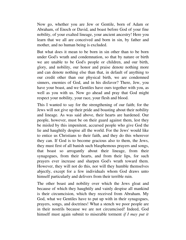Now go, whether you are Jew or Gentile, born of Adam or Abraham, of Enoch or David, and boast before God of your fine nobility, of your exalted lineage, your ancient ancestry! Here you learn that we all are conceived and born in sin, by father and mother, and no human being is excluded.

But what does it mean to be born in sin other than to be born under God's wrath and condemnation, so that by nature or birth we are unable to be God's people or children, and our birth, glory, and nobility, our honor and praise denote nothing more and can denote nothing else than that, in default of anything to our credit other than our physical birth, we are condemned sinners, enemies of God, and in his disfavor? There, Jew, you have your boast, and we Gentiles have ours together with you, as well as you with us. Now go ahead and pray that God might respect your nobility, your race, your flesh and blood.

This I wanted to say for the strengthening of our faith; for the Jews will not give up their pride and boasting about their nobility and lineage. As was said above, their hearts are hardened. Our people, however, must be on their guard against them, lest they be misled by this impenitent, accursed people who give God the lie and haughtily despise all the world. For the Jews' would like to entice us Christians to their faith, and they do this wherever they can. If God is to become gracious also to them, the Jews, they must first of all banish such blasphemous prayers and songs, that boast so arrogantly about their lineage, from their synagogues, from their hearts, and from their lips, for such prayers ever increase and sharpen God's wrath toward them. However, they will not do this, nor will they humble themselves abjectly, except for a few individuals whom God draws unto himself particularly and delivers from their terrible ruin.

The other boast and nobility over which the Jews gloat and because of which they haughtily and vainly despise all mankind is their circumcision, which they received from Abraham. My God, what we Gentiles have to put up with in their synagogues, prayers, songs, and doctrines! What a stench we poor people are in their nostrils because we are not circumcised! Indeed, God himself must again submit to miserable torment *if I may put it*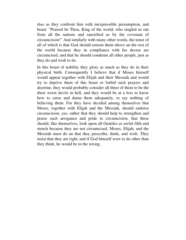*thus* as they confront him with inexpressible presumption, and boast: "Praised be Thou, King of the world, who singled us out from all the nations and sanctified us by the covenant of circumcision!" And similarly with many other words, the tenor of all of which is that God should esteem them above an the rest of the world because they in compliance with his decree are circumcised, and that he should condemn all other people, just as they do and wish to do.

In this boast of nobility they glory as much as they do in their physical birth. Consequently I believe that if Moses himself would appear together with Elijah and their Messiah and would try to deprive them of this boast or forbid such prayers and doctrine, they would probably consider all three of them to be the three worst devils in hell, and they would be at a loss to know how to curse and damn them adequately, to say nothing of believing them. For they have decided among themselves that Moses, together with Elijah and the Messiah, should endorse circumcision, yes, rather that they should help to strengthen and praise such arrogance and pride in circumcision, that these should, like themselves, look upon all Gentiles as awful filth and stench because they are not circumcised. Moses, Elijah, and the Messiah must do an that they prescribe, think, and wish. They insist that they are right, and if God himself were to do other than they think, he would be in the wrong.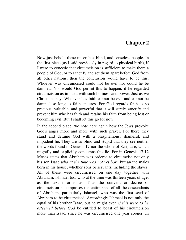## <span id="page-16-0"></span>[Chapter 2](#page-16-0)

Now just behold these miserable, blind, and senseless people. In the first place (as I said previously in regard to physical birth), if I were to concede that circumcision is sufficient to make them a people of God, or to sanctify and set them apart before God from all other nations, then the conclusion would have to be this: Whoever was circumcised could not be evil nor could he be damned. Nor would God permit this to happen, if he regarded circumcision as imbued with such holiness and power. Just as we Christians say: Whoever has faith cannot be evil and cannot be damned so long as faith endures. For God regards faith as so precious, valuable, and powerful that it will surely sanctify and prevent him who has faith and retains his faith from being lost or becoming evil. But I shall let this go for now.

In the second place, we note here again how the Jews provoke God's anger more and more with such prayer. For there they stand and defame God with a blasphemous, shameful, and impudent lie. They are so blind and stupid that they see neither the words found in Genesis 17 nor the whole of Scripture, which mightily and explicitly condemns this lie. For in Genesis 17:12 Moses states that Abraham was ordered to circumcise not only his son Isaac *who at the time was not yet born* but an the males born in his house, whether sons or servants, including the slaves. All of these were circumcised on one day together with Abraham; Ishmael too, who at the time was thirteen years of age, as the text informs us. Thus the convent or decree of circumcision encompasses the entire seed of all the descendants of Abraham, particularly Ishmael, who was the first seed of Abraham to be circumcised. Accordingly Ishmael is not only the equal of his brother Isaac, but he might even *if this were to be esteemed before God* be entitled to boast of his circumcision more than Isaac, since he was circumcised one year sooner. In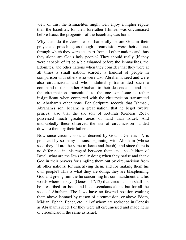view of this, the Ishmaelites might well enjoy a higher repute than the Israelites, for their forefather Ishmael was circumcised before Isaac, the progenitor of the Israelites, was born.

Why then do the Jews lie so shamefully before God in their prayer and preaching, as though circumcision were theirs alone, through which they were set apart from all other nations and thus they alone are God's holy people? They should really (if they were capable of it) be a bit ashamed before the Ishmaelites, the Edomites, and other nations when they consider that they were at all times a small nation, scarcely a handful of people in comparison with others who were also Abraham's seed and were also circumcised, and who indubitably transmitted such a command of their father Abraham to their descendants; and that the circumcision transmitted to the one son Isaac is rather insignificant when compared with the circumcision transmitted to Abraham's other sons. For Scripture records that Ishmael, Abraham's son, became a great nation, that he begot twelve princes, also that the six son of Keturah (Genesis  $25:1$ ), possessed much greater areas of land than Israel. And undoubtedly these observed the rite of circumcision handed down to them by their fathers.

Now since circumcision, as decreed by God in Genesis 17, is practiced by so many nations, beginning with Abraham (whose seed they all are the same as Isaac and Jacob), and since there is no difference in this regard between them and the children of Israel, what are the Jews really doing when they praise and thank God in their prayers for singling them out by circumcision from all other nations, for sanctifying them, and for making them his own people? This is what they are doing: they are blaspheming God and giving him the lie concerning his commandment and his words where he says (Genesis 17:12) that circumcision shall not be prescribed for Isaac and his descendants alone, but for all the seed of Abraham. The Jews have no favored position exalting them above Ishmael by reason of circumcision, or above Edom, Midian, Ephah, Epher, etc., all of whom are reckoned in Genesis as Abraham's seed. For they were all circumcised and made heirs of circumcision, the same as Israel.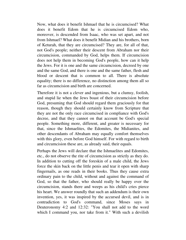Now, what does it benefit Ishmael that he is circumcised? What does it benefit Edom that he is circumcised Edom who, moreover, is descended from Isaac, who was set apart, and not from Ishmael? What does it benefit Midian and his brothers, born of Keturah, that they are circumcised? They are, for all of that, not God's people; neither their descent from Abraham nor their circumcision, commanded by God, helps them. If circumcision does not help them in becoming God's people, how can it help the Jews. For it is one and the same circumcision, decreed by one and the same God, and there is one and the same father, flesh and blood or descent that is common to all. There is absolute equality; there is no difference, no distinction among them all so far as circumcision and birth are concerned.

Therefore it is not a clever and ingenious, but a clumsy, foolish, and stupid lie when the Jews boast of their circumcision before God, presuming that God should regard them graciously for that reason, though they should certainly know from Scripture that they are not the only race circumcised in compliance with God's decree, and that they cannot on that account be God's special people. Something more, different, and greater is necessary for that, since the Ishmaelites, the Edomites, the Midianites, and other descendants of Abraham may equally comfort themselves with this glory, even before God himself. For with regard to birth and circumcision these are, as already said, their equals.

Perhaps the Jews will declare that the Ishmaelites and Edomites, etc., do not observe the rite of circumcision as strictly as they do. In addition to cutting off the foreskin of a male child, the Jews force the skin back on the little penis and tear it open with sharp fingernails, as one reads in their books. Thus they cause extra ordinary pain to the child, without and against the command of God, so that the father, who should really be happy over the circumcision, stands there and weeps as his child's cries pierce his heart. We answer roundly that such an addendum is their own invention, yes, it was inspired by the accursed devil, and is in contradiction to God's command, since Moses says in Deuteronomy 4:2 and 12:32: "You shall not add to the word which I command you, nor take from it." With such a devilish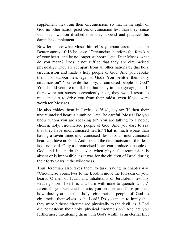supplement they ruin their circumcision, so that in the sight of God no other nation practices circumcision less than they, since with such wanton disobedience they append and practice this damnable supplement

Now let us see what Moses himself says about circumcision. In Deuteronomy 10:16 he says: "Circumcise therefore the foreskin of your heart, and be no longer stubborn," etc. Dear Moses, what do you mean? Does it not suffice that they are circumcised physically? They are set apart from all other nations by this holy circumcision and made a holy people of God. And you rebuke them for stubbornness against God? You belittle their holy circumcision? You revile the holy, circumcised people of God? You should venture to talk like that today in their synagogues! If there were not stones conveniently near, they would resort to mud and dirt to drive you from their midst, even if you were worth ten Moseses.

He also chides them in Leviticus 26:41, saying: 'If then their uncircumcised heart is humbled," etc. Be careful, Moses! Do you know whom you are speaking to? You are talking to a noble, chosen, holy, circumcised people of God. And you dare to say that they have uncircumcised hearts? That is much worse than having a seven-times-uncircumcised flesh; for an uncircumcised heart can have no God. And to such the circumcision of the flesh is of no avail. Only a circumcised heart can produce a people of God, and it can do this even when physical circumcision is absent or is impossible, as it was for the children of Israel during their forty years in the wilderness.

Thus Jeremiah also takes them to task, saying in chapter 4:4: "Circumcise yourselves to the Lord, remove the foreskin of your hearts, O men of Judah and inhabitants of Jerusalem; lest my wrath go forth like fire, and burn with none to quench it. . . . " Jeremiah, you wretched heretic, you seducer and false prophet, how dare you tell that holy, circumcised people of God to circumcise themselves to the Lord? Do you mean to imply that they were hitherto circumcised physically to the devil, as if God did not esteem their holy, physical circumcision? And are you furthermore threatening them with God's wrath, as an eternal fire,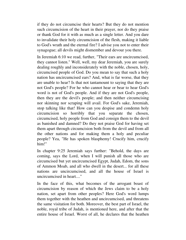if they do not circumcise their hearts? But they do not mention such circumcision of the heart in their prayer, nor do they praise or thank God for it with as much as a single letter. And you dare to invalidate their holy circumcision of the flesh, making it liable to God's wrath and the eternal fire? I advise you not to enter their synagogue; all devils might dismember and devour you there.

In Jeremiah 6:10 we read, further, "Their ears are uncircumcised, they cannot listen." Well, well, my dear Jeremiah, you are surely dealing roughly and inconsiderately with the noble, chosen, holy, circumcised people of God. Do you mean to say that such a holy nation has uncircumcised ears? And, what is far worse, that they are unable to hear? Is that not tantamount to saying that they are not God's people? For he who cannot hear or bear to hear God's word is not of God's people. And if they are not God's people, then they are the devil's people; and then neither circumcising nor skinning nor scraping will avail. For God's sake, Jeremiah, stop talking like that! How can you despise and condemn holy circumcision so horribly that you separate the chosen, circumcised, holy people from God and consign them to the devil as banished and damned? Do they not praise God for having set them apart through circumcision both from the devil and from all the other nations and for making them a holy and peculiar people? Yea, "He has spoken blasphemy! Crucify him, crucify him!"

In chapter 9:25 Jeremiah says further: "Behold, the days are coming, says the Lord, when I will punish all those who are circumcised but yet uncircumcised Egypt, Judah, Edom, the sons of Ammon Moab, and all who dwell in the desert... for all these nations are uncircumcised, and all the house of Israel is uncircumcised in heart...."

In the face of this, what becomes of the arrogant boast of circumcision by reason of which the Jews claim to be a holy nation, set apart from other peoples? Here God's word lumps them together with the heathen and uncircumcised, and threatens the same visitation for both. Moreover, the best part of Israel, the noble, royal tribe of Judah, is mentioned here, and after that the entire house of Israel. Worst of all, he declares that the heathen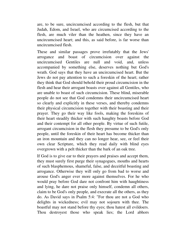are, to be sure, uncircumcised according to the flesh, but that Judah, Edom, and Israel, who are circumcised according to the flesh, are much viler than the heathen, since they have an uncircumcised heart; and this, as said before, is far worse than uncircumcised flesh.

These and similar passages prove irrefutably that the Jews' arrogance and boast of circumcision over against the uncircumcised Gentiles are null and void, and, unless accompanied by something else, deserves nothing but God's wrath. God says that they have an uncircumcised heart. But the Jews do not pay attention to such a foreskin of the heart; rather they think that God should behold their proud circumcision in the flesh and hear their arrogant boasts over against all Gentiles, who are unable to boast of such circumcision. These blind, miserable people do not see that God condemns their uncircumcised heart so clearly and explicitly in these verses, and thereby condemns their physical circumcision together with their boasting and their prayer. They go their way like fools, making the foreskins of their heart steadily thicker with such haughty boasts before God and their contempt for all other people. By virtue of such futile, arrogant circumcision in the flesh they presume to be God's only people, until the foreskin of their heart has become thicker than an iron mountain and they can no longer hear, see, or feel their own clear Scripture, which they read daily with blind eyes overgrown with a pelt thicker than the bark of an oak tree.

If God is to give ear to their prayers and praises and accept them, they must surely first purge their synagogues, mouths and hearts of such blasphemous, shameful, false, and deceitful boasting and arrogance. Otherwise they will only go from bad to worse and arouse God's anger ever more against themselves. For he who would pray before God dare not confront him with haughtiness and lying, he dare not praise only himself, condemn all others, claim to be God's only people, and execrate all the others, as they do. As David says in Psalm 5:4: "For thou are not a God who delights in wickedness; evil may not sojourn with thee. The boastful may not stand before thy eyes; thou hatest all evildoers. Thou destroyest those who speak lies; the Lord abhors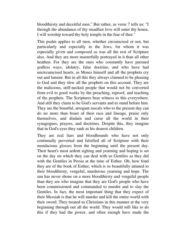bloodthirsty and deceitful men." But rather, as verse 7 tells us: "I through the abundance of thy steadfast love will enter thy house, I will worship toward thy holy temple in the fear of thee."

This psalm applies to all men, whether circumcised or not, but particularly and especially to the Jews, for whom it was especially given and composed as was all the rest of Scripture also. And they are more masterfully portrayed in it than all other heathen. For they are the ones who constantly have pursued godless ways, idolatry, false doctrine, and who have had uncircumcised hearts, as Moses himself and all the prophets cry out and lament. But in all this they always claimed to be pleasing to God and they slew all the prophets on this account. They are the malicious, stiff-necked people that would not be converted from evil to good works by the preaching, reproof, and teaching of the prophets. The Scriptures bear witness to this everywhere. And still they claim to be God's servants and to stand before him. They are the boastful, arrogant rascals who to the present day can do no more than boast of their race and lineage, praise only themselves, and disdain and curse all the world in their synagogues, prayers, and doctrines. Despite this, they imagine that in God's eyes they rank as his dearest children.

They are real liars and bloodhounds who have not only continually perverted and falsified all of Scripture with their mendacious glosses from the beginning until the present day. Their heart's most ardent sighing and yearning and hoping is set on the day on which they can deal with us Gentiles as they did with the Gentiles in Persia at the time of Esther. Oh, how fond they are of the book of Esther, which is so beautifully attuned to their bloodthirsty, vengeful, murderous yearning and hope. The sun has never shone on a more bloodthirsty and vengeful people than they are who imagine that they are God's people who have been commissioned and commanded to murder and to slay the Gentiles. In fact, the most important thing that they expect of their Messiah is that he will murder and kill the entire world with their sword. They treated us Christians in this manner at the very beginning through out all the world. They would still like to do this if they had the power, and often enough have made the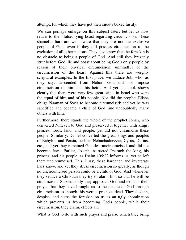attempt, for which they have got their snouts boxed lustily.

We can perhaps enlarge on this subject later; but let us now return to their false, lying boast regarding circumcision. These shameful liars are well aware that they are not the exclusive people of God, even if they did possess circumcision to the exclusion of all other nations. They also know that the foreskin is no obstacle to being a people of God. And still they brazenly strut before God, lie and boast about being God's only people by reason of their physical circumcision, unmindful of the circumcision of the heart. Against this there are weighty scriptural examples. In the first place, we adduce Job, who, as they say, descended from Nahor. God did not impose circumcision on him and his heirs. And yet his book shows clearly that there were very few great saints in Israel who were the equal of him and of his people. Nor did the prophet Elisha oblige Naaman of Syria to become circumcised; and yet he was sanctified and became a child of God, and undoubtedly many others with him.

Furthermore, there stands the whole of the prophet Jonah, who converted Nineveh to God and preserved it together with kings, princes, lords, land, and people, yet did not circumcise these people. Similarly, Daniel converted the great kings and peoples of Babylon and Persia, such as Nebuchadnezzar, Cyrus, Darius, etc., and yet they remained Gentiles, uncircumcised, and did not become Jews. Earlier, Joseph instructed Pharaoh the king, his princes, and his people, as Psalm 105:22 informs us, yet he left them uncircumcised. This, I say, these hardened and inveterate liars know, and yet they stress circumcision so greatly, as though no uncircumcised person could be a child of God. And whenever they seduce a Christian they try to alarm him so that he will be circumcised. Subsequently they approach God and exult in their prayer that they have brought us to the people of God through circumcision as though this were a precious deed. They disdain, despise, and curse the foreskin on us as an ugly abomination which prevents us from becoming God's people, while their circumcision, they claim, effects all.

What is God to do with such prayer and praise which they bring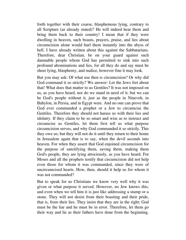forth together with their coarse, blasphemous lying, contrary to all Scripture (as already stated)? He will indeed hear them and bring them back to their country! I mean that if they were dwelling in heaven, such boasts, prayers, praise, and lies about circumcision alone would hurl them instantly into the abyss of hell. I have already written about this against the Sabbatarians. Therefore, dear Christian, be on your guard against such damnable people whom God has permitted to sink into such profound abominations and lies, for all they do and say must be sheer lying, blasphemy, and malice, however fine it may look.

But you may ask: Of what use then is circumcision? Or why did God command it so strictly? We answer: Let the Jews fret about that! What does that matter to us Gentiles? It was not imposed on us, as you have heard, nor do we stand in need of it, but we can be God's people without it, just as the people in Nineveh, in Babylon, in Persia, and in Egypt were. And no one can prove that God ever commanded a prophet or a Jew to circumcise the Gentiles. Therefore they should not harass us with their lies and idolatry. If they claim to be so smart and wise as to instruct and circumcise us Gentiles, let them first tell us what purpose circumcision serves, and why God commanded it so strictly. This they owe us; but they will not do it until they return to their home in Jerusalem again that is to say, when the devil ascends into heaven. For when they assert that God enjoined circumcision for the purpose of sanctifying them, saving them, making them God's people, they are lying atrociously, as you have heard. For Moses and all the prophets testify that circumcision did not help even those for whom it was commanded, since they were of uncircumcised hearts. How, then, should it help us for whom it was not commanded?

But to speak for us Christians we know very well why it was given or what purpose it served. However, no Jew knows this, and even when we tell him it is just like addressing a stump or a stone. They will not desist from their boasting and their pride, that is, from their lies. They insist that they are in the right; God must be the liar and he must be in error. Therefore, let them go their way and lie as their fathers have done from the beginning.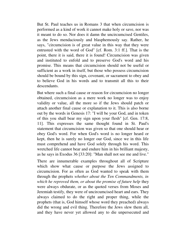But St. Paul teaches us in Romans 3 that when circumcision is performed as a kind of work it cannot make holy or save, nor was it meant to do so. Nor does it damn the uncircumcised Gentiles, as the Jews mendaciously and blasphemously say. Rather, he says, "circumcision is of great value in this way that they were entrusted with the word of God" [cf. Rom. 3:1 ff.]. That is the point, there it is said, there it is found! Circumcision was given and instituted to enfold and to preserve God's word and his promise. This means that circumcision should not be useful or sufficient as a work in itself, but those who possess circumcision should be bound by this sign, covenant, or sacrament to obey and to believe God in his words and to transmit all this to their descendants.

But where such a final cause or reason for circumcision no longer obtained, circumcision as a mere work no longer was to enjoy validity or value, all the more so if the Jews should patch or attach another final cause or explanation to it. This is also borne out by the words in Genesis 17: "I will be your God, and in token of this you shall bear my sign upon your flesh" [cf. Gen. 17:8, 11]. This expresses the same thought found in St. Paul's statement that circumcision was given so that one should hear or obey God's word. For when God's word is no longer heard or kept, then he is surely no longer our God, since we in this life must comprehend and have God solely through his word. This wretched life cannot bear and endure him in his brilliant majesty, as he says in Exodus 36 [33:20]: "Man shall not see me and live."

There are innumerable examples throughout all of Scripture which show what cause or purpose the Jews assigned to circumcision. For as often as God wanted to speak with them through the prophets *whether about the Ten Commandments, in which he reproved them, or about the promise of future help* they were always obdurate, or as the quoted verses from Moses and Jeremiah testify, they were of uncircumcised heart and ears. They always claimed to do the right and proper thing, while the prophets (that is, God himself whose word they preached) always did the wrong and evil thing. Therefore the Jews slew them all, and they have never yet allowed any to die unpersecuted and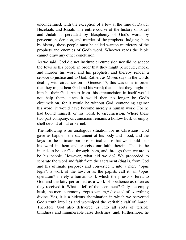uncondemned, with the exception of a few at the time of David, Hezekiah, and Josiah. The entire course of the history of Israel and Judah is pervaded by blasphemy of God's word, by persecution, derision, and murder of the prophets. Judging them by history, these people must be called wanton murderers of the prophets and enemies of God's word. Whoever reads the Bible cannot draw any other conclusion.

As we said, God did not institute circumcision nor did he accept the Jews as his people in order that they might persecute, mock, and murder his word and his prophets, and thereby render a service to justice and to God. Rather, as Moses says in the words dealing with circumcision in Genesis 17, this was done in order that they might hear God and his word; that is, that they might let him be their God. Apart from this circumcision in itself would not help them, since it would then no longer be God's circumcision, for it would be without God, contending against his word; it would have become merely a human work. For he had bound himself, or his word, to circumcision. Where these two part company, circumcision remains a hollow husk or empty shell devoid of nut or kernel.

The following is an analogous situation for us Christians: God gave us baptism, the sacrament of his body and blood, and the keys for the ultimate purpose or final cause that we should hear his word in them and exercise our faith therein. That is, he intends to be our God through them, and through them we are to be his people. However, what did we do? We proceeded to separate the word and faith from the sacrament (that is, from God and his ultimate purpose) and converted it into a mere \*opus legis\*, a work of the law, or as the papists call it, an \*opus operatum\* merely a human work which the priests offered to God and the laity performed as a work of obedience as often as they received it. What is left of the sacrament? Only the empty husk, the mere ceremony, \*opus vanum,\* divested of everything divine. Yes, it is a hideous abomination in which we perverted God's truth into lies and worshiped the veritable calf of Aaron. Therefore God also delivered us into all sorts of terrible blindness and innumerable false doctrines, and, furthermore, he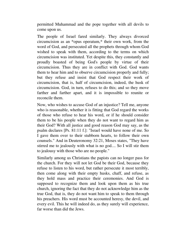permitted Muhammad and the pope together with all devils to come upon us.

The people of Israel fared similarly. They always divorced circumcision as an \*opus operatum,\* their own work, from the word of God, and persecuted all the prophets through whom God wished to speak with them, according to the terms on which circumcision was instituted. Yet despite this, they constantly and proudly boasted of being God's people by virtue of their circumcision. Thus they are in conflict with God. God wants them to hear him and to observe circumcision properly and fully; but they refuse and insist that God respect their work of circumcision, that is, half of circumcision, indeed, the husk of circumcision. God, in turn, refuses to do this; and so they move farther and farther apart, and it is impossible to reunite or reconcile them.

Now, who wishes to accuse God of an injustice? Tell me, anyone who is reasonable, whether it is fitting that God regard the works of those who refuse to hear his word, or if he should consider them to be his people when they do not want to regard him as their God? With all justice and good reason God may say, as the psalm declares [Ps. 81:11 f.]: "Israel would have none of me. So I gave them over to their stubborn hearts, to follow their own counsels." And in Deuteronomy 32:21, Moses states, "They have stirred me to jealously with what is no god.... So I will stir them to jealousy with those who are no people."

Similarly among us Christians the papists can no longer pass for the church. For they will not let God be their God, because they refuse to listen to his word, but rather persecute it most terribly, then come along with their empty husks, chaff, and refuse, as they hold mass and practice their ceremonies. And God is supposed to recognize them and look upon them as his true church, ignoring the fact that they do not acknowledge him as the true God, that is, they do not want him to speak to them through his preachers. His word must be accounted heresy, the devil, and every evil. This he will indeed do, as they surely will experience, far worse than did the Jews.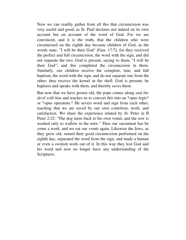Now we can readily gather from all this that circumcision was very useful and good, as St. Paul declares not indeed on its own account but on account of the word of God. For we are convinced, and it is the truth, that the children who were circumcised on the eighth day became children of God, as the words state, "I will be their God" [Gen. 17:7], for they received the perfect and full circumcision, the word with the sign, and did not separate the two. God is present, saying to them, "I will be their God"; and this completed the circumcision in them. Similarly, our children receive the complete, true, and full baptism, the word with the sign, and do not separate one from the other; they receive the kernel in the shell. God is present; he baptizes and speaks with them, and thereby saves them.

But now that we have grown old, the pope comes along *and the devil with him* and teaches us to convert this into an \*opus legis\* or \*opus operatum.\* He severs word and sign from each other, teaching that we are saved by our own contrition, work, and satisfaction. We share the experience related by St. Peter in II Peter 2:22: "The dog turns back to his own vomit, and the sow is washed only to wallow in the mire." Thus our sacrament has be come a work, and we eat our vomit again. Likewise the Jews, as they grew old, ruined their good circumcision performed on the eighth day, separated the word from the sign, and made a human or even a swinish work out of it. In this way they lost God and his word and now no longer have any understanding of the Scriptures.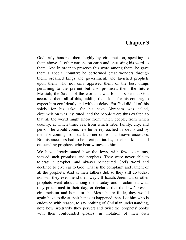## <span id="page-29-0"></span>[Chapter 3](#page-29-0)

God truly honored them highly by circumcision, speaking to them above all other nations on earth and entrusting his word to them. And in order to preserve this word among them, he gave them a special country; he performed great wonders through them, ordained kings and government, and lavished prophets upon them who not only apprised them of the best things pertaining to the present but also promised them the future Messiah, the Savior of the world. It was for his sake that God accorded them all of this, bidding them look for his coming, to expect him confidently and without delay. For God did all of this solely for his sake: for his sake Abraham was called, circumcision was instituted, and the people were thus exalted so that all the world might know from which people, from which country, at which time, yes, from which tribe, family, city, and person, he would come, lest he be reproached by devils and by men for coming from dark corner or from unknown ancestors. No, his ancestors had to be great patriarchs, excellent kings, and outstanding prophets, who bear witness to him.

We have already stated how the Jews, with few exceptions, viewed such promises and prophets. They were never able to tolerate a prophet, and always persecuted God's word and declined to give ear to God. That is the complaint and lament of all the prophets. And as their fathers did, so they still do today, nor will they ever mend their ways. If Isaiah, Jeremiah, or other prophets went about among them today and proclaimed what they proclaimed in their day, or declared that the Jews' present circumcision and hope for the Messiah are futile, they would again have to die at their hands as happened then. Let him who is endowed with reason, to say nothing of Christian understanding, note how arbitrarily they pervert and twist the prophets' books with their confounded glosses, in violation of their own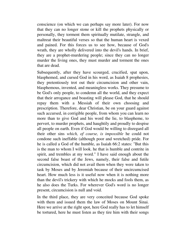conscience (on which we can perhaps say more later). For now that they can no longer stone or kill the prophets physically or personally, they torment them spiritually mutilate, strangle, and maltreat their beautiful verses so that the human heart is vexed and pained. For this forces us to see how, because of God's wrath, they are wholly delivered into the devil's hands. In brief, they are a prophet-murdering people; since they can no longer murder the living ones, they must murder and torment the ones that are dead.

Subsequently, after they have scourged, crucified, spat upon, blasphemed, and cursed God in his word, as Isaiah 8 prophesies, they pretentiously trot out their circumcision and other vain, blasphemous, invented, and meaningless works. They presume to be God's only people, to condemn all the world, and they expect that their arrogance and boasting will please God, that he should repay them with a Messiah of their own choosing and prescription. Therefore, dear Christian, be on your guard against such accursed, in corrigible people, from whom you can learn no more than to give God and his word the lie, to blaspheme, to pervert, to murder prophets, and haughtily and proudly to despise all people on earth. Even if God would be willing to disregard all their other sins *which, of course, is impossible* he could not condone such ineffable (although poor and wretched) pride. For he is called a God of the humble, as Isaiah 66:2 states: "But this is the man to whom I will look. he that is humble and contrite in spirit, and trembles at my word." I have said enough about the second false boast of the Jews, namely, their false and futile circumcision, which did not avail them when they were taken to task by Moses and by Jeremiah because of their uncircumcised heart. How much less is it useful now when it is nothing more than the devil's trickery with which he mocks and fools them, as he also does the Turks. For wherever God's word is no longer present, circumcision is null and void.

In the third place, they are very conceited because God spoke with them and issued them the law of Moses on Mount Sinai. Here we arrive at the right spot, here God really has to let himself be tortured, here he must listen as they tire him with their songs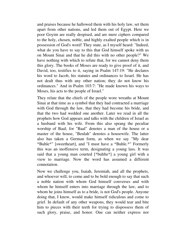and praises because he hallowed them with his holy law, set them apart from other nations, and led them out of Egypt. Here we poor Goyim are really despised, and are mere ciphers compared to the holy, chosen, noble, and highly exalted people which is in possession of God's word! They state, as I myself heard: "Indeed, what do you have to say to this that God himself spoke with us on Mount Sinai and that he did this with no other people?" We have nothing with which to refute that, for we cannot deny them this glory. The books of Moses are ready to give proof of it, and David, too, testifies to it, saying in Psalm 147:19: "He declares his word to Jacob, his statutes and ordinances to Israel. He has not dealt thus with any other nation; they do not know his ordinances." And in Psalm 103:7: "He made known his ways to Moses, his acts to the people of Israel."

They relate that the chiefs of the people wore wreaths at Mount Sinai at that time as a symbol that they had contracted a marriage with God through the law, that they had become his bride, and that the two had wedded one another. Later we read in all the prophets how God appears and talks with the children of Israel as a husband with his wife. From this also sprang the peculiar worship of Baal; for "Baal" denotes a man of the house or a master of the house, "Beulah" denotes a housewife. The latter also has taken a German form, as when we say "My dear \*Buhle\*" [sweetheart], and "I must have a \*Buhle.\*" Formerly this was an inoffensive term, designating a young lass. It was said that a young man courted [\*buhlte\*] a young girl with a view to marriage. Now the word has assumed a different connotation.

Now we challenge you, Isaiah, Jeremiah, and all the prophets, and whoever will, to come and to be bold enough to say that such a noble nation with whom God himself converses and with whom he himself enters into marriage through the law, and to whom he joins himself as to a bride, is not God's people. Anyone doing that, I know, would make himself ridiculous and come to grief. In default of any other weapons, they would tear and bite him to pieces with their teeth for trying to dispossess them of such glory, praise, and honor. One can neither express nor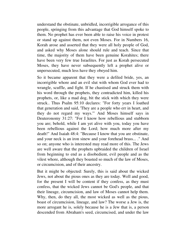understand the obstinate, unbridled, incorrigible arrogance of this people, springing from this advantage that God himself spoke to them. No prophet has ever been able to raise his voice in protest or stand up against them, not even Moses. For in Numbers 16, Korah arose and asserted that they were all holy people of God, and asked why Moses alone should rule and teach. Since that time, the majority of them have been genuine Korahites; there have been very few true Israelites. For just as Korah persecuted Moses, they have never subsequently left a prophet alive or unpersecuted, much less have they obeyed him.

So it became apparent that they were a defiled bride, yes, an incorrigible whore and an evil slut with whom God ever had to wrangle, scuffle, and fight. If he chastised and struck them with his word through the prophets, they contradicted him, killed his prophets, or, like a mad dog, bit the stick with which they were struck.. Thus Psalm 95:10 declares: "For forty years I loathed that generation and said, 'They are a people who err in heart, and they do not regard my ways." And Moses himself says in Deuteronomy 31:27: "For I know how rebellious and stubborn you are; behold, while I am yet alive with you, today you have been rebellious against the Lord; how much more after my death!" And Isaiah 48:4: "Because I know that you are obstinate, and your neck is an iron sinew and your forehead brass... ." And so on; anyone who is interested may read more of this. The Jews are well aware that the prophets upbraided the children of Israel from beginning to end as a disobedient, evil people and as the vilest whore, although they boasted so much of the law of Moses, or circumcision, and of their ancestry.

But it might be objected: Surely, this is said about the wicked Jews, not about the pious ones as they are today. Well and good, for the present I will be content if they confess, as they must confess, that the wicked Jews cannot be God's people, and that their lineage, circumcision, and law of Moses cannot help them. Why, then, do they all, the most wicked as well as the pious, boast of circumcision, lineage, and law? The worse a Jew is, the more arrogant he is, solely because he is a Jew that is, a person descended from Abraham's seed, circumcised, and under the law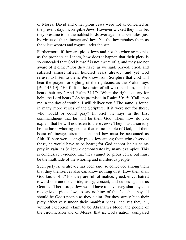of Moses. David and other pious Jews were not as conceited as the present-day, incorrigible Jews. However wicked they may be, they presume to be the noblest lords over against us Gentiles, just by virtue of their lineage and law. Yet the law rebukes them as the vilest whores and rogues under the sun.

Furthermore, if they are pious Jews and not the whoring people, as the prophets call them, how does it happen that their piety is so concealed that God himself is not aware of it, and they are not aware of it either? For they have, as we said, prayed, cried, and suffered almost fifteen hundred years already, and yet God refuses to listen to them. We know from Scripture that God will hear the prayers or sighing of the righteous, as the Psalter says [Ps. 145:19]: "He fulfills the desire of all who fear him, he also hears their cry." And Psalm 34:17: "When the righteous cry for help, the Lord hears." As he promised in Psalm 50:15: "Call upon me in the day of trouble; I will deliver you." The same is found in many more verses of the Scripture. If it were not for these, who would or could pray? In brief, he says in the first commandment that he will be their God. Then, how do you explain that he will not listen to these Jews? They must assuredly be the base, whoring people, that is, no people of God, and their boast of lineage, circumcision, and law must be accounted as filth. If there were a single pious Jew among them who observed these, he would have to be heard; for God cannot let his saints pray in vain, as Scripture demonstrates by many examples. This is conclusive evidence that they cannot be pious Jews, but must be the multitude of the whoring and murderous people.

Such piety is, as already has been said, so concealed among them that they themselves also can know nothing of it. How then shall God know of it? For they are full of malice, greed, envy, hatred toward one another, pride, usury, conceit, and curses against us Gentiles. Therefore, a Jew would have to have very sharp eyes to recognize a pious Jew, to say nothing of the fact that they all should be God's people as they claim. For they surely hide their piety effectively under their manifest vices; and yet they all, without exception, claim to be Abraham's blood, the people of the circumcision and of Moses, that is, God's nation, compared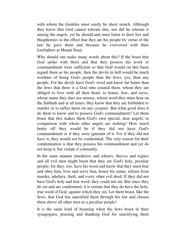with whom the Gentiles must surely be sheer stench. Although they know that God cannot tolerate this, nor did he tolerate it among the angels, yet he should and must listen to their lies and blasphemies to the effect that they are his people by virtue of the law he gave them and because he conversed with their forefathers at Mount Sinai.

Why should one make many words about this? If the boast that God spoke with them and that they possess his word or commandment were sufficient so that God would on this basis regard them as his people, then the devils in hell would be much worthier of being God's people than the Jews, yes, than any people. For the devils have God's word and know far better than the Jews that there is a God who created them, whom they are obliged to love with all their heart, to honor, fear, and serve, whose name they dare not misuse, whose word they must hear on the Sabbath and at all times; they know that they are forbidden to murder or to inflict harm on any creature. But what good does it do them to know and to possess God's commandment? Let them boast that this makes them God's own special, dear angels, in comparison with whom other angels are nothing! How much better off they would be if they did not have God's commandment or if they were ignorant of it. For if they did not have it, they would not be condemned. The very reason for their condemnation is that they possess his commandment and yet do not keep it, but violate it constantly.

In the same manner murderers and whores, thieves and rogues and all evil men might boast that they are God's holy, peculiar people; for they, too, have his word and know that they must fear and obey him, love and serve him, honor his name, refrain from murder, adultery, theft, and every other evil deed. If they did not have God's holy and true word, they could not sin. But since they do sin and are condemned, it is certain that they do have the holy, true word of God, against which they sin. Let them boast, like the Jews, that God has sanctified them through his law and chosen them above all other men as a peculiar people!

It is the same kind of boasting when the Jews boast in their synagogues, praising and thanking God for sanctifying them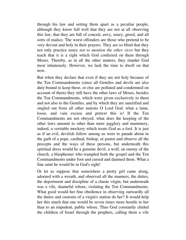through his law and setting them apart as a peculiar people, although they know full well that they are not at all observing this law, that they are full of conceit, envy, usury, greed, and all sorts of malice. The worst offenders are those who pretend to be very devout and holy in their prayers. They are so blind that they not only practice usury *not to mention the other vices* but they teach that it is a right which God conferred on them through Moses. Thereby, as in all the other matters, they slander God most infamously. However, we lack the time to dwell on that now.

But when they declare that even if they are not holy because of the Ten Commandments (since all Gentiles and devils are also duty-bound to keep these, or else are polluted and condemned on account of them) they still have the other laws of Moses, besides the Ten Commandments, which were given exclusively to them and not also to the Gentiles, and by which they are sanctified and singled out from all other nations O Lord God, what a lame, loose, and vain excuse and pretext this is! If the Ten Commandments are not obeyed, what does the keeping of the other laws amount to other than mere jugglery and mummery, indeed, a veritable mockery which treats God as a fool. It is just as if an evil, devilish fellow among us were to parade about in the garb of a pope, cardinal, bishop, or pastor and observe all the precepts and the ways of these persons, but underneath this spiritual dress would be a genuine devil, a wolf, an enemy of the church, a blasphemer who trampled both the gospel and the Ten Commandments under foot and cursed and damned them. What a fine saint he would be in God's sight!

Or let us suppose that somewhere a pretty girl came along, adorned with a wreath, and observed all the manners, the duties, the deportment and discipline of a chaste virgin, but underneath was a vile, shameful whore, violating the Ten Commandments. What good would her fine obedience in observing outwardly all the duties and customs of a virgin's station do her? It would help her this much that one would be seven times more hostile to her than to an impudent, public whore. Thus God constantly chided the children of Israel through the prophets, calling them a vile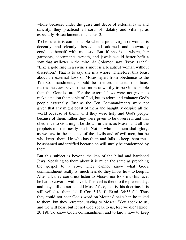whore because, under the guise and decor of external laws and sanctity, they practiced all sorts of idolatry and villainy, as especially Hosea laments in chapter 2.

To be sure, it is commendable when a pious virgin or woman is decently and cleanly dressed and adorned and outwardly conducts herself with modesty. But if she is a whore, her garments, adornments, wreath, and jewels would better befit a sow that wallows in the mire. As Solomon says [Prov. 11:22]: "Like a gold ring in a swine's snout is a beautiful woman without discretion." That is to say, she is a whore. Therefore, this boast about the external laws of Moses, apart from obedience to the Ten Commandments, should be silenced; indeed, this boast makes the Jews seven times more unworthy to be God's people than the Gentiles are. For the external laws were not given to make a nation the people of God, but to adorn and enhance God's people externally. Just as the Ten Commandments were not given that any might boast of them and haughtily despise all the world because of them, as if they were holy and God's people because of them; rather they were given to be observed, and that obedience to God might be shown in them, as Moses and all the prophets most earnestly teach. Not he who has them shall glory, as we saw in the instance of the devils and of evil men, but he who keeps them. He who has them and fails to keep them must be ashamed and terrified because he will surely be condemned by them.

But this subject is beyond the ken of the blind and hardened Jews. Speaking to them about it is much the same as preaching the gospel to a sow. They cannot know what God's commandment really is, much less do they know how to keep it. After all, they could not listen to Moses, nor look into his face; he had to cover it with a veil. This veil is there to the present day, and they still do not behold Moses' face, that is, his doctrine. It is still veiled to them [cf. II Cor. 3:13 ff.; Exod. 34:33 ff.]. Thus they could not hear God's word on Mount Sinai when he talked to them, but they retreated, saying to Moses: "You speak to us, and we will hear; but let not God speak to us, lest we die" [Exod. 20:19]. To know God's commandment and to know how to keep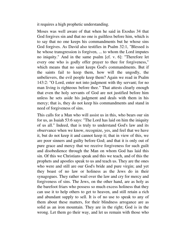it requires a high prophetic understanding.

Moses was well aware of that when he said in Exodus 34 that God forgives sin and that no one is guiltless before him, which is to say that no one keeps his commandments but he whose sins God forgives. As David also testifies in Psalm 32:1, "Blessed is he whose transgression is forgiven, ... to whom the Lord imputes no iniquity." And in the same psalm [cf. v. 6]: "Therefore let every one who is godly offer prayer to thee for forgiveness," which means that no saint keeps God's commandments. But if the saints fail to keep them, how will the ungodly, the unbelievers, the evil people keep them? Again we read in Psalm 143:2: "O Lord, enter not into judgment with thy servant; for no man living is righteous before thee." That attests clearly enough that even the holy servants of God are not justified before him unless he sets aside his judgment and deals with them in his mercy; that is, they do not keep his commandments and stand in need of forgiveness of sins.

This calls for a Man who will assist us in this, who bears our sin for us, as Isaiah 53:6 says: "The Lord has laid on him the iniquity of us all." Indeed, that is truly to understand God's law and its observance when we know, recognize, yes, and feel that we have it, but do not keep it and cannot keep it; that in view of this, we are poor sinners and guilty before God; and that it is only out of pure grace and mercy that we receive forgiveness for such guilt and disobedience through the Man on whom God has laid this sin. Of this we Christians speak and this we teach, and of this the prophets and apostles speak to us and teach us. They are the ones who were and still are our God's bride and pure virgin; and yet they boast of no law or holiness as the Jews do in their synagogues. They rather wail over the law and cry for mercy and forgiveness of sins. The Jews, on the other hand, are as holy as the barefoot friars who possess so much excess holiness that they can use it to help others to get to heaven, and still retain a rich and abundant supply to sell. It is of no use to speak to any of them about these matters, for their blindness arrogance are as solid as an iron mountain. They are in the right; God is in the wrong. Let them go their way, and let us remain with those who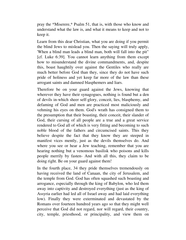pray the \*Miserere,\* Psalm 51, that is, with those who know and understand what the law is, and what it means to keep and not to keep it.

Learn from this dear Christian, what you are doing if you permit the blind Jews to mislead you. Then the saying will truly apply, 'When a blind man leads a blind man, both will fall into the pit" [cf. Luke 6:39]. You cannot learn anything from them except how to misunderstand the divine commandments, and, despite this, boast haughtily over against the Gentiles who really are much better before God than they, since they do not have such pride of holiness and yet keep far more of the law than these arrogant saints and damned blasphemers and liars.

Therefore be on your guard against the Jews, knowing that wherever they have their synagogues, nothing is found but a den of devils in-which sheer self-glory, conceit, lies, blasphemy, and defaming of God and men are practiced most maliciously and vehming his eyes on them. God's wrath has consigned them to the presumption that their boasting, their conceit, their slander of God, their cursing of all people are a true and a great service rendered to God all of which is very fitting and becoming to such noble blood of the fathers and circumcised saints. This they believe despite the fact that they know they are steeped in manifest vices mently, just as the devils themselves do. And where you see or hear a Jew teaching, remember that you are hearing nothing but a venomous basilisk who poisons and kills people merrily by fasten- And with all this, they claim to be doing right. Be on your guard against them!

In the fourth place, 34 they pride themselves tremendously on having received the land of Canaan, the city of Jerusalem, and the temple from God. God has often squashed such boasting and arrogance, especially through the king of Babylon, who led them away into captivity and destroyed everything (just as the king of Assyria earlier had led all of Israel away and had laid everything low). Finally they were exterminated and devastated by the Romans over fourteen hundred years ago so that they might well perceive that God did not regard, nor will regard, their country, city, temple, priesthood, or principality, and view them on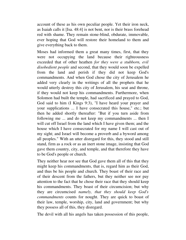account of these as his own peculiar people. Yet their iron neck, as Isaiah calls it [Isa. 48:4] is not bent, nor is their brass forehead red with shame. They remain stone-blind, obdurate, immovable, ever hoping that God will restore their homeland to them and give everything back to them.

Moses had informed them a great many times, first, that they were not occupying the land because their righteousness exceeded that of other heathen *for they were a stubborn, evil disobedient people* and second, that they would soon be expelled from the land and perish if they did not keep God's commandments. And when God chose the city of Jerusalem he added very clearly in the writings of all the prophets that he would utterly destroy this city of Jerusalem, his seat and throne, if they would not keep his commandments. Furthermore, when Solomon had built the temple, had sacrificed and prayed to God, God said to him (I Kings 9:3), "I have heard your prayer and your supplications ... I have consecrated this house," etc.; but then he added shortly thereafter: "But if you turn aside from following me ... and do not keep my commandments ... then I will cut off Israel from the land which I have given them; and the house which I have consecrated for my name I will cast out of my sight; and Israel will become a proverb and a byword among all peoples." With an utter disregard for this, they stood and still stand, firm as a rock or as an inert stone image, insisting that God gave them country, city, and temple, and that therefore they have to be God's people or church.

They neither hear nor see that God gave them all of this that they might keep his commandments, that is, regard him as their God, and thus be his people and church. They boast of their race and of their descent from the fathers, but they neither see nor pay attention to the fact that he chose their race that they should keep his commandments. They boast of their circumcision; but why they are circumcised *namely, that they should keep God's commandments* counts for nought. They are quick to boast of their law, temple, worship, city, land and government; but why they possess all of this, they disregard.

The devil with all his angels has taken possession of this people,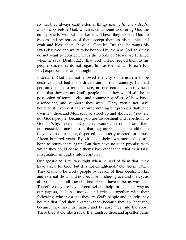so that they always exalt external things *their gifts, their deeds, their works* before God, which is tantamount to offering God the empty shells without the kernels. These they expect God to esteem and by reason of them accept them as his people, and exalt and bless them above all Gentiles. But that he wants his laws observed and wants to be honored by them as God, this they do not want to consider. Thus the words of Moses are fulfilled when he says [Deut. 32:21] that God will not regard them as his people, since they do not regard him as their God. Hosea 2 [cf. 1:9] expresses the same thought.

Indeed, if God had not allowed the city of Jerusalem to be destroyed and had them driven out of their country, but had permitted them to remain there, no one could have convinced them that they are not God's people, since they would still be in possession of temple, city, and country regardless of how base, disobedient, and stubborn they were. They would not have believed it] even if it had snowed nothing but prophets daily and even if a thousand Moseses had stood up and shouted: "You are not God's people, because you are disobedient and rebellious to God." Why, even today they cannot refrain from their nonsensical, insane boasting that they are God's people, although they have been cast out, dispersed, and utterly rejected for almost fifteen hundred years. By virtue of their own merits they still hope to return there again. But they have no such promise with which they could console themselves other than what their false imagination smuggles into Scripture.

Our apostle St. Paul was right when he said of them that "they have a zeal for God, but it is not enlightened," etc. [Rom. 10:2]. They claim to be God's people by reason of their deeds, works, and external show, and not because of sheer grace and mercy, as all prophets and all true children of God have to be, as was said. Therefore they are beyond counsel and help. In the same way as our papists, bishops, monks, and priests, together with their following, who insist that they are God's people and church; they believe that God should esteem them because they are baptized, because they have the name, and because they rule the roost. There they stand like a rock. If a hundred thousand apostles came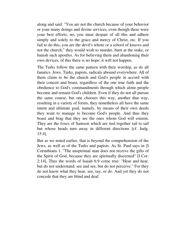along and said: "You are not the church because of your behavior or your many doings and divine services, even though these were your best efforts; no, you must despair of all this and adhere simply and solely to the grace and mercy of Christ, etc. If you fail to do this, you are the devil's whore or a school of knaves and not the church," they would wish to murder, burn at the stake, or banish such apostles. As for believing them and abandoning their own devices, of this there is no hope; it will not happen.

The Turks follow the same pattern with their worship, as do all fanatics. Jews, Turks, papists, radicals abound everywhere. All of them claim to be the church and God's people in accord with their conceit and boast, regardless of the one true faith and the obedience to God's commandments through which alone people become and remain God's children. Even if they do not all pursue the same course, but one chooses this way, another that way, resulting in a variety of forms, they nonetheless all have the same intent and ultimate goal, namely, by means of their own deeds they want to manage to become God's people. And thus they boast and brag that they are the ones whom God will esteem. They are the foxes of Samson which are tied together tail to tail but whose heads turn away in different directions [cf. Judg. 15:4].

But as we noted earlier, that is beyond the comprehension of the Jews, as well as of the Turks and papists. As St. Paul says in [I Corinthians 1, "The unspiritual man does not receive the gifts of the Spirit of God, because they are spiritually discerned" [I Cor. 2:14]. Thus the words of Isaiah 6:9 come true: "Hear and hear, but do not understand; see and see, but do not perceive." For they do not know what they hear, see, say, or do. And yet they do not concede that they are blind and deaf.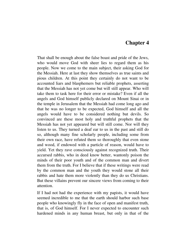## <span id="page-42-0"></span>[Chapter 4](#page-42-0)

That shall be enough about the false boast and pride of the Jews, who would move God with sheer lies to regard them as his people. Now we come to the main subject, their asking God for the Messiah. Here at last they show themselves as true saints and pious children. At this point they certainly do not want to be accounted liars and blasphemers but reliable prophets, asserting that the Messiah has not yet come but will still appear. Who will take them to task here for their error or mistake? Even if all the angels and God himself publicly declared on Mount Sinai or in the temple in Jerusalem that the Messiah had come long ago and that he was no longer to be expected, God himself and all the angels would have to be considered nothing but devils. So convinced are these most holy and truthful prophets that the Messiah has not yet appeared but will still come. Nor will they listen to us. They turned a deaf ear to us in the past and still do so, although many fine scholarly people, including some from their own race, have refuted them so thoroughly that even stone and wood, if endowed with a particle of reason, would have to yield. Yet they rave consciously against recognized truth. Their accursed rabbis, who in deed know better, wantonly poison the minds of their poor youth and of the common man and divert them from the truth. For I believe that if these writings were read by the common man and the youth they would stone all their rabbis and hate them more violently than they do us Christians. But these villains prevent our sincere views from coming to their attention.

If I had not had the experience with my papists, it would have seemed incredible to me that the earth should harbor such base people who knowingly fly in the face of open and manifest truth, that is, of God himself. For I never expected to encounter such hardened minds in any human breast, but only in that of the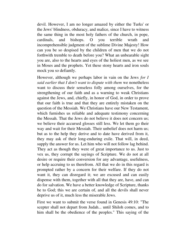devil. However, I am no longer amazed by either the Turks' or the Jews' blindness, obduracy, and malice, since I have to witness the same thing in the most holy fathers of the church, in pope, cardinals, and bishops. O you terrible wrath and incomprehensible judgment of the sublime Divine Majesty! How can you be so despised by the children of men that we do not forthwith tremble to death before you? What an unbearable sight you are, also to the hearts and eyes of the holiest men, as we see in Moses and the prophets. Yet these stony hearts and iron souls mock you so defiantly.

However, although we perhaps labor in vain on the Jews *for I said earlier that I don't want to dispute with them* we nonetheless want to discuss their senseless folly among ourselves, for the strengthening of our faith and as a warning to weak Christians against the Jews, and, chiefly, in honor of God, in order to prove that our faith is true and that they are entirely mistaken on the question of the Messiah. We Christians have our New Testament, which furnishes us reliable and adequate testimony concerning the Messah. That the Jews do not believe it does not concern us; we believe their accursed glosses still less. We let them go their way and wait for their Messiah. Their unbelief does not harm us; but as to the help they derive and to date have derived from it, they may ask of their long-enduring exile. That will, in deed, supply the answer for us. Let him who will not follow lag behind. They act as though they were of great importance to us. Just to vex us, they corrupt the sayings of Scripture. We do not at all desire or require their conversion for any advantage, usefulness, or help accruing to us therefrom. All that we do in this regard is prompted rather by a concern for their welfare. If they do not want it, they can disregard it; we are excused and can easily dispense with them, together with all that they are, have, and can do for salvation. We have a better knowledge of Scripture, thanks be to God; this we are certain of, and all the devils shall never deprive us of it, much less the miserable Jews.

First we want to submit the verse found in Genesis 49:10: "The scepter shall not depart from Judah... until Shiloh comes, and to him shall be the obedience of the peoples." This saying of the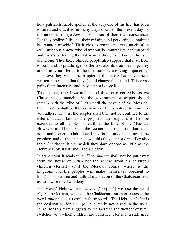holy patriarch Jacob, spoken at the very end of his life, has been tortured and crucified in many ways down to the present day by the modern, strange Jews, in violation of their own conscience. For they realize fully that their twisting and perverting is nothing but wanton mischief. Their glosses remind me very much of an evil, stubborn shrew who clamorously contradicts her husband and insists on having the last word although she knows she is in the wrong. Thus these blinded people also suppose that it suffices to bark and to prattle against the text and its true meaning; they are entirely indifferent to the fact that they are lying impudently. I believe they would be happier if this verse had never been written rather than that they should change their mind. This verse pains them intensely, and they cannot ignore it.

The ancient, true Jews understood this verse correctly, as we Christians do, namely, that the government or scepter should remain with the tribe of Judah until the advent of the Messiah; then "to him shall be the obedience of the peoples," to him they will adhere. That is, the scepter shall then not be confined to the tribe of Judah, but, as the prophets later explain, it shall be extended to all peoples on earth at the time of the Messiah. However, until he appears, the scepter shall remain in that small nook and corner, Judah. That, I say, is the understanding of the prophets and of the ancient Jews; this they cannot deny. For also their Chaldaean Bible, which they dare oppose as little as the Hebrew Bible itself, shows this clearly.

In translation it reads thus: "The *shultan* shall not be put away from the house of Judah nor the *saphra* from his children's children eternally until the Messiah comes, whose is the kingdom, and the peoples will make themselves obedient to him." This is a true and faithful translation of the Chaldaean text, as no Jew or devil can deny.

For Moses' Hebrew term *shebet* ["scepter"] we use the word *Zepter* in German, whereas the Chaldaean translator chooses the word *shultan.* Let us explain these words. The Hebrew *shebet* is the designation for a *virga*; it is really not a rod in the usual sense, for this term suggests to the German the thought of birch switches with which children are punished. Nor is it a staff used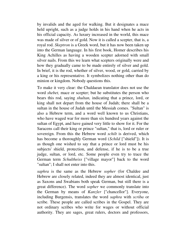by invalids and the aged for walking. But it designates a mace held upright, such as a judge holds in his hand when he acts in his official capacity. As luxury increased in the world, this mace was made of silver or of gold. Now it is called a scepter, that is, a royal rod. *Skeptron* is a Greek word, but it has now been taken up into the German language. In his first book, Homer describes his King Achilles as having a wooden scepter adorned with small silver nails. From this we learn what scepters originally were and how they gradually came to be made entirely of silver and gold. In brief, it is the rod, whether of silver, wood, or gold, carried by a king or his representative. It symbolizes nothing other than do minion or kingdom. Nobody questions this.

To make it very clear: the Chaldaean translator does not use the word *shebet,* mace or scepter; but he substitutes the person who bears this rod, saying *shultan,* indicating that a prince, lord, or king shall not depart from the house of Judah; there shall be a sultan in the house of Judah until the Messiah comes. "Sultan" is also a Hebrew term, and a word well known to us Christians, who have waged war for more than six hundred years against the sultan of Egypt, and have gained very little to show for it. For the Saracens call their king or prince "sultan," that is, lord or ruler or sovereign. From this the Hebrew word *schilt* is derived, which has become a thoroughly German word (*Schild* ["shield"]). It is as though one wished to say that a prince or lord must be his subjects' shield, protection, and defense, if he is to be a true judge, sultan, or lord, etc. Some people even try to trace the German term *Schultheiss* ["village mayor"] back to the word "sultan"; I shall not enter into this.

*saphra* is the same as the Hebrew *sopher* (for Chaldee and Hebrew are closely related, indeed they are almost identical, just as Saxons and Swabians both speak German, but still there is a great difference). The word *sopher* we commonly translate into the German by means of *Kanzler* ["chancellor"]. Everyone, including Burgensis, translates the word *saphra* with *scriba* or scribe. These people are called scribes in the Gospel. They are not ordinary scribes who write for wages or without official authority. They are sages, great rulers, doctors and professors,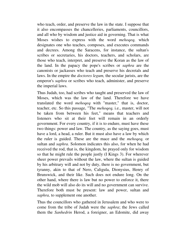who teach, order, and preserve the law in the state. I suppose that it also encompasses the chancelleries, parliaments, councillors, and all who by wisdom and justice aid in governing. That is what Moses wishes to express with the word *mehogeq*, which designates one who teaches, composes, and executes commands and decrees. Among the Saracens, for instance, the sultan's scribes or secretaries, his doctors, teachers, and scholars, are those who teach, interpret, and preserve the Koran as the law of the land. In the papacy the pope's scribes or *saphra* are the canonists or jackasses who teach and preserve his decretals and laws. In the empire the *doctores legum,* the secular jurists, are the emperor's *saphra* or scribes who teach, administer, and preserve the imperial laws.

Thus Judah, too, had scribes who taught and preserved the law of Moses, which was the law of the land. Therefore we have translated the word *mehoqeq* with "master," that is, doctor, teacher, etc. So this passage, "The *mehoqeq,* i.e., master, will not be taken from between his feet," means that teachers and listeners who sit at their feet will remain in an orderly government. For every country, if it is to endure, must have these two things: power and law. The country, as the saying goes, must have a lord, a head, a ruler. But it must also have a law by which the ruler is guided. These are the mace and the *mehoqeq,* or sultan and *saphra.* Solomon indicates this also, for when he had received the rod, that is, the kingdom, he prayed only for wisdom so that he might rule the people justly (I Kings 3). For wherever sheer power prevails without the law, where the sultan is guided by his arbitrary will and not by duty, there is no government, but tyranny, akin to that of Nero, Caligula, Dionysius, Henry of Brunswick, and their like. Such does not endure long. On the other hand, where there is law but no power to enforce it, there the wild mob will also do its will and no government can survive. Therefore both must be present: law and power, sultan and *saphra,* to supplement one another.

Thus the councillors who gathered in Jerusalem and who were to come from the tribe of Judah were the *saphra*; the Jews called them the *Sanhedrin* Herod, a foreigner, an Edomite, did away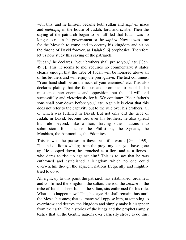with this, and he himself became both sultan and *saphra,* mace and *mehoqeq* in the house of Judah, lord and scribe. Then the saying of the patriarch began to be fulfilled that Judah was no longer to retain the government or the *saphra.* Now it was time for the Messiah to come and to occupy his kingdom and sit on the throne of David forever, as Isaiah 9:6] prophesies. Therefore let us now study this saying of the patriarch.

"Judah," he declares, "your brothers shall praise you," etc. [Gen. 49:8]. This, it seems to me, requires no commentary; it states clearly enough that the tribe of Judah will be honored above all of his brothers and will enjoy the prerogative. The text continues: "Your hand shall be on the neck of your enemies," etc. This also declares plainly that the famous and prominent tribe of Judah must encounter enemies and opposition, but that all will end successfully and victoriously for it. We continue: "Your father's sons shall bow down before you," etc. Again it is clear that this does not refer to the captivity but to the rule over his brothers, all of which was fulfilled in David. But not only did the tribe of Judah, in David, become lord over his brothers; he also spread his rule beyond, like a lion, forcing other nations into submission; for instance the Philistines, the Syrians, the Moabites, the Ammonites, the Edomites.

This is what he praises in these beautiful words [Gen. 49:9]: "Judah is a lion's whelp; from the prey, my son, you have gone up. He stooped down, he crouched as a lion, and as a lioness; who dares to rise up against him? This is to say that he was enthroned and established a kingdom which no one could overwhelm, though the adjacent nations frequently and mightily tried to do so.

All right, up to this point the patriarch has established, ordained, and confirmed the kingdom, the sultan, the rod, the *saphra* in the tribe of Judah. There Judah, the sultan, sits enthroned for his rule. What is to happen now? This, he says: He shall remain thus until the Messiah comes; that is, many will oppose him, at tempting to overthrow and destroy the kingdom and simply make it disappear from the earth. The histories of the kings and the prophets amply testify that all the Gentile nations ever earnestly strove to do this.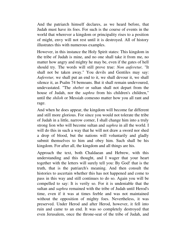And the patriarch himself declares, as we heard before, that Judah must have its foes. For such is the course of events in the world that wherever a kingdom or principality rises to a position of might, envy will not rest until it is destroyed. All of history illustrates this with numerous examples.

However, in this instance the Holy Spirit states: This kingdom in the tribe of Judah is mine, and no one shall take it from me, no matter how angry and mighty he may be, even if the gates of hell should try. The words will still prove true: *Non auferetur,* "It shall not be taken away." You devils and Gentiles may say: *Auferetur,* we shall put an end to it, we shall devour it, we shall silence it, as Psalm 74 bemoans. But it shall remain undevoured, undevastated. "The *shebet* or sultan shall not depart from the house of Judah, nor the *saphra* from his children's children," until the *shiloh* or Messiah comesno matter how you all rant and rage.

And when he does appear, the kingdom will become far different and still more glorious. For since you would not tolerate the tribe of Judah in a little, narrow corner, I shall change him into a truly strong lion who will become sultan and *saphra* in all the world. I will do this in such a way that he will not draw a sword nor shed a drop of blood, but the nations will voluntarily and gladly submit themselves to him and obey him. Such shall be his kingdom. For after all, the kingdom and all things are his.

Approach the text, both Chaldaean and Hebrew, with this understanding and this thought, and I wager that your heart together with the letters will surely tell you: By God! that is the truth, that is the patriarch's meaning. And then consult the histories to ascertain whether this has not happened and come to pass in this way and still continues to do so. Again you will be compelled to say: It is verily so. For it is undeniable that the sultan and *saphra* remained with the tribe of Judah until Herod's time, even if it was at times feeble and was not maintained without the opposition of mighty foes. Nevertheless, it was preserved. Under Herod and after Herod, however, it fell into ruin and came to an end. It was so completely destroyed that even Jerusalem, once the throne-seat of the tribe of Judah, and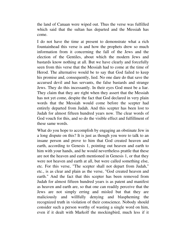the land of Canaan were wiped out. Thus the verse was fulfilled which said that the sultan has departed and the Messiah has come.

I do not have the time at present to demonstrate what a rich fountainhead this verse is and how the prophets drew so much information from it concerning the fall of the Jews and the election of the Gentiles, about which the modern Jews and bastards know nothing at all. But we have clearly and forcefully seen from this verse that the Messiah had to come at the time of Herod. The alternative would be to say that God failed to keep his promise and, consequently, lied. No one dare do that save the accursed devil and has servants, the false bastards and strange Jews. They do this incessantly. In their eyes God must be a liar. They claim that they are right when they assert that the Messiah has not yet come, despite the fact that God declared in very plain words that the Messiah would come before the scepter had entirely departed from Judah. And this scepter has been lost to Judah for almost fifteen hundred years now. The clear words of God vouch for this, and so do the visible effect and fulfillment of these same words.

What do you hope to accomplish by engaging an obstinate Jew in a long dispute on this? It is just as though you were to talk to an insane person and prove to him that God created heaven and earth, according to Genesis 1, pointing out heaven and earth to him with your hands, and he would nevertheless prattle that these are not the heaven and earth mentioned in Genesis 1, or that they were not heaven and earth at all, but were called something else, etc. For this verse, "The scepter shall not depart from Judah," etc., is as clear and plain as the verse, "God created heaven and earth." And the fact that this scepter has been removed from Judah for almost fifteen hundred years is as patent and manifest as heaven and earth are, so that one can readily perceive that the Jews are not simply erring and misled but that they are maliciously and willfully denying and blaspheming the recognized truth in violation of their conscience. Nobody should consider such a person worthy of wasting a single word on him, even if it dealt with Markolf the mockingbird, much less if it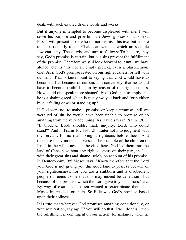deals with such exalted divine words and works.

But if anyone is tempted to become displeased with me, I will serve his purpose and give him the Jews' glosses on this text. First I will present those who do not dismiss this text but adhere to it, particularly to the Chaldaean version, which no sensible Jew can deny. These twist and turn as follows: To be sure, they say, God's promise is certain; but our sins prevent the fulfillment of the promise. Therefore we still look forward to it until we have atoned, etc. Is this not an empty pretext, even a blasphemous one? As if God's promise rested on our righteousness, or fell with our sins! That is tantamount to saying that God would have to become a liar because of our sin, and conversely, that he would have to become truthful again by reason of our righteousness. How could one speak more shamefully of God than to imply that he is a shaking reed which is easily swayed back and forth either by our falling down or standing up?

If God were not to make a promise or keep a promise until we were rid of sin, he would have been unable to promise or do anything from the very beginning. As David says in Psalm 130:3: "If thou, O Lord, shouldst mark iniquity, Lord, who could stand?" And in Psalm 102 [143:2]: "Enter not into judgment with thy servant; for no man living is righteous before thee." And there are many more such verses. The example of the children of Israel in the wilderness can be cited here. God led them into the land of Canaan without any righteousness on their part, in fact, with their great sins and shame, solely on account of his promise. In Deuteronomy 9:5 Moses says: "Know therefore that the Lord your God is not giving you this good land to possess because of your righteousness; for you are a stubborn and a disobedient people (it seems to me that this may indeed be called sin), but because of the promise which the Lord gave to your fathers," etc. By way of example he often wanted to exterminate them, but Moses interceded for them. So little was God's promise based upon their holiness.

It is true that wherever God promises anything conditionally, or with reservation, saying: "If you will do that, I will do this," then the fulfillment is contingent on our action; for instance, when he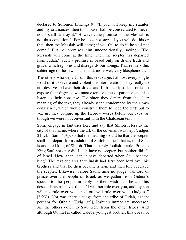declared to Solomon [I Kings 9], "If you will keep my statutes and my ordinances, then this house shall be consecrated to me; if not, I shall destroy it." However, the promise of the Messiah is not thus conditional. For he does not say: "If you will do this or that, then the Messiah will come; if you fail to do it, he will not come." But he promises him unconditionally, saying: "The Messiah will come at the time when the scepter has departed from Judah." Such a promise is based only on divine truth and grace, which ignores and disregards our doings. That renders this subterfuge of the Jews inane, and, moreover, very blasphemous.

The others who depart from this text subject almost every single word of it to severe and violent misinterpretation. They really do not deserve to have their drivel and filth heard; still, in order to expose their disgrace we must exercise a bit of patience and also listen to their nonsense. For since they depart from the clear meaning of the text, they already stand condemned by their own conscience, which would constrain them to heed the text; but to vex us, they conjure up the Hebrew words before our eyes, as though we were not conversant with the Chaldaean text.

Some engage in fantasies here and say that Shiloh refers to the city of that name, where the ark of the covenant was kept (Judges 21 [cf. I Sam. 4:3]), so that the meaning would be that the scepter shall not depart from Judah until Shiloh comes, that is, until Saul is anointed king of Shiloh. That is surely foolish prattle. Prior to King Saul not only did Judah have no scepter, but neither did all of Israel. How, then, can it have departed when Saul became king? The text declares that Judah had first been lord over his brothers and that he then became a lion, and therefore received the scepter. Likewise, before Saul's time no judge was lord or prince over the people of Israel, as we gather from Gideon's speech to the people in reply to their wish that he and his descendants rule over them: "I will not rule over you, and my son will not rule over you; the Lord will rule over you" (Judges 7 [8:23]). Nor was there a judge from the tribe of Judah, except perhaps for Othniel [Judg. 3:9], Joshua's immediate successor. All the others down to Saul were from the other tribes. And although Othniel is called Caleb's youngest brother, this does not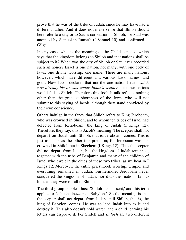prove that he was of the tribe of Judah, since he may have had a different father. And it does not make sense that Shiloh should here refer to a city or to Saul's coronation in Shiloh, for Saul was anointed by Samuel in Ramath (I Samuel 10) and confirmed at Gilgal.

In any case, what is the meaning of the Chaldaean text which says that the kingdom belongs to Shiloh and that nations shall be subject to it? When was the city of Shiloh or Saul ever accorded such an honor? Israel is one nation, not many, with one body of laws, one divine worship, one name. There are many nations, however, which have different and various laws, names, and gods. Now Jacob declares that not the one nation Israel *which was already his or was under Judah's scepter* but other nations would fall to Shiloh. Therefore this foolish talk reflects nothing other than the great stubbornness of the Jews, who will not submit to this saying of Jacob, although they stand convicted by their own conscience.

Others indulge in the fancy that Shiloh refers to King Jeroboam, who was crowned in Shiloh, and to whom ten tribes of Israel had defected from Rehoboam, the king of Judah (I Kings 12). Therefore, they say, this is Jacob's meaning: The scepter shall not depart from Judah until Shiloh, that is, Jeroboam, comes. This is just as inane as the other interpretation; for Jeroboam was not crowned in Shiloh but in Shechem (I Kings 12). Thus the scepter did not depart from Judah, but the kingdom of Judah remained, together with the tribe of Benjamin and many of the children of Israel who dwelt in the cities of these two tribes, as we hear in I Kings 12. Moreover, the entire priesthood, worship, temple, and everything remained in Judah. Furthermore, Jeroboam never conquered the kingdom of Judah, nor did other nations fall to him, as they were to fall to Shiloh.

The third group babbles thus: "Shiloh means 'sent,' and this term applies to Nebuchadnezzar of Babylon." So the meaning is that the scepter shall not depart from Judah until Shiloh, that is, the king of Babylon, comes. He was to lead Judah into exile and destroy it. This also doesn't hold water, and a child learning his letters can disprove it. For Shiloh and *shiloch* are two different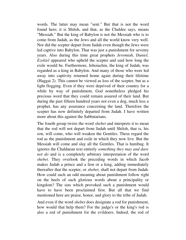words. The latter may mean "sent." But that is not the word found here; it is Shiloh, and that, as the Chaldee says, means "Messiah." But the king of Babylon is not the Messiah who is to come from Judah, as the Jews and all the world know very well. Nor did the scepter depart from Judah even though the Jews were led captive into Babylon. That was just a punishment for seventy years. Also during this time great prophets *Jeremiah, Daniel, Ezekiel* appeared who upheld the scepter and said how long the exile would be. Furthermore, Jehoiachin, the king of Judah, was regarded as a king in Babylon. And many of those who were led away into captivity returned home again during their lifetime (Haggai 2). This cannot be viewed as loss of the scepter, but as a light flogging. Even if they were deprived of their country for a while by way of punishment, God nonetheless pledged his precious word that they could remain assured of their land. But during the past fifteen hundred years not even a dog, much less a prophet, has any assurance concerning the land. Therefore the scepter has now definitely departed from Judah. I have written more about this against the Sabbatarians.

The fourth group twists the word *shebet* and interprets it to mean that the rod will not depart from Judah until Shiloh, that is, his son, will come, who will weaken the Gentiles. These regard the rod as the punishment and exile in which they now live. But the Messiah will come and slay all the Gentiles. That is humbug. It ignores the Chaldaean text entirely *something they may and dare not do* and is a completely arbitrary interpretation of the word *shebet.* They overlook the preceding words in which Jacob makes Judah a prince and a lion or a king, adding immediately thereafter that the scepter, or *shebet,* shall not depart from Judah. How could such an odd meaning about punishment follow right on the heels of such glorious words about a principality or kingdom? The sins which provoked such a punishment would have to have been proclaimed first. But all that we find mentioned here are praise, honor, and glory to the tribe of Judah.

And even if the word *shebet* does designate a rod for punishment, how would that help them? For the judge's or the king's rod is also a rod of punishment for the evildoers. Indeed, the rod of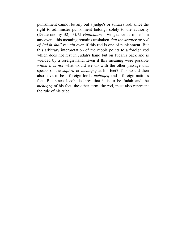punishment cannot be any but a judge's or sultan's rod, since the right to administer punishment belongs solely to the authority (Deuteronomy 32): *Mihi vindicatam,* "Vengeance is mine." In any event, this meaning remains unshaken *that the scepter or rod of Judah shall remain* even if this rod is one of punishment. But this arbitrary interpretation of the rabbis points to a foreign rod which does not rest in Judah's hand but on Judah's back and is wielded by a foreign hand. Even if this meaning were possible *which it is not* what would we do with the other passage that speaks of the *saphra* or *mehoqeq* at his feet? This would then also have to be a foreign lord's *mehoqeq* and a foreign nation's feet. But since Jacob declares that it is to be Judah and the *mehoqeq* of his feet, the other term, the rod, must also represent the rule of his tribe.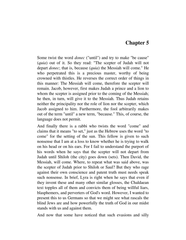## <span id="page-55-0"></span>[Chapter 5](#page-55-0)

Some twist the word *donec* ("until") and try to make "be cause" (*quia*) out of it. So they read: "The scepter of Judah will not depart *donec*; that is, because (*quia*) the Messiah will come." He who perpetrated this is a precious master, worthy of being crowned with thistles. He reverses the correct order of things in this manner: The Messiah will come, therefore the scepter will remain. Jacob, however, first makes Judah a prince and a lion to whom the scepter is assigned prior to the coming of the Messiah; he then, in turn, will give it to the Messiah. Thus Judah retains neither the principality nor the role of lion nor the scepter, which Jacob assigned to him. Furthermore, the fool arbitrarily makes out of the term "until" a new term, "because." This, of course, the language does not permit.

And finally there is a rabbi who twists the word "come" and claims that it means "to set," just as the Hebrew uses the word "to come" for the setting of the sun. This fellow is given to such nonsense that I am at a loss to know whether he is trying to walk on his head or on his ears. For I fail to understand the purport of his words when he says that the scepter will not depart from Judah until Shiloh (the city) goes down (sets). Then David, the Messiah, will come. Where, to repeat what was said above, was the scepter of Judah prior to Shiloh or Saul? But they who rage against their own conscience and patent truth must needs speak such nonsense. In brief, Lyra is right when he says that even if they invent these and many other similar glosses, the Chaldaean text topples all of them and convicts them of being willful liars, blasphemers, and perverters of God's word. However, I wanted to present this to us Germans so that we might see what rascals the blind Jews are and how powerfully the truth of God in our midst stands with us and against them.

And now that some have noticed that such evasions and silly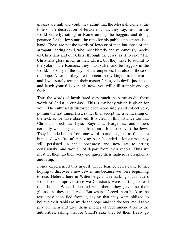glosses are null and void, they admit that the Messiah came at the time of the destruction of Jerusalem; but, they say, he is in the world secretly, sitting in Rome among the beggars and doing penance for the Jews until the time for his public appearance is at hand. These are not the words of Jews or of men but those of the arrogant, jeering devil, who most bitterly and venomously mocks us Christians and our Christ through the Jews, as if to say: "The Christians glory much in their Christ, but they have to submit to the yoke of the Romans; they must suffer and be beggars in the world, not only in the days of the emperors, but also in those of the pope. After all, they are impotent in my kingdom, the world, and I will surely remain their master." Yes, vile devil, just mock and laugh your fill over this now; you will still tremble enough for it.

Thus the words of Jacob fared very much the same as did these words of Christ in our day: "This is my body which is given for you." The enthusiasts distorted each word singly and collectively, putting the last things first, rather than accept the true meaning of the text, as we have observed. It is clear in this instance too that Christians such as Lyra, Raymund, Burgensis, and others certainly went to great lengths in an effort to convert the Jews. They hounded them from one word to another, just as foxes are hunted down. But after having been hounded a long time, they still persisted in their obstinacy and now set to erring consciously, and would not depart from their rabbis. Thus we must let them go their way and ignore their malicious blasphemy and lying.

I once experienced this myself. Three learned Jews came to me, hoping to discover a new Jew in me because we were beginning to read Hebrew here in Wittenberg, and remarking that matters would soon improve since we Christians were starting to read their books. When I debated with them, they gave me their glosses, as they usually do. But when I forced them back to the text, they soon fled from it, saying that they were obliged to believe their rabbis as we do the pope and the doctors, etc. I took pity on them and give them a letter of recommendation to the authorities, asking that for Christ's sake they let them freely go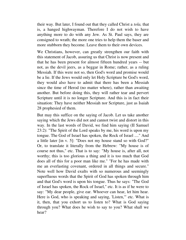their way. But later, I found out that they called Christ a *tola,* that is, a hanged highwayman. Therefore I do not wish to have anything more to do with any Jew. As St. Paul says, they are consigned to wrath; the more one tries to help them the baser and more stubborn they become. Leave them to their own devices.

We Christians, however, can greatly strengthen our faith with this statement of Jacob, assuring us that Christ is now present and that he has been present for almost fifteen hundred years -- but not, as the devil jeers, as a beggar in Rome; rather, as a ruling Messiah. If this were not so, then God's word and promise would be a lie. If the Jews would only let Holy Scripture be God's word, they would also have to admit that there has been a Messiah since the time of Herod (no matter where), rather than awaiting another. But before doing this, they will rather tear and pervert Scripture until it is no longer Scripture. And this is in fact their situation: They have neither Messiah nor Scripture, just as Isaiah 28 prophesied of them.

But may this suffice on the saying of Jacob. Let us take another saying which the Jews did not and cannot twist and distort in this way. In the last words of David, we find him saying (II Samuel 23:2): "The Spirit of the Lord speaks by me, his word is upon my tongue. The God of Israel has spoken, the Rock of Israel ...." And a little later [in v. 5]: "Does not my house stand so with God?" Or, to translate it literally from the Hebrew: "My house is of course not thus," etc. That is to say: "My house is, after all, not worthy; this is too glorious a thing and it is too much that God does all of this for a poor man like me." "For he has made with me an everlasting covenant, ordered in all things and secure." Note well how David exults with so numerous and seemingly superfluous words that the Spirit of God has spoken through him and that God's word is upon his tongue. Thus he says: "The God of Israel has spoken, the Rock of Israel," etc. It is as if he were to say: "My dear people, give ear. Whoever can hear, let him hear. Here is God, who is speaking and saying, 'Listen,'" etc. What is it, then, that you exhort us to listen to? What is God saying through you? What does he wish to say to you? What shall we hear?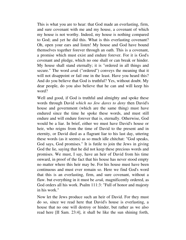This is what you are to hear: that God made an everlasting, firm, and sure covenant with me and my house, a covenant of which my house is not worthy. Indeed, my house is nothing compared to God; and yet he did this. What is this everlasting covenant? Oh, open your ears and listen! My house and God have bound themselves together forever through an oath. This is a covenant, a promise which must exist and endure forever. For it is God's covenant and pledge, which no one shall or can break or hinder. My house shall stand eternally; it is "ordered in all things and secure." The word *aruk* ("ordered") conveys the meaning that it will not disappoint or fail one in the least. Have you heard this? And do you believe that God is truthful? Yes, without doubt. My dear people, do you also believe that he can and will keep his word?

Well and good, if God is truthful and almighty and spoke these words through David *which no Jew dares to deny* then David's house and government (which are the same thing) must have endured since the time he spoke these words, and must still endure and will endure forever that is, eternally. Otherwise, God would be a liar. In brief, either we must have David's house or heir, who reigns from the time of David to the present and in eternity, or David died as a flagrant liar to his last day, uttering these words (as it seems) as so much idle chitchat: "God speaks, God says, God promises." It is futile to join the Jews in giving God the lie, saying that he did not keep these precious words and promises. We must, I say, have an heir of David from his time onward, in proof of the fact that his house has never stood empty no matter where this heir may be. For his house must have been continuous and must ever remain so. Here we find God's word that this is an everlasting, firm, and sure covenant, without a flaw. but everything in it must be *aruk,* magnificently ordered, as God orders all his work. Psalm 111:3: "Full of honor and majesty in his work."

Now let the Jews produce such an heir of David. For they must do so, since we read here that David's house is everlasting, a house that no one will destroy or hinder, but rather as we also read here [II Sam. 23:4], it shall be like the sun shining forth,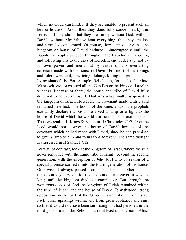which no cloud can hinder. If they are unable to present such an heir or house of David, then they stand fully condemned by this verse, and they show that they are surely without God, without David, without Messiah, without everything, that they are lost and eternally condemned. Of course, they cannot deny that the kingdom or house of David endured uninterruptedly until the Babylonian captivity, even throughout the Babylonian captivity, and following this to the days of Herod. It endured, I say, not by its own power and merit but by virtue of this everlasting covenant made with the house of David. For most of their kings and rulers were evil, practicing idolatry, killing the prophets, and living shamefully. For example, Rehoboam, Joram, Joash, Ahaz, Manasseh, etc., surpassed all the Gentiles or the kings of Israel in vileness. Because of them, the house and tribe of David fully deserved to be exterminated. That was what finally happened to the kingdom of Israel. However, the covenant made with David remained in effect. The books of the kings and of the prophets exultantly declare that God preserved a lamp or a light to the house of David which he would not permit to be extinguished. Thus we read in II Kings 8:19 and in II Chronicles 21:7: "Yet the Lord would not destroy the house of David because of the covenant which he had made with David, since he had promised to give a lamp to him and to his sons forever." The same thought is expressed in II Samuel 7:12.

By way of contrast, look at the kingdom of Israel, where the rule never remained with the same tribe or family beyond the second generation, with the exception of Jehu [65] who by reason of a special promise carried it into the fourth generation of his house. Otherwise it always passed from one tribe to another, and at times scarcely survived for one generation; moreover, it was not long until the kingdom died out completely. But through the wondrous deeds of God the kingdom of Judah remained within the tribe of Judah and the house of David. It withstood strong opposition on the part of the Gentiles round about, from Israel itself, from uprisings within, and from gross idolatries and sins, so that it would not have been surprising if it had perished in the third generation under Rehoboam, or at least under Joram, Ahaz,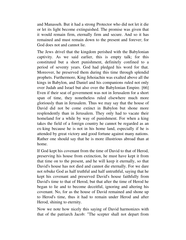and Manasseh. But it had a strong Protector who did not let it die or let its light become extinguished. The promise was given that it would remain firm, eternally firm and secure. And so it has remained and must remain down to the present and forever; for God does not and cannot lie.

The Jews drivel that the kingdom perished with the Babylonian captivity. As we said earlier, this is empty talk; for this constituted but a short punishment, definitely confined to a period of seventy years. God had pledged his word for that. Moreover, he preserved them during this time through splendid prophets. Furthermore, King Jehoiachin was exalted above all the kings in Babylon, and Daniel and his companions ruled not only over Judah and Israel but also over the Babylonian Empire. [66] Even if their seat of government was not in Jerusalem for a short span of time, they nonetheless ruled elsewhere much more gloriously than in Jerusalem. Thus we may say that the house of David did not be come extinct in Babylon but shone more resplendently than in Jerusalem. They only had to vacate their homeland for a while by way of punishment. For when a king takes the field of a foreign country he cannot be regarded as an ex-king because he is not in his home land, especially if he is attended by great victory and good fortune against many nations. Rather one should say that he is more illustrious abroad than at home.

If God kept his covenant from the time of David to that of Herod, preserving his house from extinction, he must have kept it from that time on to the present, and he will keep it eternally, so that David's house has not died and cannot die eternally. For we dare not rebuke God as half truthful and half untruthful, saying that he kept his covenant and preserved David's house faithfully from David's time to that of Herod, but that after the time of Herod he began to lie and to become deceitful, ignoring and altering his covenant. No, for as the house of David remained and shone up to Herod's time, thus it had to remain under Herod and after Herod, shining to eternity.

Now we note how nicely this saying of David harmonizes with that of the patriarch Jacob: "The scepter shall not depart from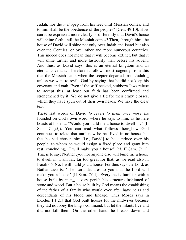Judah, nor the *mehoqeq* from his feet until Messiah comes, and to him shall be the obedience of the peoples" [Gen. 49:10]. How can it be expressed more clearly or differently that David's house will shine forth until the Messiah comes? Then, through him, the house of David will shine not only over Judah and Israel but also over the Gentiles, or over other and more numerous countries. This indeed does not mean that it will become extinct, but that it will shine farther and more lustrously than before his advent. And thus, as David says, this is an eternal kingdom and an eternal covenant. Therefore it follows most cogently from this that the Messiah came when the scepter departed from Judah \_ unless we want to revile God by saying that he did not keep his covenant and oath. Even if the stiff-necked, stubborn Jews refuse to accept this, at least our faith has been confirmed and strengthened by it. We do not give a fig for their crazy glosses, which they have spun out of their own heads. We have the clear text.

These last words of David to revert to them once more are founded on God's own word, where he says to him, as he here boasts at his end: "Would you build me a house to dwell in?" (II Sam. 7 (:5). You can read what follows there how God continues to relate that until now he has lived in no house, but that he had chosen him [i.e., David] to be a prince over his people, to whom he would assign a fixed place and grant him rest, concluding, "I will make you a house" [cf. II Sam. 7:11]. That is to say: Neither ,you nor anyone else will build me a house to dwell in; I am far, far too great for that, as we read also in Isaiah 66. No, I will build you a house. For thus says the Lord, as Nathan asserts: "The Lord declares to you that the Lord will make you a house" [II Sam. 7:11]. Everyone is familiar with a house built by man\_ a very perishable structure fashioned of stone and wood. But a house built by God means the establishing of the father of a family who would ever after have heirs and descendants of his blood and lineage. Thus Moses says in Exodus 1 [:21] that God built houses for the midwives because they did not obey the king's command, but let the infants live and did not kill them. On the other hand, he breaks down and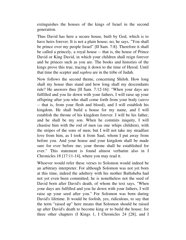extinguishes the houses of the kings of Israel in the second generation.

Thus David has here a secure house, built by God, which is to have heirs forever. It is not a plain house; no, he says, "You shall be prince over my people Israel" [II Sam. 7:8]. Therefore it shall be called a princely, a royal house -- that is, the house of Prince David or King David, in which your children shall reign forever and be princes such as you are. The books and histories of the kings prove this true, tracing it down to the time of Herod. Until that time the scepter and *saphra* are in the tribe of Judah.

Now follows the second theme, concerning Shiloh. How long shall my house thus stand and how long shall my descendants rule? He answers thus [II Sam. 7:12-16]: "When your days are fulfilled and you lie down with your fathers, I will raise up your offspring after you who shall come forth from your body (*utero* -- that is, from your flesh and blood), and I will establish his kingdom. He shall build a house for my name, and I will establish the throne of his kingdom forever. I will be his father, and he shall be my son. When he commits iniquity, I will chastise him with the rod of men (as one whips children), with the stripes of the sons of men; but I will not take my steadfast love from him, as I took it from Saul, whom I put away from before you. And your house and your kingdom shall be made sure for ever before me; your throne shall be established for ever." This statement is found almost verbatim also in I Chronicles  $18$  [17:11-14], where you may read it.

Whoever would refer these verses to Solomon would indeed be an arbitrary interpreter. For although Solomon was not yet born at this time, indeed the adultery with his mother Bathsheba had not yet even been committed, he is nonetheless not the seed of David born after David's death, of whom the text says, "When your days are fulfilled and you lie down with your fathers, I will raise up your seed after you." For Solomon was born during David's lifetime. It would be foolish, yes, ridiculous, to say that the term "raised up" here means that Solomon should be raised up after David's death to become king or to build the house; for three other chapters (I Kings 1, I Chronicles 24 [28], and I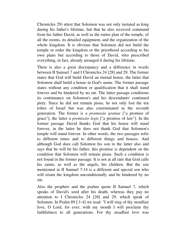Chronicles 29) attest that Solomon was not only instated as king during his father's lifetime, but that he also received command from his father David, as well as the entire plan of the temple, of all the rooms, its detailed equipment, and the organization of the whole kingdom. It is obvious that Solomon did not build the temple or order the kingdom or the priesthood according to his own plans but according to those of David, who prescribed everything, in fact, already arranged it during his lifetime.

There is also a great discrepancy and a difference in words between II Samuel 7 and I Chronicles 24 [28] and 29. The former states that God will build David an eternal house, the latter that Solomon shall build a house in God's name. The former passage states without any condition or qualification that it shall stand forever and be hindered by no sin. The latter passage conditions its continuance on Solomon's and his descendants' continued piety. Since he did not remain pious, he not only lost the ten tribes of Israel but was also exterminated in the seventh generation. The former is a *promissio gratiae* ["a promise of grace"], the latter a *promissio legis* ["a promise of law"]. In the former passage David thanks God that his house will stand forever, in the latter he does not thank God that Solomon's temple will stand forever. In other words, the two passages refer to different times and to different things and houses. And although God does call Solomon his son in the latter also and says that he will be his father, this promise is dependent on the condition that Solomon will remain pious. Such a condition is not found in the former passage. It is not at all rare that God calls his saints, as well as the angels, his children. But the son mentioned in II Samuel 7:14 is a different and special son who will retain the kingdom unconditionally and be hindered by no sin.

Also the prophets and the psalms quote II Samuel 7, which speaks of David's seed after his death, whereas they pay no attention to I Chronicles  $24$   $[28]$  and  $29$ , which speak of Solomon. In Psalm 89 [:1-4] we read: "I will sing of thy steadfast love, O Lord, for ever; with my mouth I will proclaim thy faithfulness to all generations. For thy steadfast love was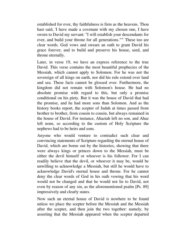established for ever, thy faithfulness is firm as the heavens. Thou hast said, 'I have made a covenant with my chosen one, I have sworn to David my servant: "I will establish your descendants for ever, and build your throne for all generations."'" These too are clear words. God vows and swears an oath to grant David his grace forever, and to build and preserve his house, seed, and throne eternally.

Later, in verse 19, we have an express reference to the true David. This verse contains the most beautiful prophecies of the Messiah, which cannot apply to Solomon. For he was not the sovereign of all kings on earth, nor did his rule extend over land and sea. These facts cannot be glossed over. Furthermore, the kingdom did not remain with Solomon's house. He had no absolute promise with regard to this, but only a promise conditional on his piety. But it was the house of David that had the promise, and he had more sons than Solomon. And as the history books report, the scepter of Judah at times passed from brother to brother, from cousin to cousin, but always remained in the house of David. For instance, Ahaziah left no son, and Ahaz left none, so according to the custom of Holy Scripture the nephews had to be heirs and sons.

Anyone who would venture to contradict such clear and convincing statements of Scripture regarding the eternal house of David, which are borne out by the histories, showing that there were always kings or princes down to the Messiah, must be either the devil himself or whoever is his follower. For I can readily believe that the devil, or whoever it may be, would be unwilling to acknowledge a Messiah, but still he would have to acknowledge David's eternal house and throne. For he cannot deny the clear words of God in his oath vowing that his word would not be changed and that he would not lie to David, not even by reason of any sin, as the aforementioned psalm [Ps. 89] impressively and clearly states.

Now such an eternal house of David is nowhere to be found unless we place the scepter before the Messiah and the Messiah after the scepter, and then join the two together: namely, by asserting that the Messiah appeared when the scepter departed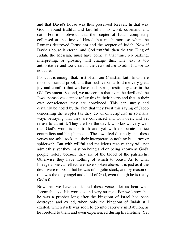and that David's house was thus preserved forever. In that way God is found truthful and faithful in his word, covenant, and oath. For it is obvious that the scepter of Judah completely collapsed at the time of Herod, but much more so when the Romans destroyed Jerusalem and the scepter of Judah. Now if David's house is eternal and God truthful, then the true King of Judah, the Messiah, must have come at that time. No barking, interpreting, or glossing will change this. The text is too authoritative and too clear. If the Jews refuse to admit it, we do not care.

For us it is enough that, first of all, our Christian faith finds here most substantial proof, and that such verses afford me very great joy and comfort that we have such strong testimony also in the Old Testament. Second, we are certain that even the devil and the Jews themselves cannot refute this in their hearts and that in their own consciences they are convinced. This can surely and certainly be noted by the fact that they twist this saying of Jacob concerning the scepter (as they do all of Scripture) in so many ways betraying that they are convinced and won over, and yet refuse to admit it. They are like the devil, who knows very well that God's word is the truth and yet with deliberate malice contradicts and blasphemes it. The Jews feel distinctly that these verses are solid rock and their interpretation nothing but straw or spiderweb. But with willful and malicious resolve they will not admit this; yet they insist on being and on being known as God's people, solely because they are of the blood of the patriarchs. Otherwise they have nothing of which to boast. As to what lineage alone can effect, we have spoken above. It is just as if the devil were to boast that he was of angelic stock, and by reason of this was the only angel and child of God, even though he is really God's foe.

Now that we have considered these verses, let us hear what Jeremiah says. His words sound very strange. For we know that he was a prophet long after the kingdom of Israel had been destroyed and exiled, when only the kingdom of Judah still existed, which itself was soon to go into captivity in Babylon, as he foretold to them and even experienced during his lifetime. Yet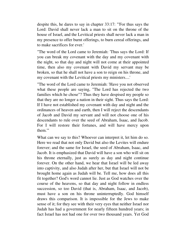despite this, he dares to say in chapter 33:17: "'For thus says the Lord: David shall never lack a man to sit on the throne of the house of Israel, and the Levitical priests shall never lack a man in my presence to offer burnt offerings, to burn cereal offerings, and to make sacrifices for ever.'

"The word of the Lord came to Jeremiah: 'Thus says the Lord: If you can break my covenant with the day and my covenant with the night, so that day and night will not come at their appointed time, then also my covenant with David my servant may be broken, so that he shall not have a son to reign on his throne, and my covenant with the Levitical priests my ministers....'

"The word of the Lord came to Jeremiah: 'Have you not observed what these people are saying, "The Lord has rejected the two families which he chose"? Thus they have despised my people so that they are no longer a nation in their sight. Thus says the Lord: If I have not established my covenant with day and night and the ordinances of heaven and earth, then I will reject the descendants of Jacob and David my servant and will not choose one of his descendants to rule over the seed of Abraham, Isaac, and Jacob. For I will restore their fortunes, and will have mercy upon them.'"

What can we say to this? Whoever can interpret it, let him do so. Here we read that not only David but also the Levites will endure forever; and the same for Israel, the seed of Abraham, Isaac, and Jacob. It is emphasized that David will have a son who will sit on his throne eternally, just as surely as day and night continue forever. On the other hand, we hear that Israel will be led away into captivity, and also Judah after her, but that Israel will not be brought home again as Judah will be. Tell me, how does all this fit together? God's word cannot lie. Just as God watches over the course of the heavens, so that day and night follow in endless succession, so too David (that is, Abraham, Isaac, and Jacob), must have a son on his throne uninterruptedly. God himself draws this comparison. It is impossible for the Jews to make sense of it; for they see with their very eyes that neither Israel nor Judah has had a government for nearly fifteen hundred years; in fact Israel has not had one for over two thousand years. Yet God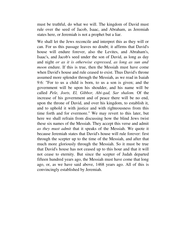must be truthful, do what we will. The kingdom of David must rule over the seed of Jacob, Isaac, and Abraham, as Jeremiah states here, or Jeremiah is not a prophet but a liar.

We shall let the Jews reconcile and interpret this as they will or can. For us this passage leaves no doubt; it affirms that David's house will endure forever, also the Levites, and Abraham's, Isaac's, and Jacob's seed under the son of David, as long as day and night *or as it is otherwise expressed, as long as sun and moon* endure. If this is true, then the Messiah must have come when David's house and rule ceased to exist. Thus David's throne assumed more splendor through the Messiah, as we read in Isaiah 9:6: "For to us a child is born, to us a son is given; and the government will be upon his shoulder, and his name will be called Pele, Joets, El, Gibbor, Abi-gad, Sar shalom. Of the increase of his government and of peace there will be no end, upon the throne of David, and over his kingdom, to establish it, and to uphold it with justice and with righteousness from this time forth and for evermore." We may revert to this later, but here we shall refrain from discussing how the blind Jews twist these six names of the Messiah. They accept this verse and admit *as they must admit* that it speaks of the Messiah. We quote it because Jeremiah states that David's house will rule forever: first through the scepter up to the time of the Messiah, and after that much more gloriously through the Messiah. So it must be true that David's house has not ceased up to this hour and that it will not cease to eternity. But since the scepter of Judah departed fifteen hundred years ago, the Messiah must have come that long ago, or, as we have said above, 1468 years ago. All of this is convincingly established by Jeremiah.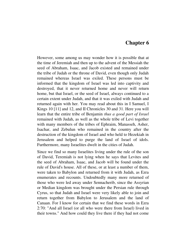## <span id="page-68-0"></span>[Chapter 6](#page-68-0)

However, some among us may wonder how it is possible that at the time of Jeremiah and then up to the advent of the Messiah the seed of Abraham, Isaac, and Jacob existed and remained under the tribe of Judah or the throne of David, even though only Judah remained whereas Israel was exiled. These persons must be informed that the kingdom of Israel was led into captivity and destroyed, that it never returned home and never will return home, but that Israel, or the seed of Israel, always continued to a certain extent under Judah, and that it was exiled with Judah and returned again with her. You may read about this in I Samuel, I Kings 10 [11] and 12, and II Chronicles 30 and 31. Here you will learn that the entire tribe of Benjamin *thus a good part of Israel* remained with Judah, as well as the whole tribe of Levi together with many members of the tribes of Ephraim, Manasseh, Asher, Isachar, and Zebulun who remained in the country after the destruction of the kingdom of Israel and who held to Hezekiah in Jerusalem and helped to purge the land of Israel of idols. Furthermore, many Israelites dwelt in the cities of Judah.

Since we find so many Israelites living under the rule of the son of David, Teremiah is not lying when he says that Levites and the seed of Abraham, Isaac, and Jacob will be found under the rule of David's house. All of these, or at least a number of them, were taken to Babylon and returned from it with Judah, as Ezra enumerates and recounts. Undoubtedly many more returned of those who were led away under Sennacherib, since the Assyrian or Median kingdom was brought under the Persian rule through Cyrus, so that Judah and Israel were very likely able to join and return together from Babylon to Jerusalem and the land of Canaan. For I know for certain that we find these words in Ezra 2:70: "And all Israel (or all who were there from Israel) lived in their towns." And how could they live there if they had not come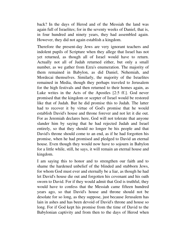back? In the days of Herod and of the Messiah the land was again full of Israelites; for in the seventy weeks of Daniel, that is, in four hundred and ninety years, they had assembled again. However, they did not again establish a kingdom.

Therefore the present-day Jews are very ignorant teachers and indolent pupils of Scripture when they allege that Israel has not yet returned, as though all of Israel would have to return. Actually not all of Judah returned either, but only a small number, as we gather from Ezra's enumeration. The majority of them remained in Babylon, as did Daniel, Nehemiah, and Mordecai themselves. Similarly, the majority of the Israelites remained in Media, though they perhaps traveled to Jerusalem for the high festivals and then returned to their homes again, as Luke writes in the Acts of the Apostles [2:5 ff.]. God never promised that the kingdom or scepter of Israel would be restored like that of Judah. But he did promise this to Judah. The latter had to recover it by virtue of God's promise that he would establish David's house and throne forever and not let it die out. For as Jeremiah declares here, God will not tolerate that anyone slander him by saying that he had rejected Judah and Israel entirely, so that they should no longer be his people and that David's throne should come to an end, as if he had forgotten his promise, when he had promised and pledged to David an eternal house. Even though they would now have to sojourn in Babylon for a little while, still, he says, it will remain an eternal house and kingdom.

I am saying this to honor and to strengthen our faith and to shame the hardened unbelief of the blinded and stubborn Jews, for whom God must ever and eternally be a liar, as though he had let David's house die out and forgotten his covenant and his oath sworn to David. For if they would admit that God is truthful, they would have to confess that the Messiah came fifteen hundred years ago, so that David's house and throne should not be desolate for so long, as they suppose, just because Jerusalem has lain in ashes and has been devoid of David's throne and house so long. For if God kept his promise from the time of David to the Babylonian captivity and from then to the days of Herod when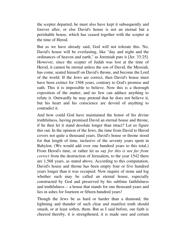the scepter departed, he must also have kept it subsequently and forever after, or else David's house is not an eternal but a perishable house, which has ceased together with the scepter at the time of Herod.

But as we have already said, God will not tolerate this. No, David's house will be everlasting, like "day and night and the ordinances of heaven and earth," as Jeremiah puts it [Jer. 33:25]. However, since the scepter of Judah was lost at the time of Herod, it cannot be eternal unless the son of David, the Messiah, has come, seated himself on David's throne, and become the Lord of the world. If the Jews are correct, then David's house must have been extinct for 1568 years, contrary to God's promise and oath. This it is impossible to believe. Now this is a thorough exposition of the matter, and no Jew can adduce anything to refute it. Outwardly he may pretend that he does not believe it, but his heart and his conscience are devoid of anything to contradict it.

And how could God have maintained the honor of his divine truthfulness, having promised David an eternal house and throne, if he then let it stand desolate longer than intact? Let us figure this out. In the opinion of the Jews, the time from David to Herod covers not quite a thousand years. David's house or throne stood for that length of time, inclusive of the seventy years spent in Babylon. (We would add over one hundred years to this total.) From Herod's time, or rather let us say *for this is not far from correct* from the destruction of Jerusalem, to the year 1542 there are 1,568 years, as stated above. According to this computation, David's house and throne has been empty four or five hundred years longer than it was occupied. Now inquire of stone and log whether such may be called an eternal house, especially constructed by God and preserved by his sublime faithfulness and truthfulness -- a house that stands for one thousand years and lies in ashes for fourteen or fifteen hundred years!

Though the Jews be as hard or harder than a diamond, the lightning and thunder of such clear and manifest truth should smash, or at least soften, them. But as I said before, our faith is cheered thereby, it is strengthened, it is made sure and certain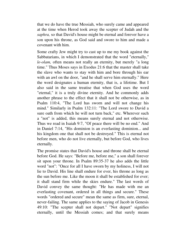that we do have the true Messiah, who surely came and appeared at the time when Herod took away the scepter of Judah and the *saphra,* so that David's house might be eternal and forever have a son upon his throne, as God said and swore to him and made a covenant with him.

Some crafty Jew might try to cast up to me my book against the Sabbatarians, in which I demonstrated that the word "eternally," *le-olam*, often means not really an eternity, but merely "a long time." Thus Moses says in Exodus 21:6 that the master shall take the slave who wants to stay with him and bore through his ear with an awl on the door, "and he shall serve him eternally." Here the word designates a human eternity, that is, a lifetime. But I also said in the same treatise that when God uses the word "eternal," it is a truly divine eternity. And he commonly adds another phrase to the effect that it shall not be otherwise, as in Psalm 110:4, "The Lord has sworn and will not change his mind." Similarly in Psalm 132:11: "The Lord swore to David a sure oath from which he will not turn back," etc. Wherever such a "not" is added, this means surely eternal and not otherwise. Thus we read in Isaiah 9:7, "Of peace there will be no end." And in Daniel 7:14, "His dominion is an everlasting dominion... and his kingdom one that shall not be destroyed." This is eternal not before men, who do not live eternally, but before God, who lives eternally.

The promise states that David's house and throne shall be eternal before God. He says: "Before me, before me," a son shall forever sit upon your throne. In Psalm 89:35-37 he also adds the little word "not": "Once for all I have sworn by my holiness, I will not lie to David. His line shall endure for ever, his throne as long as the sun before me. Like the moon it shall be established for ever; it shall stand firm while the skies endure." The last words of David convey the same thought: "He has made with me an everlasting covenant, ordered in all things and secure." These words "ordered and secure" mean the same as firm, sure, eternal, never-failing. The same applies to the saying of Jacob in Genesis 49:10: "The scepter shall not depart." "Not depart" signifies eternally, until the Messiah comes; and that surely means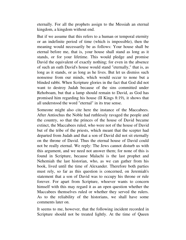eternally. For all the prophets assign to the Messiah an eternal kingdom, a kingdom without end.

But if we assume that this refers to a human or temporal eternity or an indefinite period of time (which is impossible), then the meaning would necessarily be as follows: Your house shall be eternal before me, that is, your house shall stand as long as it stands, or for your lifetime. This would pledge and promise David the equivalent of exactly nothing; for even in the absence of such an oath David's house would stand "eternally," that is, as long as it stands, or as long as he lives. But let us dismiss such nonsense from our minds, which would occur to none but a blinded rabbi. When Scripture glories in the fact that God did not want to destroy Judah because of the sins committed under Rehoboam, but that a lamp should remain to David, as God has promised him regarding his house (II Kings 8:19), it shows that all understood the word "eternal" in its true sense.

Someone might also cite here the instance of the Maccabees. After Antiochus the Noble had ruthlessly ravaged the people and the country, so that the princes of the house of David became extinct, the Maccabees ruled, who were not of the house of David but of the tribe of the priests, which meant that the scepter had departed from Judah and that a son of David did not sit eternally on the throne of David. Thus the eternal house of David could not be really eternal. We reply: The Jews cannot disturb us with this argument, and we need not answer them; for none of this is found in Scripture, because Malachi is the last prophet and Nehemiah the last historian, who, as we can gather from his book, lived until the time of Alexander. Therefore both parties must rely, so far as this question is concerned, on Jeremiah's statement that a son of David was to occupy his throne or rule forever. For apart from Scripture, whoever wants to concern himself with this may regard it as an open question whether the Maccabees themselves ruled or whether they served the rulers. As to the reliability of the historians, we shall have some comments later on.

It seems to me, however, that the following incident recorded in Scripture should not be treated lightly. At the time of Queen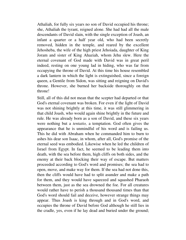Athaliah, for fully six years no son of David occupied his throne; she, Athaliah the tyrant, reigned alone. She had had all the male descendants of David slain, with the single exception of Joash, an infant a quarter or a half year old, who had been secretly removed, hidden in the temple, and reared by the excellent Jehosheba, the wife of the high priest Jehoiada, daughter of King Joram and sister of King Ahaziah, whom Jehu slew. Here the eternal covenant of God made with David was in great peril indeed, resting on one young lad in hiding, who was far from occupying the throne of David. At this time his house resembled a dark lantern in which the light is extinguished, since a foreign queen, a Gentile from Sidon, was sitting and reigning on David's throne. However, she burned her backside thoroughly on that throne!

Still, all of this did not mean that the scepter had departed or that God's eternal covenant was broken. For even if the light of David was not shining brightly at this time, it was still glimmering in that child Joash, who would again shine brightly in the future and rule. He was already born as a son of David, and these six years were nothing but a *tentatio,* a temptation. God often gives the appearance that he is unmindful of his word and is failing us. This he did with Abraham when he commanded him to burn to ashes his dear son Isaac, in whom, after all, God's promise of the eternal seed was embodied. Likewise when he led the children of Israel from Egypt. In fact, he seemed to be leading them into death, with the sea before them, high cliffs on both sides, and the enemy at their back blocking their way of escape. But matters proceeded according to God's word and promises; the sea had to open, move, and make way for them. If the sea had not done this, then the cliffs would have had to split asunder and make a path for them, and they would have squeezed and squashed Pharaoh between them, just as the sea drowned the foe. For all creatures would rather have to perish a thousand thousand times than that God's word should fail and deceive, however strange things may appear. Thus Joash is king through and in God's word, and occupies the throne of David before God although he still lies in the cradle, yes, even if he lay dead and buried under the ground;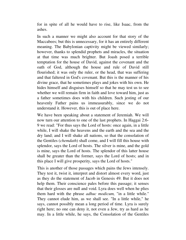for in spite of all he would have to rise, like Isaac, from the ashes.

In such a manner we might also account for that story of the Maccabees; but this is unnecessary, for it has an entirely different meaning. The Babylonian captivity might be viewed similarly; however, thanks to splendid prophets and miracles, the situation at that time was much brighter. But Joash posed a terrible temptation for the house of David, against the covenant and the oath of God, although the house and rule of David still flourished; it was only the ruler, or the head, that was suffering and that faltered in God's covenant. But this is the manner of his divine grace, that he sometimes plays and jokes with his own. He hides himself and disguises himself so that he may test us to see whether we will remain firm in faith and love toward him, just as a father sometimes does with his children. Such jesting of our heavenly Father pains us immeasurably, since we do not understand it. However, this is out of place here.

We have been speaking about a statement of Jeremiah. We will now turn our attention to one of the last prophets. In Haggai 2:6 9 we read: "For thus says the Lord of hosts: once again, in a little while, I will shake the heavens and the earth and the sea and the dry land; and I will shake all nations, so that the consolation of the Gentiles (*chemdath*) shall come, and I will fill this house with splendor, says the Lord of hosts. The silver is mine, and the gold is mine, says the Lord of hosts. The splendor of this latter house shall be greater than the former, says the Lord of hosts; and in this place I will give prosperity, says the Lord of hosts."

This is another of those passages which pains the Jews intensely. They test it, twist it, interpret and distort almost every word, just as they do the statement of Jacob in Genesis 49. But it does not help them. Their conscience pales before this passage; it senses that their glosses are null and void. Lyra does well when he plies them hard with the phrase *adhuc modicum,* "in a little while." They cannot elude him, as we shall see. "In a little while," he says, cannot possibly mean a long period of time. Lyra is surely right here; no one can deny it, not even a Jew, try as hard as he may. In a little while, he says, the Consolation of the Gentiles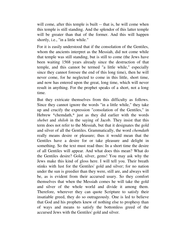will come, after this temple is built -- that is, he will come when this temple is still standing. And the splendor of this latter temple will be greater than that of the former. And this will happen shortly, i.e., "in a little while."

For it is easily understood that if the consolation of the Gentiles, whom the ancients interpret as the Messiah, did not come while that temple was still standing, but is still to come (the Jews have been waiting 1568 years already since the destruction of that temple, and this cannot be termed "a little while," especially since they cannot foresee the end of this long time), then he will never come, for he neglected to come in this little, short time, and now has entered upon the great, long time, which will never result in anything. For the prophet speaks of a short, not a long time.

But they extricate themselves from this difficulty as follows. Since they cannot ignore the words "in a little while," they take up and crucify the expression "consolation of the Gentiles," in Hebrew  $*$ chemdath, $*$  just as they did earlier with the words *shebet* and *shiloh* in the saying of Jacob. They insist that this term does not refer to the Messiah, but that it designates the gold and silver of all the Gentiles. Grammatically, the word *chemdath* really means desire or pleasure; thus it would mean that the Gentiles have a desire for or take pleasure and delight in something. So the text must read thus: In a short time the desire of all Gentiles will appear. And what does this mean? What do the Gentiles desire? Gold, silver, gems! You may ask why the Jews make this kind of gloss here. I will tell you. Their breath stinks with lust for the Gentiles' gold and silver; for no nation under the sun is greedier than they were, still are, and always will be, as is evident from their accursed usury. So they comfort themselves that when the Messiah comes he will take the gold and silver of the whole world and divide it among them. Therefore, wherever they can quote Scripture to satisfy their insatiable greed, they do so outrageously. One is led to believe that God and his prophets knew of nothing else to prophesy than of ways and means to satisfy the bottomless greed of the accursed Jews with the Gentiles' gold and silver.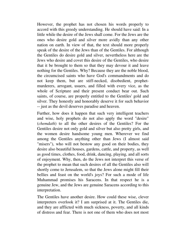However, the prophet has not chosen his words properly to accord with this greedy understanding. He should have said: In a little while the desire of the Jews shall come. For the Jews are the ones who desire gold and silver more avidly than any other nation on earth. In view of that, the text should more properly speak of the desire of the Jews than of the Gentiles. For although the Gentiles do desire gold and silver, nevertheless here are the Jews who desire and covet this desire of the Gentiles, who desire that it be brought to them so that they may devour it and leave nothing for the Gentiles. Why? Because they are the noble blood, the circumcised saints who have God's commandments and do not keep them, but are stiff-necked, disobedient, prophetmurderers, arrogant, usuers, and filled with every vice, as the whole of Scripture and their present conduct bear out. Such saints, of course, are properly entitled to the Gentiles' gold and silver. They honestly and honorably deserve it for such behavior -- just as the devil deserves paradise and heaven.

Further, how does it happen that such very intelligent teachers and wise, holy prophets do not also apply the word "desire" (*chemdath*) to all the other desires of the Gentiles? For the Gentiles desire not only gold and silver but also pretty girls, and the women desire handsome young men. Wherever we find among the Gentiles anything other than Jews (I almost said "misers"), who will not bestow any good on their bodies, they desire also beautiful houses, gardens, cattle, and property, as well as good times, clothes, food, drink, dancing, playing, and all sorts of enjoyment. Why, then, do the Jews not interpret this verse of the prophet to mean that such desires of all the Gentiles also will shortly come to Jerusalem, so that the Jews alone might fill their bellies and feast on the world's joys? For such a mode of life Muhammad promises his Saracens. In that respect he is a genuine Jew, and the Jews are genuine Saracens according to this interpretation.

The Gentiles have another desire. How could these wise, clever interpreters overlook it? I am surprised at it. The Gentiles die, and they are afflicted with much sickness, poverty, and all kinds of distress and fear. There is not one of them who does not most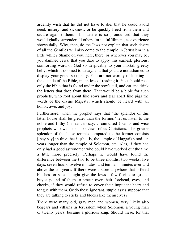ardently wish that he did not have to die, that he could avoid need, misery, and sickness, or be quickly freed from them and secure against them. This desire is so pronounced that they would gladly surrender all others for its fulfillment, as experience shows daily. Why, then, do the Jews not explain that such desire of all the Gentiles will also come to the temple in Jerusalem in a little while? Shame on you, here, there, or wherever you may be, you damned Jews, that you dare to apply this earnest, glorious, comforting word of God so despicably to your mortal, greedy belly, which is doomed to decay, and that you are not ashamed to display your greed so openly. You are not worthy of looking at the outside of the Bible, much less of reading it. You should read only the bible that is found under the sow's tail, and eat and drink the letters that drop from there. That would be a bible for such prophets, who root about like sows and tear apart like pigs the words of the divine Majesty, which should be heard with all honor, awe, and joy.

Furthermore, when the prophet says that "the splendor of this latter house shall be greater than the former," let us listen to the noble and filthy (I meant to say, circumcised ) saints and wise prophets who want to make Jews of us Christians. The greater splendor of the latter temple compared to the former consists [they say] in this: that it (that is, the temple of Haggai) stood ten years longer than the temple of Solomon, etc. Alas, if they had only had a good astronomer who could have worked out the time a little more precisely. Perhaps he would have found the difference between the two to be three months, two weeks, five days, seven hours, twelve minutes, and ten half-minutes over and above the ten years. If there were a store anywhere that offered blushes for sale, I might give the Jews a few florins to go and buy a pound of them to smear over their forehead, eyes, and cheeks, if they would refuse to cover their impudent heart and tongue with them. Or do these ignorant, stupid asses suppose that they are talking to sticks and blocks like themselves?

There were many old, gray men and women, very likely also beggars and villains in Jerusalem when Solomon, a young man of twenty years, became a glorious king. Should these, for that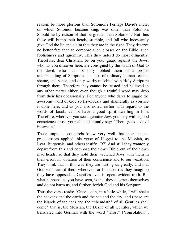reason, be more glorious than Solomon? Perhaps David's mule, on which Solomon became king, was older than Solomon. Should he by reason of that be greater than Solomon? But thus those will bump their heads, stumble, and fall who incessantly give God the lie and claim that they are in the right. They deserve no better fate than to compose such glosses on the Bible, such foolishness and ignominy. This they indeed do most diligently. Therefore, dear Christian, be on your guard against the Jews, who, as you discover here, are consigned by the wrath of God to the devil, who has not only robbed them of a proper understanding of Scripture, but also of ordinary human reason, shame, and sense, and only works mischief with Holy Scripture through them. Therefore they cannot be trusted and believed in any other matter either, even though a truthful word may drop from their lips occasionally. For anyone who dares to juggle the awesome word of God so frivolously and shamefully as you see it done here, and as you also noted earlier with regard to the words of Jacob, cannot have a good spirit dwelling in him. Therefore, wherever you see a genuine Jew, you may with a good conscience cross yourself and bluntly say: "There goes a devil incarnate."

These impious scoundrels know very well that their ancient predecessors applied this verse of Haggai to the Messiah, as Lyra, Burgensis, and others testify. [97] And still they wantonly depart from this and compose their own Bible out of their own mad heads, so that they hold their wretched Jews with them in their error, in violation of their conscience and to our vexation. They think that in this way they are hurting us greatly, and that God will reward them wherever for his sake (as they imagine) they have opposed us Gentiles even in open, evident truth. But what happens, as you have seen, is that they disgrace themselves and do not harm us, and further, forfeit God and his Scripture.

Thus the verse reads: "Once again, in a little while, I will shake the heavens and the earth and the sea and the dry land (these are the islands of the sea) and the \*chemdath\* of all Gentiles shall come" that is, the Messiah, the Desire of all Gentiles, which we translated into German with the word \*Trost\* ["consolation"].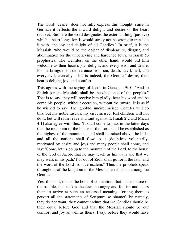The word "desire" does not fully express this thought, since in German it reflects the inward delight and desire of the heart (active). But here the word designates the external thing (passive) which a heart longs for. It would surely not be wrong to translate it with "the joy and delight of all Gentiles." In brief, it is the Messiah, who would be the object of displeasure, disgust, and abomination for the unbelieving and hardened Jews, as Isaiah 53 prophesies. The Gentiles, on the other hand, would bid him welcome as their heart's joy, delight, and every wish and desire. For he brings them deliverance from sin, death, devil, hell, and every evil, eternally. This is indeed, the Gentiles' desire, their heart's delight, joy, and comfort.

This agrees with the saying of Jacob in Genesis 49:10, "And to Shiloh (or the Messiah) shall be the obedience of the peoples." That is to say, they will receive him gladly, hear his word and be come his people, without coercion, without the sword. It is as if he wished to say: The ignoble, uncircumcised Gentiles will do this, but my noble rascals, my circumcised, lost children will not do it, but will rather rave and rant against it. Isaiah 2:2 and Micah 4:1] also agree with this: "It shall come to pass in the latter days that the mountain of the house of the Lord shall be established as the highest of the mountains, and shall be raised above the hills; and all the nations shall flow to it (doubtless voluntarily, motivated by desire and joy) and many people shall come, and say: 'Come, let us go up to the mountain of the Lord, to the house of the God of Jacob; that he may teach us his ways and that we may walk in his path.' For out of Zion shall go forth the law, and the word of the Lord from Jerusalem." Thus the prophets speak throughout of the kingdom of the Messiah established among the Gentiles.

Yes, this is it, this is the bone of contention, that is the source of the trouble, that makes the Jews so angry and foolish and spurs them to arrive at such an accursed meaning, forcing them to pervert all the statements of Scripture so shamefully: namely, they do not want, they cannot endure that we Gentiles should be their equal before God and that the Messiah should be our comfort and joy as well as theirs. I say, before they would have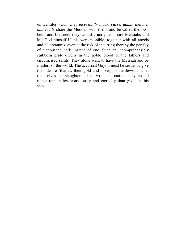us Gentiles *whom they incessantly mock, curse, damn, defame, and revile* share the Messiah with them, and be called their coheirs and brethren, they would crucify ten more Messiahs and kill God himself if this were possible, together with all angels and all creatures, even at the risk of incurring thereby the penalty of a thousand hells instead of one. Such an incomprehensibly stubborn pride dwells in the noble blood of the fathers and circumcised saints. They alone want to have the Messiah and be masters of the world. The accursed Goyim must be servants, give their desire (that is, their gold and silver) to the Jews, and let themselves be slaughtered like wretched cattle. They would rather remain lost consciously and eternally than give up this view.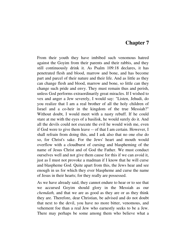## <span id="page-81-0"></span>[Chapter 7](#page-81-0)

From their youth they have imbibed such venomous hatred against the Goyim from their parents and their rabbis, and they still continuously drink it. As Psalm 109:18 declares, it has penetrated flesh and blood, marrow and bone, and has become part and parcel of their nature and their life. And as little as they can change flesh and blood, marrow and bone, so little can they change such pride and envy. They must remain thus and perish, unless God performs extraordinarily great miracles. If I wished to vex and anger a Jew severely, I would say: "Listen, Jehudi, do you realize that I am a real brother of all the holy children of Israel and a co-heir in the kingdom of the true Messiah?" Without doubt, I would meet with a nasty rebuff. If he could stare at me with the eyes of a basilisk, he would surely do it. And all the devils could not execute the evil he would wish me, even if God were to give them leave  $-$  of that I am certain. However, I shall refrain from doing this, and I ask also that no one else do so, for Christ's sake. For the Jews' heart and mouth would overflow with a cloudburst of cursing and blaspheming of the name of Jesus Christ and of God the Father. We must conduct ourselves well and not give them cause for this if we can avoid it, just as I must not provoke a madman if I know that he will curse and blaspheme God. Quite apart from this, the Jews hear and see enough in us for which they ever blaspheme and curse the name of Jesus in their hearts; for they really are possessed.

As we have already said, they cannot endure to hear or to see that we accursed Goyim should glory in the Messiah as our *chemdath,* and that we are as good as they are or as they think they are. Therefore, dear Christian, be advised and do not doubt that next to the devil, you have no more bitter, venomous, and vehement foe than a real Jew who earnestly seeks to be a Jew. There may perhaps be some among them who believe what a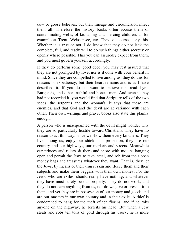cow or goose believes, but their lineage and circumcision infect them all. Therefore the history books often accuse them of contaminating wells, of kidnaping and piercing children, as for example at Trent, Weissensee, etc. They, of course, deny this. Whether it is true or not, I do know that they do not lack the complete, full, and ready will to do such things either secretly or openly where possible. This you can assuredly expect from them, and you must govern yourself accordingly.

If they do perform some good deed, you may rest assured that they are not prompted by love, nor is it done with your benefit in mind. Since they are compelled to live among us, they do this for reasons of expediency; but their heart remains and is as I have described it. If you do not want to believe me, read Lyra, Burgensis, and other truthful and honest men. And even if they had not recorded it, you would find that Scripture tells of the two seeds, the serpent's and the woman's. It says that these are enemies, and that God and the devil are at variance with each other. Their own writings and prayer books also state this plainly enough.

A person who is unacquainted with the devil might wonder why they are so particularly hostile toward Christians. They have no reason to act this way, since we show them every kindness. They live among us, enjoy our shield and protection, they use our country and our highways, our markets and streets. Meanwhile our princes and rulers sit there and snore with mouths hanging open and permit the Jews to take, steal, and rob from their open money bags and treasures whatever they want. That is, they let the Jews, by means of their usury, skin and fleece them and their subjects and make them beggars with their own money. For the Jews, who are exiles, should really have nothing, and whatever they have must surely be our property. They do not work, and they do not earn anything from us, nor do we give or present it to them, and yet they are in possession of our money and goods and are our masters in our own country and in their exile. A thief is condemned to hang for the theft of ten florins, and if he robs anyone on the highway, he forfeits his head. But when a Jew steals and robs ten tons of gold through his usury, he is more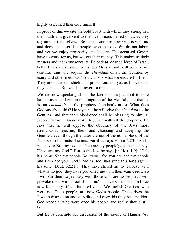highly esteemed than God himself.

In proof of this we cite the bold boast with which they strengthen their faith and give vent to their venomous hatred of us, as they say among themselves: "Be patient and see how God is with us, and does not desert his people even in exile. We do not labor, and yet we enjoy prosperity and leisure. The accursed Goyim have to work for us, but we get their money. This makes us their masters and them our servants. Be patient, dear children of Israel, better times are in store for us, our Messiah will still come if we continue thus and acquire the *chemdath* of all the Gentiles by usury and other methods." Alas, this is what we endure for them. They are under our shield and protection, and yet, as I have said, they curse us. But we shall revert to this later.

We are now speaking about the fact that they cannot tolerate having us as co-heirs in the kingdom of the Messiah, and that he is our *chemdath,* as the prophets abundantly attest. What does God say about this? He says that he will give the *chemdath* to the Gentiles, and that their obedience shall be pleasing to him, as Jacob affirms in Genesis 49, together with all the prophets. He says that he will oppose the obduracy of the Jews most strenuously, rejecting them and choosing and accepting the Gentiles, even though the latter are not of the noble blood of the fathers or circumcised saints. For thus says Hosea 2:23: "And I will say to Not my people, 'You are my people'; and he shall say, 'Thou are my God.'" But to the Jew he says [in Hos. 1:9]: "Call his name Not my people (*lo-ammi*), for you are not my people and I am not your God." Moses. too, had sung this long ago in his song [Deut. 32:21]: "They have stirred me to jealousy with what is no god; they have provoked me with their vain deeds. So I will stir them to jealousy with those who are no people; I will provoke them with a foolish nation." This verse has been in force now for nearly fifteen hundred years. We foolish Gentiles, who were not God's people, are now God's people. That drives the Jews to distraction and stupidity, and over this they became Not-God's-people, who were once his people and really should still be.

But let us conclude our discussion of the saying of Haggai. We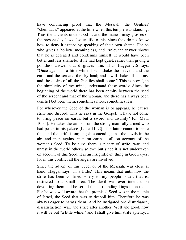have convincing proof that the Messiah, the Gentiles' \*chemdath,\* appeared at the time when this temple was standing. Thus the ancients understood it, and the inane flimsy glosses of the present-day Jews also testify to this, since they do not know how to deny it except by speaking of their own shame. For he who gives a hollow, meaningless, and irrelevant answer shows that he is defeated and condemns himself. It would have been better and less shameful if he had kept quiet, rather than giving a pointless answer that disgraces him. Thus Haggai 2:6 says, "Once again, in a little while, I will shake the heavens and the earth and the sea and the dry land; and I will shake all nations, and the desire of all the Gentiles shall come." This is how I, in the simplicity of my mind, understand these words: Since the beginning of the world there has been enmity between the seed of the serpent and that of the woman, and there has always been conflict between them, sometimes more, sometimes less.

For wherever the Seed of the woman is or appears, he causes strife and discord. This he says in the Gospel: "I have not come to bring peace on earth, but a sword and disunity" [cf. Matt. 10:34]. He takes the armor from the strong man fully armed who had peace in his palace [Luke 11:22]. The latter cannot tolerate this, and the strife is on; angels contend against the devils in the air, and man against man on earth -- all on account of the woman's Seed. To be sure, there is plenty of strife, war, and unrest in the world otherwise too; but since it is not undertaken on account of this Seed, it is an insignificant thing in God's eyes, for in this conflict all the angels are involved.

Since the advent of this Seed, or of the Messiah, was close at hand, Haggai says "in a little." This means that until now the strife has been confined solely to my people Israel, that is, restricted to a small area. The devil was ever intent upon devouring them and he set all the surrounding kings upon them. For he was well aware that the promised Seed was in the people of Israel, the Seed that was to despoil him. Therefore he was always eager to harass them. And he instigated one disturbance, dissatisfaction, war, and strife after another. Well and good, now it will be but "a little while," and I shall give him strife aplenty. I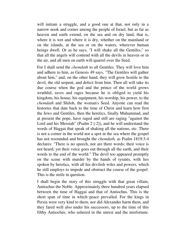will initiate a struggle, and a good one at that, not only in a narrow nook and corner among the people of Israel, but as far as heaven and earth extend, on the sea and on dry land, that is, where it is wet and where it is dry, whether on the mainland or on the islands, at the sea or on the waters, wherever human beings dwell. Or as he says, "I will shake all the Gentiles," so that all the angels will contend with all the devils in heaven or in the air, and all men on earth will quarrel over the Seed.

For I shall send the *chemdath* to all Gentiles. They will love him and adhere to him, as Genesis 49 says, "The Gentiles will gather about him," and, on the other hand, they will grow hostile to the devil, the old serpent, and defect from him. Then all will take its due course when the god and the prince of the world grows wrathful, raves and rages because he is obliged to yield his kingdom, his house, his equipment, his worship, his power, to the *chemdath* and Shiloh, the woman's Seed. Anyone can read the histories that date back to the time of Christ and learn how first the Jews and Gentiles, then the heretics, finally Muhammad, and at present the pope, have raged and still are raging "against the Lord and his Messiah" (Psalm 2 [:2]), and he will understand the words of Haggai that speak of shaking all the nations, etc. There is not a corner in the world nor a spot in the sea where the gospel has not resounded and brought the *chemdath*, as Psalm 1819:3-4 declares: "There is no speech, nor are there words; their voice is not heard; yet their voice goes out through all the earth, and their words to the end of the world." The devil too appeared promptly on the scene with murder by the hands of tyrants, with lies spoken by heretics, with all his devilish wiles and powers, which he still employs to impede and obstruct the course of the gospel. This is the strife in question.

I shall begin the story of this struggle with that great villain, Antiochus the Noble. Approximately three hundred years elapsed between the time of Haggai and that of Antiochus. This is the short span of time in which peace prevailed. For the kings in Persia were very kind to them, nor did Alexander harm them, and they fared well also under his successors, up to the time of this filthy Antiochus, who ushered in the unrest and the misfortune.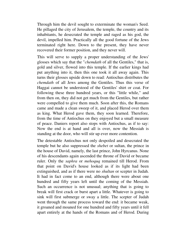Through him the devil sought to exterminate the woman's Seed. He pillaged the city of Jerusalem, the temple, the country and its inhabitants, he desecrated the temple and raged as his god, the devil, impelled him. Practically all the good fortune of the Jews terminated right here. Down to the present, they have never recovered their former position, and they never will.

This will serve to supply a proper understanding of the Jews' glosses which say that the "*chemdath* of all the Gentiles," that is, gold and silver, flowed into this temple. If the earlier kings had put anything into it, then this one took it all away again. This turns their glosses upside down to read: Antiochus distributes the *chemdath* of all Jews among the Gentiles. Thus this verse of Haggai cannot be understood of the Gentiles' shirt or coat. For following these three hundred years, or this "little while," and from then on, they did not get much from the Gentiles, but rather were compelled to give them much. Soon after this, the Romans came and made a clean sweep of it, and placed Herod over them as king. What Herod gave them, they soon learned. Therefore, from the time of Antiochus on they enjoyed but a small measure of peace. Daniers report also stops with Antiochus, as if to say: Now the end is at hand and all is over, now the Messiah is standing at the door, who will stir up ever more contention.

The detestable Antiochus not only despoiled and desecrated the temple but he also suppressed the *shebet* or sultan, the prince in the house of David, namely, the last prince, John Hyrcanus. None of his descendants again ascended the throne of David or became ruler. Only the *saphra* or *mehoquq* remained till Herod. From that point on David's house looked as if its light had been extinguished, and as if there were no *shultan* or scepter in Judah. It had in fact come to an end, although there were about one hundred and fifty years left until the coming of the Messiah. Such an occurrence is not unusual; anything that is going to break will first crack or burst apart a little. Whatever is going to sink will first submerge or sway a little. The scepter of Judah went through the same process toward the end: it became weak, it groaned and moaned for one hundred and fifty years until it fell apart entirely at the hands of the Romans and of Herod. During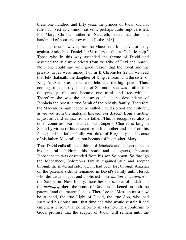these one hundred and fifty years the princes of Judah did not rule but lived as common citizens, perhaps quite impoverished. For Mary, Christ's mother in Nazareth, states that she is a handmaid of poor and low estate [Luke 1:48].

It is also true, however, that the Maccabees fought victoriously against Antiochus. Daniel 11:34 refers to this as "a little help." Those who in this way ascended the throne of David and assumed the rule were priests from the tribe of Levi and Aaron. Now one could say with good reason that the royal and the priestly tribes were mixed. For in II Chronicles 22:11 we read that Jehoshabeath, the daughter of King Jehoram and the sister of King Ahaziah, was the wife of Jehoiada, the high priest. Thus, coming from the royal house of Solomon, she was grafted into the priestly tribe and became one trunk and tree with it. Therefore she was the ancestress of all the descendants of Jehoiada the priest, a true Sarah of the priestly family. Therefore the Maccabees may indeed be called David's blood and children, as viewed from the maternal lineage. For descent from a mother is just as valid as that from a father. This is recognized also in other countries. For instance, our Emperor Charles is king in Spain by virtue of his descent from his mother and not from his father; and his father Philip was duke of Burgundy not because of his father, Maximilian, but because of his mother, Mary.

Thus David calls all the children of Jehoiada and of Jehoshabeath his natural children, his sons and daughters, because Jehoshabeath was descended from his son Solomon. So through the Maccabees, Solomon's family regained rule and scepter through the maternal side, after it had been lost through Ahaziah on the paternal side. It remained in David's family until Herod, who did away with it and abolished both *shultan* and *saphra* or the Sanhedrin. Now finally, there lies the scepter of Judah and the *mehoqeq,* there the house of David is darkened on both the paternal and the maternal sides. Therefore the Messiah must now be at hand, the true Light of David, the true Son, who had sustained his house until that time and who would sustain it and enlighten it from that point on to all eternity. This conforms to God's promise that the scepter of Judah will remain until the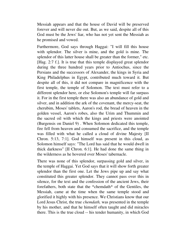Messiah appears and that the house of David will be preserved forever and will never die out. But, as we said, despite all of this God must be the Jews' liar, who has not yet sent the Messiah as he promised and vowed.

Furthermore, God says through Haggai: "I will fill this house with splendor. The silver is mine, and the gold is mine. The splendor of this latter house shall be greater than the former," etc. [Hag. 2:7 f.]. It is true that this temple displayed great splendor during the three hundred years prior to Antiochus, since the Persians and the successors of Alexander, the kings in Syria and King Philadelphus in Egypt, contributed much toward it. But despite all of this, it did not compare in magnificence with the first temple, the temple of Solomon. The text must refer to a different splendor here, or else Solomon's temple will far surpass it. For in the first temple there was also an abundance of gold and silver, and in addition the ark of the covenant, the mercy-seat, the cherubim, Moses' tablets, Aaron's rod, the bread of heaven in the golden vessel, Aaron's robes, also the Urim and Thummin and the sacred oil with which the kings and priests were anointed (Burgensis on Daniel 9) . When Solomon dedicated this temple, fire fell from heaven and consumed the sacrifice, and the temple was filled with what he called a cloud of divine Majesty [II Chron. 5:13, 7:1]. God himself was present in this cloud, as Solomon himself says: "The Lord has said that he would dwell in thick darkness" [II Chron. 6:1]. He had done the same thing in the wilderness as he hovered over Moses' tabernacle.

There was none of this splendor, surpassing gold and silver, in the temple of Haggai. Yet God says that it will show forth greater splendor than the first one. Let the Jews pipe up and say what constituted this greater splendor. They cannot pass over this in silence, for the text and the confession of the ancient Jews, their forefathers, both state that the \*chemdath\* of the Gentiles, the Messiah, came at the time when the same temple stood and glorified it highly with his presence. We Christians know that our Lord Jesus Christ, the true *chemdath,* was presented in the temple by his mother, and that he himself often taught and did miracles there. This is the true cloud -- his tender humanity, in which God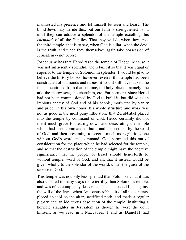manifested his presence and let himself be seen and heard. The blind Jews may deride this, but our faith is strengthened by it, until they can adduce a splendor of the temple excelling this *chemdath* of all the Gentiles. That they will do when they erect the third temple, that is to say, when God is a liar, when the devil is the truth, and when they themselves again take possession of Jerusalem -- not before.

Josephus writes that Herod razed the temple of Haggai because it was not sufficiently splendid, and rebuilt it so that it was equal or superior to the temple of Solomon in splendor. I would be glad to believe the history books; however, even if this temple had been constructed of diamonds and rubies, it would still have lacked the items mentioned from that sublime, old holy place -- namely, the ark, the mercy-seat, the cherubim, etc. Furthermore, since Herod had not been commissioned by God to build it, but did so as an impious enemy of God and of his people, motivated by vanity and pride, in his own honor, his whole structure and work was not as good a, the most puny little stone that Zerubbabel placed into the temple by command of God. Herod certainly did not merit much grace for tearing down and desecrating the temple which had been commanded, built, and consecrated by the word of God, and then presuming to erect a much more glorious one without God's word and command. God permitted this out of consideration for the place which he had selected for the temple, and so that the destruction of the temple might have the negative significance that the people of Israel should henceforth be without temple, word of God, and all, that it instead would be given wholly to the splendor of the world, under the guise of the service to God.

This temple was not only less splendid than Solomon's, but it was also violated in many ways more terribly than Solomon's temple, and was often completely desecrated. This happened first, against the will of the Jews, when Antiochus robbed it of all its contents, placed an idol on the altar, sacrificed pork, and made a regular pig-sty and an idolatrous desolation of the temple, instituting a horrible slaughter in Jerusalem as though he were the devil himself, as we read in I Maccabees 1 and as Daniel11 had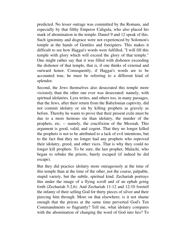predicted. No lesser outrage was committed by the Romans, and especially by that filthy Emperor Caligula, who also placed his mark of abomination in the temple. Daniel 9 and 12 speak of this. Such ignominy and disgrace were not experienced by Solomon's temple at the hands of Gentiles and foreigners. This makes it difficult to see how Haggai's words were fulfilled, "I will fill this temple with glory which will exceed the glory of that temple." One might rather say that it was filled with dishonor exceeding the dishonor of that temple, that is, if one thinks of external and outward honor. Consequently, if Haggai's words are to be accounted true, he must be referring to a different kind of splendor.

Second, the Jews themselves also desecrated this temple more viciously than the other one ever was desecrated: namely, with spiritual idolatries. Lyra writes, and others too, in many passages, that the Jews, after their return from the Babylonian captivity, did not commit idolatry or sin by killing prophets as gravely as before. Thereby he wants to prove that their present exile must be due to a more heinous sin than idolatry, the murder of the prophets, etc. namely, the crucifixion of the Messiah. This argument is good, valid, and cogent. That they no longer killed the prophets is not to be attributed to a lack of evil intentions, but to the fact that they no longer had any prophets who reproved their idolatry, greed, and other vices. That is why they could no longer kill prophets. To be sure, the last prophet, Malachi, who began to rebuke the priests, barely escaped (if indeed he did escape).

But they did practice idolatry more outrageously at the time of this temple than at the time of the other\_not the coarse, palpable, stupid variety, but the subtle, spiritual kind. Zechariah portrays this under the image of a flying scroll and of an ephah going forth (Zechariah 5:2,6). And Zechariah 11:12 and 12:10 foretell the infamy of their selling God for thirty pieces of silver and their piercing him through. More on that elsewhere; is it not shame enough that the priests at the same time perverted God's Ten Commandments so flagrantly? Tell me, what idolatry compares with the abomination of changing the word of God into lies? To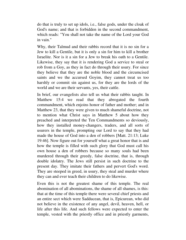do that is truly to set up idols, i.e., false gods, under the cloak of God's name; and that is forbidden in the second commandment, which reads: "You shall not take the name of the Lord your God in vain."

Why, their Talmud and their rabbis record that it is no sin for a Jew to kill a Gentile, but it is only a sin for him to kill a brother Israelite. Nor is it a sin for a Jew to break his oath to a Gentile. Likewise, they say that it is rendering God a service to steal or rob from a Goy, as they in fact do through their usury. For since they believe that they are the noble blood and the circumcised saints and we the accursed Goyim, they cannot treat us too harshly or commit sin against us, for they are the lords of the world and we are their servants, yes, their cattle.

In brief, our evangelists also tell us what their rabbis taught. In Matthew 15:4 we read that they abrogated the fourth commandment, which enjoins honor of father and mother; and in Matthew 23, that they were given to much shameful doctrine, not to mention what Christ says in Matthew 5 about how they preached and interpreted the Ten Commandments so deviously, how they installed money-changers, traders, and all sorts of usurers in the temple, prompting our Lord to say that they had made the house of God into a den of robbers [Matt. 21:13; Luke 19:46]. Now figure out for yourself what a great honor that is and how the temple is filled with such glory that God must call his own house a den of robbers because so many souls had been murdered through their greedy, false doctrine, that is, through double idolatry. The Jews still persist in such doctrine to the present day. They imitate their fathers and pervert God's word. They are steeped in greed, in usury, they steal and murder where they can and ever teach their children to do likewise.

Even this is not the greatest shame of this temple. The real abomination of all abominations, the shame of all shames, is this: that at the time of this temple there were several chief priests and an entire sect which were Sadducean, that is, Epicurean, who did not believe in the existence of any angel, devil, heaven, hell, or life after this life. And such fellows were expected to enter the temple, vested with the priestly office and in priestly garments,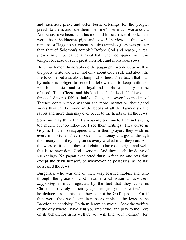and sacrifice, pray, and offer burnt offerings for the people, preach to them, and rule them! Tell me? how much worse could Antiochus have been, with his idol and his sacrifice of pork, than were these Sadducean pigs and sows? In view of this, what remains of Haggai's statement that this temple's glory was greater than that of Solomon's temple? Before God and reason, a real pig-sty might be called a royal hall when compared with this temple, because of such great, horrible, and monstrous sows.

How much more honorably do the pagan philosophers, as well as the poets, write and teach not only about God's rule and about the life to come but also about temporal virtues. They teach that man by nature is obliged to serve his fellow man, to keep faith also with his enemies, and to be loyal and helpful especially in time of need. Thus Cicero and his kind teach. Indeed, I believe that three of Aesop's fables, half of Cato, and several comedies of Terence contain more wisdom and more instruction about good works than can be found in the books of all the Talmudists and rabbis and more than may ever occur to the hearts of all the Jews.

Someone may think that I am saying too much. I am not saying too much, but too little- for I see their writings. They curse us Goyim. In their synagogues and in their prayers they wish us every misfortune. They rob us of our money and goods through their usury, and they play on us every wicked trick they can. And the worst of it is that they still claim to have done right and well, that is, to have done God a service. And they teach the doing of such things. No pagan ever acted thus; in fact, no one acts thus except the devil himself, or whomever he possesses, as he has possessed the Jews.

Burgensis, who was one of their very learned rabbis, and who through the grace of God became a Christian *a very rare happening* is much agitated by the fact that they curse us Christians so vilely in their synagogues (as Lyra also writes), and he deduces from this that they cannot be God's people. For if they were, they would emulate the example of the Jews in the Babylonian captivity. To them Jeremiah wrote, "Seek the welfare of the city where I have sent you into exile, and pray to the Lord on its behalf, for in its welfare you will find your welfare" [Jer.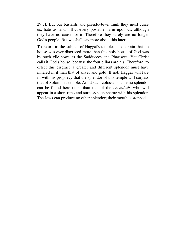29:7]. But our bastards and pseudo-Jews think they must curse us, hate us, and inflict every possible harm upon us, although they have no cause for it. Therefore they surely are no longer God's people. But we shall say more about this later.

To return to the subject of Haggai's temple, it is certain that no house was ever disgraced more than this holy house of God was by such vile sows as the Sadducees and Pharisees. Yet Christ calls it God's house, because the four pillars are his. Therefore, to offset this disgrace a greater and different splendor must have inhered in it than that of silver and gold. If not, Haggai will fare ill with his prophecy that the splendor of this temple will surpass that of Solomon's temple. Amid such colossal shame no splendor can be found here other than that of the *chemdath,* who will appear in a short time and surpass such shame with his splendor. The Jews can produce no other splendor; their mouth is stopped.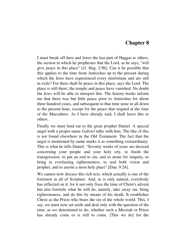## <span id="page-94-0"></span>[Chapter 8](#page-94-0)

I must break off here and leave the last part of Haggai to others, the section in which he prophesies that the Lord, as he says, "will give peace in this place" [cf. Hag. 2:9b]. Can it be possible that this applies to the time from Antiochus up to the present during which the Jews have experienced every misfortune and are still in exile? For there shall be peace in this place, says the Lord. The place is still there; the temple and peace have vanished. No doubt the Jews will be able to interpret this. The history books inform me that there was but little peace prior to Antiochus for about three hundred years, and subsequent to that time none at all down to the present hour, except for the peace that reigned at the time of the Maccabees. As I have already said, I shall leave this to others.

Finally we must lend ear to the great prophet Daniel. A special angel with a proper name *Gabriel* talks with him. The like of this is not found elsewhere in the Old Testament. The fact that the angel is mentioned by name marks it as something extraordinary. This is what he tells Daniel: "Seventy weeks of years are decreed concerning your people and your holy city, to finish the transgression, to put an end to sin, and to atone for iniquity, to bring in everlasting righteousness, to seal both vision and prophet, and to anoint a most holy place" [Dan. 9:24].

We cannot now discuss this rich text, which actually is one of the foremost in all of Scripture. And, as is only natural, everybody has reflected on it; for it not only fixes the time of Christ's advent but also foretells what he will do, namely, take away sin, bring righteousness, and do this by means of his death. It establishes Christ as the Priest who bears the sin of the whole world. This, I say, we must now set aside and deal only with the question of the time, as we determined to do, whether such a Messiah or Priest has already come or is still to come. This we do for the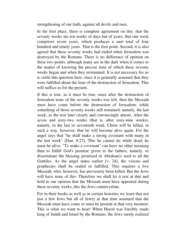strengthening of our faith, against all devils and men.

In the first place, there is complete agreement on this: that the seventy weeks are not weeks of days but of years; that one week comprises seven years, which produces a sum total of four hundred and ninety years. That is the first point. Second, it is also agreed that these seventy weeks had ended when Jerusalem was destroyed by the Romans. There is no difference of opinion on these two points, although many are in the dark when it comes to the matter of knowing the precise time of which these seventy weeks began and when they terminated. It is not necessary for us to settle this question here, since it is generally assumed that they were fulfilled about the time of the destruction of Jerusalem. This will suffice us for the present.

If this is true, as it must be true, since after the destruction of Jerusalem none of the seventy weeks was left, then the Messiah must have come before the destruction of Jerusalem, while something of those seventy weeks still remained: namely, the last week, as the text later clearly and convincingly attests. After the seven and sixty-two weeks (that is, after sixty-nine weeks), namely, in the last or seventieth week, Christ will be killed, in such a way, however, that he will become alive again. For the angel says that "he shall make a strong covenant with many in the last week" [Dan. 9:27]. This he cannot do while dead; he must be alive. "To make a covenant" can have no other meaning than to fulfill God's promise given to the fathers, namely, to disseminate the blessing promised in Abraham's seed to all the Gentiles. As the angel states earlier  $[v. 24]$ , the visions and prophecies shall be sealed or fulfilled. This requires a live Messiah, who, however, has previously been killed. But the Jews will have none of this. Therefore we shall let it rest at that and hold to our opinion that the Messiah must have appeared during these seventy weeks; this the Jews cannot refute.

For in their books as well as in certain histories we learn that not just a few Jews but all of Jewry at that time assumed that the Messiah must have come or must be present at that very moment. This is what we want to hear! When Herod was forcibly made king of Judah and Israel by the Romans, the Jews surely realized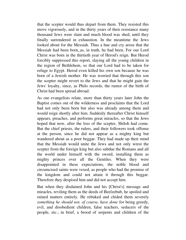that the scepter would thus depart from them. They resisted this move vigorously, and in the thirty years of their resistance many thousand Jews were slain and much blood was shed, until they finally surrendered in exhaustion. In the meantime the Jews looked about for the Messiah. Thus a hue and cry arose that the Messiah had been born\_as, in truth, he had been. For our Lord Christ was born in the thirtieth year of Herod's reign. But Herod forcibly suppressed this report, slaying all the young children in the region of Bethlehem, so that our Lord had to be taken for refuge to Egypt. Herod even killed his own son because he was born of a Jewish mother. He was worried that through this son the scepter might revert to the Jews and that he might gain the Jews' loyalty, since, as Philo records, the rumor of the birth of Christ had been spread abroad.

As our evangelists relate, more than thirty years later John the Baptist comes out of the wilderness and proclaims that the Lord had not only been born but also was already among them and would reign shortly after him. Suddenly thereafter Christ himself appears, preaches, and performs great miracles, so that the Jews hoped that now, after the loss of the scepter, Shiloh had come. But the chief priests, the rulers, and their followers took offense at the person, since he did not appear as a mighty king but wandered about as a poor beggar. They had made up their mind that the Messiah would unite the Jews and not only wrest the scepter from the foreign king but also subdue the Romans and all the world under himself with the sword, installing them as mighty princes over all the Gentiles. When they were disappointed in these expectations, the noble blood and circumcised saints were vexed, as people who had the promise of the kingdom and could not attain it through this beggar. Therefore they despised him and did not accept him.

But when they disdained John and his [Christ's] message and miracles, reviling them as the deeds of Beelzebub, he spoiled and ruined matters entirely. He rebuked and chided them severely *something he should not, of course, have done* for being greedy, evil, and disobedient children, false teachers, seducers of the people, etc.; in brief, a brood of serpents and children of the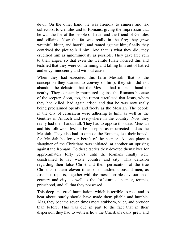devil. On the other hand, he was friendly to sinners and tax collectors, to Gentiles and to Romans, giving the impression that he was the foe of the people of Israel and the friend of Gentiles and villains. Now the fat was really in the fire; they grew wrathful, bitter, and hateful, and ranted against him; finally they contrived the plot to kill him. And that is what they did; they crucified him as ignominiously as possible. They gave free rein to their anger, so that even the Gentile Pilate noticed this and testified that they were condemning and killing him out of hatred and envy, innocently and without cause.

When they had executed this false Messiah (that is the conception they wanted to convey of him), they still did not abandon the delusion that the Messiah had to be at hand or nearby. They constantly murmured against the Romans because of the scepter. Soon, too, the rumor circulated that Jesus, whom they had killed, had again arisen and that he was now really being proclaimed openly and freely as the Messiah. The people in the city of Jerusalem were adhering to him, as well as the Gentiles in Antioch and everywhere in the country. Now they really had their hands full. They had to oppose this dead Messiah and his followers, lest he be accepted as resurrected and as the Messiah. They also had to oppose the Romans, lest their hopedfor Messiah be forever bereft of the scepter. At one place a slaughter of the Christians was initiated, at another an uprising against the Romans. To these tactics they devoted themselves for approximately forty years, until the Romans finally were constrained to lay waste country and city. This delusion regarding their false Christ and their persecution of the true Christ cost them eleven times one hundred thousand men, as Josephus reports, together with the most horrible devastation of country and city, as well as the forfeiture of scepter, temple, priesthood, and all that they possessed.

This deep and cruel humiliation, which is terrible to read and to hear about, surely should have made them pliable and humble. Alas, they became seven times more stubborn, viler, and prouder than before. This was due in part to the fact that in their dispersion they had to witness how the Christians daily grew and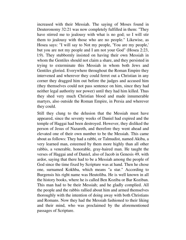increased with their Messiah. The saying of Moses found in Deuteronomy 32:21 was now completely fulfilled in them: "They have stirred me to jealousy with what is no god; so I will stir them to jealousy with those who are no people." Likewise, as Hosea says: "I will say to Not my people, 'You are my people,' but you are not my people and I am not your God" (Hosea 2:23, l:9). They stubbornly insisted on having their own Messiah in whom the Gentiles should not claim a share, and they persisted in trying to exterminate this Messiah in whom both Jews and Gentiles gloried. Everywhere throughout the Roman Empire they intervened and wherever they could ferret out a Christian in any corner they dragged him out before the judges and accused him (they themselves could not pass sentence on him, since they had neither legal authority nor power) until they had him killed. Thus they shed very much Christian blood and made innumerable martyrs, also outside the Roman Empire, in Persia and wherever they could.

Still they clung to the delusion that the Messiah must have appeared, since the seventy weeks of Daniel had expired and the temple of Haggai had been destroyed. However, they disliked the person of Jesus of Nazareth, and therefore they went ahead and elevated one of their own number to be the Messiah. This came about as follows: They had a rabbi, or Talmudist, named Akiba, a very learned man, esteemed by them more highly than all other rabbis, a venerable, honorable, gray-haired man. He taught the verses of Haggai and of Daniel, also of Jacob in Genesis 49, with ardor, saying that there had to be a Messiah among the people of God since the time fixed by Scripture was at hand. Then he chose one, surnamed Kokhba, which means "a star." According to Burgensis his right name was Heutoliba. He is well known in all the history books, where he is called Ben Koziba or Bar Koziban. This man had to be their Messiah; and he gladly complied. All the people and the rabbis rallied about him and armed themselves thoroughly with the intention of doing away with both Christians and Romans. Now they had the Messiah fashioned to their liking and their mind, who was proclaimed by the aforementioned passages of Scripture.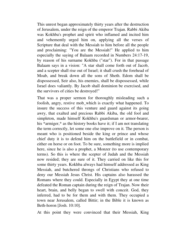This unrest began approximately thirty years after the destruction of Jerusalem, under the reign of the emperor Trajan. Rabbi Akiba was Kokhba's prophet and spirit who inflamed and incited him and vehemently urged him on, applying all the verses of Scripture that deal with the Messiah to him before all the people and proclaiming: "You are the Messiah!" He applied to him especially the saying of Balaam recorded in Numbers 24:17-19, by reason of his surname Kokhba ("star"). For in that passage Balaam says in a vision: "A star shall come forth out of Jacob, and a scepter shall rise out of Israel; it shall crush the forehead of Moab, and break down all the sons of Sheth. Edom shall be dispossessed, Seir also, his enemies, shall be dispossessed, while Israel does valiantly. By Jacob shall dominion be exercised, and the survivors of cities be destroyed!"

That was a proper sermon for thoroughly misleading such a foolish, angry, restive mob\_which is exactly what happened. To insure the success of this venture and guard against its going awry, that exalted and precious Rabbi Akiba, the old fool and simpleton, made himself Kokhba's guardsman or armor-bearer, his \*armiger,\* as the history books have it; if I am not translating the term correctly, let some one else improve on it. The person is meant who is positioned beside the king or prince and whose chief duty it is to defend him on the battlefield or in combat, either on horse or on foot. To be sure, something more is implied here, since he is also a prophet, a Monzer (to use contemporary terms). So this is where the scepter of Judah and the Messiah now resided; they are sure of it. They carried on like this for some thirty years. Kokhba always had himself addressed as King Messiah, and butchered throngs of Christians who refused to deny our Messiah Jesus Christ. His captains also harassed the Romans where they could. Especially in Egypt they at one time defeated the Roman captain during the reign of Trajan. Now their heart, brain, and belly began to swell with conceit. God, they inferred, had to be for them and with them. They occupied a town near Jerusalem, called Bittir; in the Bible it is known as Beth-horon [Josh. 10:10].

At this point they were convinced that their Messiah, King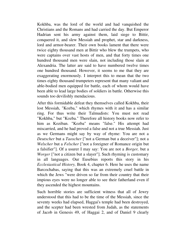Kokhba, was the lord of the world and had vanquished the Christians and the Romans and had carried the day. But Emperor Hadrian sent his army against them, laid siege to Bittir, conquered it, and slew Messiah and prophet, star and darkness, lord and armor-bearer. Their own books lament that there were twice eighty thousand men at Bittir who blew the trumpets, who were captains over vast hosts of men, and that forty times one hundred thousand men were slain, not including those slain at Alexandria. The latter are said to have numbered twelve times one hundred thousand. However, it seems to me that they are exaggerating enormously. I interpret this to mean that the two times eighty thousand trumpeters represent that many valiant and able-bodied men equipped for battle, each of whom would have been able to lead large bodies of soldiers in battle. Otherwise this sounds too devilishly mendacious.

After this formidable defeat they themselves called Kokhba, their lost Messiah, "Kozba," which rhymes with it and has a similar ring. For thus write their Talmudists: You must not read "Kokhba," but "Kozba." Therefore all history books now refer to him as Koziban. "Kozba" means "false." His attempt had miscarried, and he had proved a false and not a true Messiah. Just as we Germans might say by way of rhyme: You are not a *Deutscher* but a *Taoscher* ["not a German but a deceiver"]; not a *Welscher* but a *Felscher* ["not a foreigner of Romance origin but a falsifier"]. Of a usurer I may say: You are not a *Borger,* but a *Worger* ["not a citizen but a slayer"]. Such rhyming is customary in all languages. Our Eusebius reports this story in his *Ecclesiastical History,* Book 4, chapter 6. Here he uses the name Barcochabas, saying that this was an extremely cruel battle in which the Jews "were driven so far from their country that their impious eyes were no longer able to see their fatherland even if they ascended the highest mountains.

Such horrible stories are sufficient witness that all of Jewry understood that this had to be the time of the Messiah, since the seventy weeks had elapsed, Haggai's temple had been destroyed, and the scepter had been wrested from Judah, as the statements of Jacob in Genesis 49, of Haggai 2, and of Daniel 9 clearly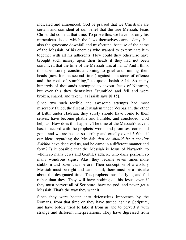indicated and announced. God be praised that we Christians are certain and confident of our belief that the true Messiah, Jesus Christ, did come at that time. To prove this, we have not only his miraculous deeds, which the Jews themselves cannot deny, but also the gruesome downfall and misfortune, because of the name of the Messiah, of his enemies who wanted to exterminate him together with all his adherents. How could they otherwise have brought such misery upon their heads if they had not been convinced that the time of the Messiah was at hand? And I think this does surely constitute coming to grief and running their heads (now for the second time ) against "the stone of offence and the rock of stumbling," to quote Isaiah 8:14. So many hundreds of thousands attempted to devour Jesus of Nazareth, but over this they themselves "stumbled and fell and were broken, snared, and taken," as Isaiah says [8:15].

Since two such terrible and awesome attempts had most miserably failed, the first at Jerusalem under Vespasian, the other at Bittir under Hadrian, they surely should have come to their senses, have become pliable and humble, and concluded: God help us! How does this happen? The time of the Messiah's advent has, in accord with the prophets' words and promises, come and gone, and we are beaten so terribly and cruelly over it! What if our ideas regarding the Messiah *that he should be a secular Kokhba* have deceived us, and he came in a different manner and form? Is it possible that the Messiah is Jesus of Nazareth, to whom so many Jews and Gentiles adhere, who daily perform so many wondrous signs? Alas, they became seven times more stubborn and baser than before. Their conception of a worldly Messiah must be right and cannot fail; there must be a mistake about the designated time. The prophets must be lying and fail rather than they. They will have nothing of this Jesus, even if they must pervert all of Scripture, have no god, and never get a Messiah. That's the way they want it.

Since they were beaten into defenseless impotence by the Romans, from that time on they have turned against Scripture, and have boldly tried to take it from us and to pervert it with strange and different interpretations. They have digressed from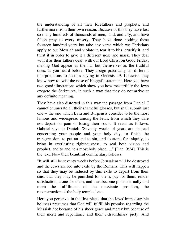the understanding of all their forefathers and prophets, and furthermore from their own reason. Because of this they have lost so many hundreds of thousands of men, land, and city, and have fallen prey to every misery. They have done nothing these fourteen hundred years but take any verse which we Christians apply to our Messiah and violate it, tear it to bits, crucify it, and twist it in order to give it a different nose and mask. They deal with it as their fathers dealt with our Lord Christ on Good Friday, making God appear as the liar but themselves as the truthful ones, as you heard before. They assign practically ten different interpretations to Jacob's saying in Genesis 49. Likewise they know how to twist the nose of Haggai's statement. Here you have two good illustrations which show you how masterfully the Jews exegete the Scriptures, in such a way that they do not arrive at any definite meaning.

They have also distorted in this way the passage from Daniel. I cannot enumerate all their shameful glosses, but shall submit just one -- the one which Lyra and Burgensis consider to be the most famous and widespread among the Jews, from which they dare not depart on pain of losing their souls. It reads as follows. Gabriel says to Daniel: "Seventy weeks of years are decreed concerning your people and your holy city, to finish the transgression, to put an end to sin, and to atone for iniquity, to bring in everlasting righteousness, to seal both vision and prophet, and to anoint a most holy place, ..." [Dan. 9:24]. This is the text. Now their beautiful commentary follows:

"It will still be seventy weeks before Jerusalem will be destroyed and the Jews are led into exile by the Romans. This will happen so that they may be induced by this exile to depart from their sins, that they may be punished for them, pay for them, render satisfaction, atone for them, and thus become pious eternally and merit the fulfillment of the messianic promises, the reconstruction of the holy temple," etc.

Here you perceive, in the first place, that the Jews' immeasurable holiness presumes that God will fulfill his promise regarding the Messiah not because of his sheer grace and mercy but because of their merit and repentance and their extraordinary piety. And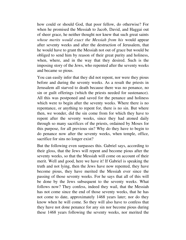how could or should God, that poor fellow, do otherwise? For when he promised the Messiah to Jacob, David, and Haggai out of sheer grace, he neither thought nor knew that such great saints *whose merits would exact the Messiah from his* would appear after seventy weeks and after the destruction of Jerusalem, that he would have to grant the Messiah not out of grace but would be obliged to send him by reason of their great purity and holiness, when, where, and in the way that they desired. Such is the imposing story of the Jews, who repented after the seventy weeks and became so pious.

You can easily infer that they did not repent, nor were they pious before and during the seventy weeks. As a result the priests in Jerusalem all starved to death because there was no penance, no sin or guilt offerings (which the priests needed for sustenance). All this was postponed and saved for the penance and holiness which were to begin after the seventy weeks. Where there is no repentance, or anything to repent for, there is no sin. But where then, we wonder, did the sin come from for which they have to repent after the seventy weeks, since they had atoned daily through so many sacrifices of the priests, ordained by Moses for this purpose, for all previous sin? Why do they have to begin to do penance now after the seventy weeks, when temple, office, sacrifice for sins no longer exist?

But the following even surpasses this. Gabriel says, according to their gloss, that the Jews will repent and become pious after the seventy weeks, so that the Messiah will come on account of their merit. Well and good, here we have it! If Gabriel is speaking the truth and not lying, then the Jews have now repented, they have become pious, they have merited the Messiah ever since the passing of those seventy weeks. For he says that all of this will be done by the Jews subsequent to the seventy weeks. What follows now? They confess, indeed they wail, that the Messiah has not come since the end of those seventy weeks, that he has not come to date, approximately 1468 years later; nor do they know when he will come. So they will also have to confess that they have not done penance for any sin nor become pious during these 1468 years following the seventy weeks, nor merited the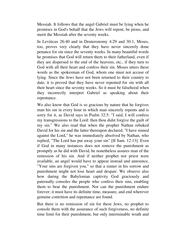Messiah. It follows that the angel Gabriel must be lying when he promises in God's behalf that the Jews will repent, be pious, and merit the Messiah after the seventy weeks.

In Leviticus 26:40 and in Deuteronomy 4:29 and 30:1, Moses, too, proves very clearly that they have never sincerely done penance for sin since the seventy weeks. In many beautiful words he promises that God will return them to their fatherland, even if they are dispersed to the end of the heavens, etc., if they turn to God with all their heart and confess their sin. Moses utters these words as the spokesman of God, whom one must not accuse of lying. Since the Jews have not been returned to their country to date, it is proved that they have never repented for sin with all their heart since the seventy weeks. So it must be falsehood when they incorrectly interpret Gabriel as speaking about their repentance.

We also know that God is so gracious by nature that he forgives man his sin in every hour in which man sincerely repents and is sorry for it, as David says in Psalm 32:5: "I said, I will confess my transgressions to the Lord: then thou didst forgive the guilt of my sin." We also read that when the prophet Nathan rebuked David for his sin and the latter thereupon declared, "I have sinned against the Lord," he was immediately absolved by Nathan, who replied, "The Lord has put away your sin" [II Sam. 12:13]. Even if God in many instances does not remove the punishment as promptly as he did with David, he nonetheless assures man of the remission of his sin. And if neither prophet nor priest were available, an angel would have to appear instead and announce, "Your sins are forgiven you," so that a sinner in his sorrow and punishment might not lose heart and despair. We observe also how during the Babylonian captivity God graciously and paternally consoles the people who confess their sins, enabling them to bear the punishment. Nor can the punishment endure forever; it must have its definite time, measure, and end wherever genuine contrition and repentance are found.

But there is no remission of sin for these Jews, no prophet to console them with the assurance of such forgiveness, no definite time limit for their punishment, but only interminable wrath and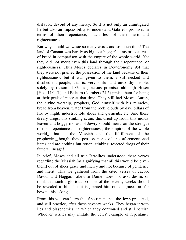disfavor, devoid of any mercy. So it is not only an unmitigated lie but also an impossibility to understand Gabriel's promises in terms of their repentance, much less of their merit and righteousness.

But why should we waste so many words and so much time! The land of Canaan was hardly as big as a beggar's alms or as a crust of bread in comparison with the empire of the whole world. Yet they did not merit even this land through their repentance, or righteousness. Thus Moses declares in Deuteronomy 9:4 that they were not granted the possession of the land because of their righteousness, but it was given to them, a stiff-necked and disobedient people, that is, very sinful and unworthy people, solely by reason of God's gracious promise, although Hosea [Hos. 11:1 ff.] and Balaam (Numbers 24:5) praise them for being at their peak of piety at that time. They still had Moses, Aaron, the divine worship, prophets, God himself with his miracles, bread from heaven, water from the rock, clouds by day, pillars of fire by night, indestructible shoes and garments, etc. And these dreary dregs, this stinking scum, this dried-up froth, this moldy leaven and boggy morass of Jewry should merit, on the strength of their repentance and righteousness, the empires of the whole world that is, the Messiah and the fulfillment of the prophecies\_though they possess none of the aforementioned items and are nothing but rotten, stinking, rejected dregs of their fathers' lineage!

In brief, Moses and all true Israelites understood these verses regarding the Messiah [as signifying that all this would be given them] out of sheer grace and mercy and not because of penitence and merit. This we gathered from the cited verses of Jacob, David, and Haggai. Likewise Daniel does not ask, desire, or think that such a glorious promise of the seventy weeks should be revealed to him, but it is granted him out of grace, far, far beyond his asking.

From this you can learn that fine repentance the Jews practiced, and still practice, after those seventy weeks. They began it with lies and blasphemies, in which they continued and still persist. Whoever wishes may imitate the Jews' example of repentance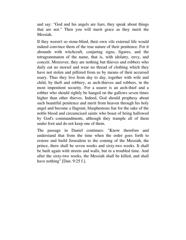and say: "God and his angels are liars, they speak about things that are not." Then you will merit grace as they merit the Messiah.

If they weren't so stone-blind, their own vile external life would indeed convince them of the true nature of their penitence. For it abounds with witchcraft, conjuring signs, figures, and the tetragrammaton of the name, that is, with idolatry, envy, and conceit. Moreover, they are nothing but thieves and robbers who daily eat no morsel and wear no thread of clothing which they have not stolen and pilfered from us by means of their accursed usury. Thus they live from day to day, together with wife and child, by theft and robbery, as arch-thieves and robbers, in the most impenitent security. For a usurer is an arch-thief and a robber who should rightly be hanged on the gallows seven times higher than other thieves. Indeed, God should prophesy about such beautiful penitence and merit from heaven through his holy angel and become a flagrant, blasphemous liar for the sake of the noble blood and circumcised saints who boast of being hallowed by God's commandments, although they trample all of them under foot and do not keep one of them.

The passage in Daniel continues: "Know therefore and understand that from the time when the order goes forth to restore and build Jerusalem to the coming of the Messiah, the prince, there shall be seven weeks and sixty-two weeks. It shall be built again with streets and walls, but in a troubled time. And after the sixty-two weeks, the Messiah shall be killed, and shall have nothing" [Dan. 9:25 f.].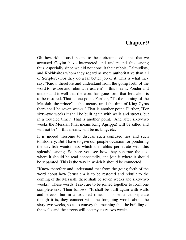## <span id="page-107-0"></span>[Chapter 9](#page-107-0)

Oh, how ridiculous it seems to these circumcised saints that we accursed Goyim have interpreted and understand this saying thus, especially since we did not consult their rabbis, Talmudists, and Kokhbaites whom they regard as more authoritative than all of Scripture For they do a far better job of it. This is what they say: "Know therefore and understand from the going forth of the word to restore and rebuild Jerusalem" -- this means, Ponder and understand it well that the word has gone forth that Jerusalem is to be restored. That is one point. Further, "To the coming of the Messiah, the prince" -- this means, until the time of King Cyrus there shall be seven weeks." That is another point. Further, "For sixty-two weeks it shall be built again with walls and streets, but in a troubled time." That is another point. "And after sixty-two weeks the Messiah (that means King Agrippa) will be killed and will not be" -- this means, will be no king, etc.

It is indeed tiresome to discuss such confused lies and such tomfoolery. But I have to give our people occasion for pondering the devilish wantonness which the rabbis perpetrate with this splendid saying. So here you see how they separate the text where it should be read connectedly, and join it where it should be separated. This is the way in which it should be connected:

"Know therefore and understand that from the going forth of the word about how Jerusalem is to be restored and rebuilt to the coming of the Messiah, there shall be seven weeks and sixty-two weeks." These words, I say, are to be joined together to form one complete text. Then follows: "It shall be built again with walls and streets, but in a troubled time." This sentence, separate though it is, they connect with the foregoing words about the sixty-two weeks, so as to convey the meaning that the building of the walls and the streets will occupy sixty-two weeks.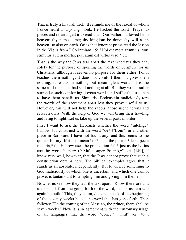That is truly a knavish trick. It reminds me of the rascal of whom I once heard as a young monk. He hacked the Lord's Prayer to pieces and re-arranged it to read thus: Our Father, hallowed be in heaven; thy name come; thy kingdom be done; thy will as in heaven, so also on earth. Or as that ignorant priest read the lesson in the Vigils from I Corinthians 15: \*Ubi est mors stimulus, tuus stimulus autem mortis, peccatum est virtus vero,\* etc.

That is the way the Jews tear apart the text wherever they can, solely for the purpose of spoiling the words of Scripture for us Christians, although it serves no purpose for them either. For it teaches them nothing, it does not comfort them, it gives them nothing; it results in nothing but meaningless words. It is the same as if the angel had said nothing at all. But they would rather surrender such comforting, joyous words and suffer the loss than to have them benefit us. Similarly, Bodenstein maliciously tore the words of the sacrament apart lest they prove useful to us. However, this will not help the rabbis, those night herons and screech owls. With the help of God we will bring their howling and lying to light. Let us take up the several parts in order.

First I want to ask the Hebraists whether the word \*intellige\* ["know"] is construed with the word \*de\* ["from"] in any other place in Scripture. I have not found any, and this seems to me quite arbitrary. If it is to mean \*de\* as in the phrase \*de subjecta materia,\* the Hebrew uses the preposition \*al,\* just as the Latins use the word \*super\* ("\*Multa super Priamo,\*" etc. [149]). I know very well, however, that the Jews cannot prove that such a construction obtains here. The biblical examples agree that it stands as an absolute, independently. But to ascribe something to God maliciously of which one is uncertain, and which one cannot prove, is tantamount to tempting him and giving him the lie.

Now let us see how they tear the text apart. "Know therefore and understand, from the going forth of the word, that Jerusalem will again be built." This, they claim, does not speak of the beginning of the seventy weeks but of the word that has gone forth. Then follows: "To the coming of the Messiah, the prince, there shall be seven weeks." Now it is in agreement with the customary usage of all languages that the word \*donec,\* "until" [or "to"],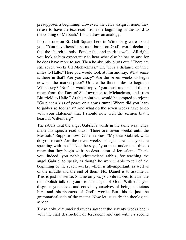presupposes a beginning. However, the Jews assign it none; they refuse to have the text read "from the beginning of the word to the coming of Messiah." I must draw an analogy.

If some one on St. Gall Square here in Wittenberg were to tell you: "You have heard a sermon based on God's word, declaring that the church is holy. Ponder this and mark it well." All right, you look at him expectantly to hear what else he has to say; for he does have more to say. Then he abruptly blurts out: "There are still seven weeks till Michaelmas." Or, "It is a distance of three miles to Halle." Here you would look at him and say, What sense is there in that? Are you crazy? Are the seven weeks to begin now on the market-place? Or are the three miles to begin in Wittenberg? "No," he would reply, "you must understand this to mean from the Day of St. Lawrence to Michaelmas, and from Bitterfeld to Halle." At this point you would be tempted to rejoin: "Go plant a kiss of peace on a sow's rump! Where did you learn to jabber so foolishly? And what do the seven weeks have to do with your statement that I should note well the sermon that I heard at Wittenberg?"

The rabbis treat the angel Gabriel's words in the same way. They make his speech read thus: "There are seven weeks until the Messiah." Suppose now Daniel replies, "My dear Gabriel, what do you mean? Are the seven weeks to begin now that you are speaking with me?" "No," he says, "you must understand this to mean that they begin with the destruction of Jerusalem." Thank you, indeed, you noble, circumcised rabbis, for teaching the angel Gabriel to speak, as though he were unable to tell of the beginning of the seven weeks, which is all-important, as well as of the middle and the end of them. No, Daniel is to assume it. This is just nonsense. Shame on you, you vile rabbis, to attribute this foolish talk of yours to the angel of God! With this you disgrace yourselves and convict yourselves of being malicious liars and blasphemers of God's words. But this is just the grammatical side of the matter. Now let us study the theological aspect.

These holy, circumcised ravens say that the seventy weeks begin with the first destruction of Jerusalem and end with its second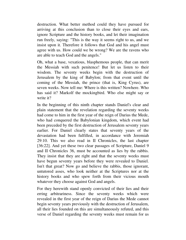destruction. What better method could they have pursued for arriving at this conclusion than to close their eyes and ears, ignore Scripture and the history books, and let their imagination run freely, saying: "This is the way it seems right to us, and we insist upon it. Therefore it follows that God and his angel must agree with us. How could we be wrong? We are the ravens who are able to teach God and the angels."

Oh, what a base, vexatious, blasphemous people, that can merit the Messiah with such penitence! But let us listen to their wisdom. The seventy weeks begin with the destruction of Jerusalem by the king of Babylon; from that event until the coming of the Messiah, the prince (that is, King Cyrus), are seven weeks. Now tell me: Where is this written? Nowhere. Who has said it? Markolf the mockingbird. Who else might say or write it?

In the beginning of this ninth chapter stands Daniel's clear and plain statement that the revelation regarding the seventy weeks had come to him in the first year of the reign of Darius the Mede, who had conquered the Babylonian kingdom, which event had been preceded by the first destruction of Jerusalem seventy years earlier. For Daniel clearly states that seventy years of the devastation had been fulfilled, in accordance with Jeremiah 29:10. This we also read in II Chronicles, the last chapter [36:22]. And yet these two clear passages of Scripture, Daniel 9 and II Chronicles 36, must be accounted as lies by the rabbis. They insist that they are right and that the seventy weeks must have begun seventy years before they were revealed to Daniel. Isn't that great? Now go and believe the rabbis, those ignorant, untutored asses, who look neither at the Scriptures nor at the history books and who spew forth from their vicious mouth whatever they choose against God and angels.

For they herewith stand openly convicted of their lies and their erring arbitrariness. Since the seventy weeks which were revealed in the first year of the reign of Darius the Mede cannot begin seventy years previously with the destruction of Jerusalem, all their lies founded on this are simultaneously refuted, and this verse of Daniel regarding the seventy weeks must remain for us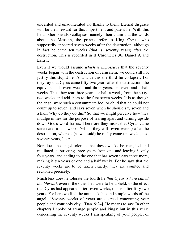undefiled and unadulterated\_no thanks to them. Eternal disgrace will be their reward for this impertinent and patent lie. With this lie another one also collapses; namely, their claim that the words about the Messiah, the prince, refer to King Cyrus, who supposedly appeared seven weeks after the destruction, although in fact he came ten weeks (that is, seventy years) after the destruction. This is recorded in II Chronicles 36, Daniel 9, and Ezra 1.

Even if we would assume *which is impossible* that the seventy weeks began with the destruction of Jerusalem, we could still not justify this stupid lie. And with this the third lie collapses. For they say that Cyrus came fifty-two years after the destruction: the equivalent of seven weeks and three years, or seven and a half weeks. Thus they tear three years, or half a week, from the sixtytwo weeks and add them to the first seven weeks. It is as though the angel were such a consummate fool or child that he could not count up to seven, and says seven when he should say seven and a half. Why do they do this? So that we might perceive how they indulge in lies for the purpose of tearing apart and turning upside down God's word for us. Therefore they insist that Cyrus came seven and a half weeks (which they call seven weeks) after the destruction, whereas (as was said) he really came ten weeks, i.e., seventy years, later.

Nor does the angel tolerate that these weeks be mangled and mutilated, subtracting three years from one and leaving it only four years, and adding to the one that has seven years three more, making it ten years or one and a half weeks. For he says that the seventy weeks are to be taken exactly; they are counted and reckoned precisely.

Much less does he tolerate the fourth lie *that Cyrus is here called the Messiah* even if the other lies were to be upheld, to the effect that Cyrus had appeared after seven weeks, that is, after fifty-two years. For here we find the unmistakable and simple words of the angel: "Seventy weeks of years are decreed concerning your people and your holy city" [Dan. 9:24]. He means to say: In other chapters I spoke of strange people and kings; but in this verse concerning the seventy weeks I am speaking of your people, of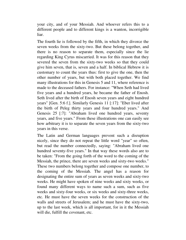your city, and of your Messiah. And whoever refers this to a different people and to different kings is a wanton, incorrigible liar.

The fourth lie is followed by the fifth, in which they divorce the seven weeks from the sixty-two. But these belong together, and there is no reason to separate them, especially since the lie regarding King Cyrus miscarried. It was for this reason that they severed the seven from the sixty-two weeks so that they could give him seven, that is, seven and a half. In biblical Hebrew it is customary to count the years thus: first to give the one, then the other number of years, but with both placed together. We find many illustrations for this in Genesis 5 and 11, where reference is made to the deceased fathers. For instance: "When Seth had lived five years and a hundred years, he became the father of Enosh. Seth lived after the birth of Enosh seven years and eight hundred years" [Gen. 5:6 f.]. Similarly Genesis 11 [:17]: "Eber lived after the birth of Peleg thirty years and four hundred years." And Genesis 25 [:7]: "Abraham lived one hundred years, seventy years, and five years." From these illustrations one can easily see how arbitrary it is to separate the seven years from the sixty-two years in this verse.

The Latin and German languages prevent such a disruption nicely, since they do not repeat the little word "year" so often, but read the number connectedly, saying: "Abraham lived one hundred seventy-five years." In that way these words also are to be taken: "From the going forth of the word to the coming of the Messiah, the prince, there are seven weeks and sixty-two weeks." These two numbers belong together and compose one number, to the coming of the Messiah. The angel has a reason for designating the entire sum of years as seven weeks and sixty-two weeks. He might have spoken of nine weeks and sixty weeks, or found many different ways to name such a sum, such as five weeks and sixty-four weeks, or six weeks and sixty-three weeks, etc. He must have the seven weeks for the construction of the walls and streets of Jerusalem; and he must have the sixty-two, up to the last week, which is all important, for in it the Messiah will die, fulfill the covenant, etc.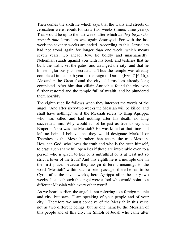Then comes the sixth lie which says that the walls and streets of Jerusalem were rebuilt for sixty-two weeks (minus three years). That would be up to the last week, after which *as they lie for the seventh time* Jerusalem was again destroyed. For with the last week the seventy weeks are ended. According to this, Jerusalem had not stood again for longer than one week, which means seven years. Go ahead, Jew, lie boldly and unashamedly! Nehemiah stands against you with his book and testifies that he built the walls, set the gates, and arranged the city, and that he himself gloriously consecrated it. Thus the temple was already completed in the sixth year of the reign of Darius (Ezra 7 [6:16]). Alexander the Great found the city of Jerusalem already long completed. After him that villain Antiochus found the city even further restored and the temple full of wealth, and he plundered them horribly.

The eighth rude lie follows when they interpret the words of the angel, "And after sixty-two weeks the Messiah will be killed, and shall have nothing," as if the Messiah refers to King Agrippa, who was killed and had nothing after his death; no king succeeded him. Why would it not be just as true to say that Emperor Nero was the Messiah? He was killed at that time and left no heirs. I believe that they would designate Markolf or Thersites as the Messiah rather than accept the true Messiah. How can God, who loves the truth and who is the truth himself, tolerate such shameful, open lies if these are intolerable even to a person who is given to lies or is untruthful or is at least not so strict a lover of the truth? And this eighth lie is a multiple one\_in the first place, because they assign different meanings to the word "Messiah" within such a brief passage: there he has to be Cyrus after the seven weeks, here Agrippa after the sixty-two weeks. Just as though the angel were a fool who would point to a different Messiah with every other word!

As we heard earlier, the angel is not referring to a foreign people and city, but says, "I am speaking of your people and of your city." Therefore we must conceive of the Messiah in this verse not as two different beings, but as one\_namely, the Messiah of this people and of this city, the Shiloh of Judah who came after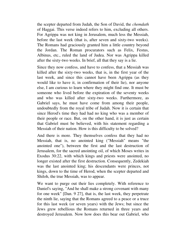the scepter departed from Judah, the Son of David, the *chemdath* of Haggai. This verse indeed refers to him, excluding all others. For Agrippa was not king in Jerusalem, much less the Messiah, before the last week (that is, after seven and sixty-two weeks). The Romans had graciously granted him a little country beyond the Jordan. The Roman procurators such as Felix, Festus, Albinus, etc., ruled the land of Judea. Nor was Agrippa killed after the sixty-two weeks. In brief, all that they say is a lie.

Since they now confess, and have to confess, that a Messiah was killed after the sixty-two weeks, that is, in the first year of the last week, and since this cannot have been Agrippa (as they would like to have it, in confirmation of their lie), nor anyone else, I am curious to learn where they might find one. It must be someone who lived before the expiration of the seventy weeks and who was killed after sixty-two weeks. Furthermore, as Gabriel says, he must have come from among their people, undoubtedly from the royal tribe of Judah. Now it is certain that since Herod's time they had had no king who was a member of their people or race. But, on the other hand, it is just as certain that Gabriel must be believed, with his statement regarding a Messiah of their nation. How is this difficulty to be solved?

And there is more. They themselves confess that they had no Messiah, that is, no anointed king ("Messiah" means "the anointed one"), between the first and the last destruction of Jerusalem, for the sacred anointing oil, of which Moses writes in Exodus 30:22, with which kings and priests were anointed, no longer existed after the first destruction. Consequently, Zedekiah was the last anointed king; his descendants were princes, not kings, down to the time of Herod, when the scepter departed and Shiloh, the true Messiah, was to appear.

We want to purge out their lies completely. With reference to Daniel's saying, "And he shall make a strong covenant with many for one week" [Dan. 9 27], that is, the last week, they perpetrate the ninth lie, saying that the Romans agreed to a peace or a truce for this last week (or seven years) with the Jews; but since the Jews grew rebellious the Romans returned in three years and destroyed Jerusalem. Now how does this bear out Gabriel, who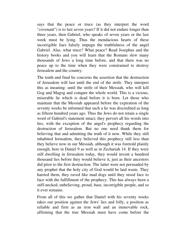says that the peace or truce (as they interpret the word "covenant") is to last seven years? If it did not endure longer than three years, then Gabriel, who speaks of seven years or the last week must be lying. Thus the mendacious hearts of these incorrigible liars falsely impugn the truthfulness of the angel Gabriel. Alas, what truce? What peace? Read Josephus and the history books and you will learn that the Romans slew many thousands of Jews a long time before, and that there was no peace up to the time when they were constrained to destroy Jerusalem and the country.

The tenth and final lie concerns the assertion that the destruction of Jerusalem will last until the end of the strife. They interpret this as meaning: until the strife of their Messiah, who will kill Gog and Magog and conquer the whole world. This is a vicious, miserable lie which is dead before it is born. Let those who maintain that the Messiah appeared before the expiration of the seventy weeks be informed that such a lie was discredited as long as fifteen hundred years ago. Thus the Jews do not retain a single word of Gabriel's statement intact; they pervert all his words into lies, with the exception of the angel's prophecy regarding the destruction of Jerusalem. But no one need thank them for believing that and admitting the truth of it now. While they still inhabited Jerusalem, they believed this prophecy still less than they believe now in our Messiah, although it was foretold plainly enough, here in Daniel 9 as well as in Zechariah 14. If they were still dwelling in Jerusalem today, they would invent a hundred thousand lies before they would believe it, just as their ancestors did prior to the first destruction. The latter were not persuaded by any prophet that the holy city of God would be laid waste. They harried them, they raved like mad dogs until they stood face to face with the fulfillment of the prophecy. This has always been a stiff-necked, unbelieving, proud, base, incorrigible people, and so it ever remains.

From all of this we gather that Daniel with his seventy weeks takes our position against the Jews' lies and folly, a position as reliable and firm as an iron wall and an immovable rock, affirming that the true Messiah must have come before the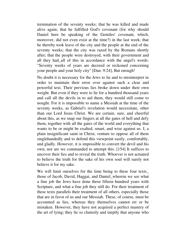termination of the seventy weeks; that he was killed and made alive again; that he fulfilled God's covenant (for why should Daniel here be speaking of the Gentiles' covenant, which, moreover, did not even exist at the time?) in the last week; that he thereby took leave of the city and the people at the end of the seventy weeks; that the city was razed by the Romans shortly after; that the people were destroyed, with their government and all they had\_all of this in accordance with the angel's words: "Seventy weeks of years are decreed or reckoned concerning your people and your holy city" [Dan. 9:24], But enough!

No doubt it is necessary for the Jews to lie and to misinterpret in order to maintain their error over against such a clear and powerful text. Their previous lies broke down under their own weight. But even if they were to lie for a hundred thousand years and call all the devils in to aid them, they would still come to nought. For it is impossible to name a Messiah at the time of the seventy weeks, as Gabriel's revelation would necessitate, other than our Lord Jesus Christ. We are certain, sure, and cheerful about this, as we snap our fingers at all the gates of hell and defy them, together with all the gates of the world and everything that wants to be or might be exalted, smart, and wise against us. I, a plain insignificant saint in Christ, venture to oppose all of them singlehandedly and to defend this viewpoint easily, comfortably, and gladly. However, it is impossible to convert the devil and his own, nor are we commanded to attempt this. [154] It suffices to uncover their lies and to reveal the truth. Whoever is not actuated to believe the truth for the sake of his own soul will surely not believe it for my sake.

We will limit ourselves for the time being to these four texts those of Jacob, David, Haggai, and Daniel\_wherein we see what a fine job the Jews have done these fifteen hundred years with Scripture, and what a fine job they still do. For their treatment of these texts parallels their treatment of all others, especially those that are in favor of us and our Messiah. These, of course, must be accounted as lies, whereas they themselves cannot err or be mistaken. However, they have not acquired a perfect mastery of the art of lying; they lie so clumsily and ineptly that anyone who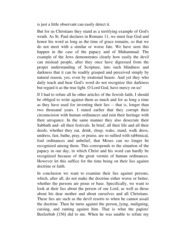is just a little observant can easily detect it.

But for us Christians they stand as a terrifying example of God's wrath. As St. Paul declares in Romans 11, we must fear God and honor his word as long as the time of grace remains, so that we do not meet with a similar or worse fate. We have seen this happen in the case of the papacy and of Muhammad. The example of the Jews demonstrates clearly how easily the devil can mislead people, after they once have digressed from the proper understanding of Scripture, into such blindness and darkness that it can be readily grasped and perceived simply by natural reason, yes, even by irrational beasts. And yet they who daily teach and hear God's word do not recognize this darkness but regard it as the true light. O Lord God, have mercy on us!

If I had to refute all he other articles of the Jewish faith, I should be obliged to write against them as much and for as long a time as they have used for inventing their lies -- that is, longer than two thousand years. I stated earlier that they corrupt their circumcision with human ordinances and ruin their heritage with their arrogance. In the same manner they also desecrate their Sabbath and- all their festivals. In brief, all their life and all their deeds, whether they eat, drink, sleep, wake, stand, walk dress, undress, fast, bathe, pray, or praise, are so sullied with rabbinical, foul ordinances and unbelief, that Moses can no longer be recognized among them. This corresponds to the situation of the papacy in our day, in which Christ and his word can hardly be recognized because of the great vermin of human ordinances. However let this suffice for the time being on their lies against doctrine or faith.

In conclusion we want to examine their lies against persons, which, after all, do not make the doctrine either worse or better, whether the persons are pious or base. Specifically, we want to look at their lies about the person of our Lord, as well as those about his dear mother and about ourselves and all Christians. These lies are such as the devil resorts to when he cannot assail the doctrine. Then he turns against the person\_lying, maligning, cursing, and ranting against him. That is what the papists' Beelzebub [156] did to me. When he was unable to refute my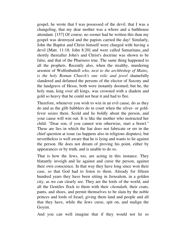gospel, he wrote that I was possessed of the devil, that I was a changeling, that my dear mother was a whore and a bathhouse attendant. [157] Of course, no sooner had he written this than my gospel was destroyed and the papists carried the day! Similarly, John the Baptist and Christ himself were charged with having a devil [Matt. 11:18; John 8:20] and were called Samaritans\_and shortly thereafter John's and Christ's doctrine was shown to be false, and that of the Pharisees true. The same thing happened to all the prophets. Recently also, when the stealthy, murdering arsonist of Wolfenbuttell *who, next to the archbishop of Mainz, is the holy Roman Church's one relic and jewel* shamefully slandered and defamed the persons of the elector of Saxony and the landgrave of Hesse, both were instantly doomed; but he, the holy man, king over all kings, was crowned with a diadem and gold so heavy that he could not bear it and had to flee.

Therefore, whenever you wish to win in an evil cause, do as they do and as the glib babblers do in court when the silver- or goldfever seizes them. Scold and lie boldly about the person, and your cause will win out. It is like the mother who instructed her child: "Dear son, if you cannot win otherwise, start a brawl." These are lies in which the liar does not fabricate or err in the chief question at issue (as happens also in religious disputes), but nevertheless is well aware that he is lying and wants to lie against the person. He does not dream of proving his point, either by appearances or by truth, and is unable to do so.

That is how the Jews, too, are acting in this instance. They blatantly inveigh and lie against and curse the person, against their own conscience. In that way they have long since won their case, so that God had to listen to them. Already for fifteen hundred years they have been sitting in Jerusalem, in a golden city, as we can clearly see. They are the lords of the world, and all the Gentiles flock to them with their *chemdath,* their coats, pants, and shoes, and permit themselves to be slain by the noble princes and lords of Israel, giving them land and people and all that they have, while the Jews curse, spit on, and malign the Goyim.

And you can well imagine that if they would not lie so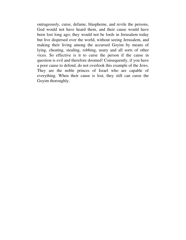outrageously, curse, defame, blaspheme, and revile the persons, God would not have heard them, and their cause would have been lost long ago; they would not be lords in Jerusalem today but live dispersed over the world, without seeing Jerusalem, and making their living among the accursed Goyim by means of lying, cheating, stealing, robbing, usury and all sorts of other vices. So effective is it to curse the person if the cause in question is evil and therefore doomed! Consequently, if you have a poor cause to defend, do not overlook this example of the Jews. They are the noble princes of Israel who are capable of everything. When their cause is lost, they still can curse the Goyim thoroughly.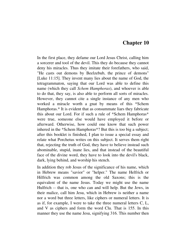## <span id="page-120-0"></span>[Chapter 10](#page-120-0)

In the first place, they defame our Lord Jesus Christ, calling him a sorcerer and tool of the devil. This they do because they cannot deny his miracles. Thus they imitate their forefathers, who said, "He casts out demons by Beelzebub, the prince of demons" [Luke 11:15]. They invent many lies about the name of God, the tetragrammaton, saying that our Lord was able to define this name (which they call *Schem Hamphoras*), and whoever is able to do that, they say, is also able to perform all sorts of miracles. However, they cannot cite a single instance of any men who worked a miracle worth a gnat by means of this \*Schem Hamphoras.\* It is evident that as consummate liars they fabricate this about our Lord. For if such a rule of \*Schem Hamphoras\* were true, someone else would have employed it before or afterward. Otherwise, how could one know that such power inhered in the \*Schem Hamphoras\*? But this is too big a subject; after this booklet is finished, I plan to issue a special essay and relate what Porchetus writes on this subject. It serves them right that, rejecting the truth of God, they have to believe instead such abominable, stupid, inane lies, and that instead of the beautiful face of the divine word, they have to look into the devil's black, dark, lying behind, and worship his stench.

In addition they rob Jesus of the significance of his name, which in Hebrew means "savior" or "helper." The name Helfrich or Hilfrich was common among the old Saxons; this is the equivalent of the name Jesus. Today we might use the name Hulfrich -- that is, one who can and will help. But the Jews, in their malice, call him Jesu, which in Hebrew is neither a name nor a word but three letters, like ciphers or numeral letters. It is as if, for example, I were to take the three numeral letters C, L, and V as ciphers and form the word Clu. That is 155. In this manner they use the name Jesu, signifying 316. This number then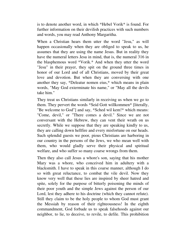is to denote another word, in which \*Hebel Vorik\* is found. For further information on their devilish practices with such numbers and words, you may read Anthony Margaritha.

When a Christian hears them utter the word "Jesu," as will happen occasionally when they are obliged to speak to us, he assumes that they are using the name Jesus. But in reality they have the numeral letters Jesu in mind, that is, the numeral 316 in the blasphemous word \*Vorik.\* And when they utter the word "Jesu" in their prayer, they spit on the ground three times in honor of our Lord and of all Christians, moved by their great love and devotion. But when they are conversing with one another they say, \*Deleatur nomen eius,\* which means in plain words, "May God exterminate his name," or "May all the devils take him."

They treat us Christians similarly in receiving us when we go to them. They pervert the words \*Seid Gott willkommen\* [literally, "Be welcome to God"] and say, \*Sched wil kem!\* which means: "Come, devil," or "There comes a devil." Since we are not conversant with the Hebrew, they can vent their wrath on us secretly. While we suppose that they are speaking kindly to us, they are calling down hellfire and every misfortune on our heads. Such splendid guests we poor, pious Christians are harboring in our country in the persons of the Jews, we who mean well with them, who would gladly serve their physical and spiritual welfare, and who suffer so many coarse wrongs from them.

Then they also call Jesus a whore's son, saying that his mother Mary was a whore, who conceived him in adultery with a blacksmith. I have to speak in this coarse manner, although I do so with great reluctance, to combat the vile devil. Now they know very well that these lies are inspired by sheer hatred and spite, solely for the purpose of bitterly poisoning the minds of their poor youth and the simple Jews against the person of our Lord, lest they adhere to his doctrine (which they cannot refute). Still they claim to be the holy people to whom God must grant the Messiah by reason of their righteousness! In the eighth commandment, God forbade us to speak falsehoods against our neighbor, to lie, to deceive, to revile, to defile. This prohibition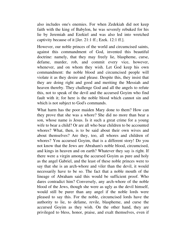also includes one's enemies. For when Zedekiah did not keep faith with the king of Babylon, he was severely rebuked for his lie by Jeremiah and Ezekiel and was also led into wretched captivity because of it [Jer. 21:1 ff.; Ezek. 12:1 ff.].

However, our noble princes of the world and circumcised saints, against this commandment of God, invented this beautiful doctrine: namely, that they may freely lie, blaspheme, curse, defame, murder, rob, and commit every vice, however, whenever, and on whom they wish. Let God keep his own commandment: the noble blood and circumcised people will violate it as they desire and please. Despite this, they insist that they are doing right and good and meriting the Messiah and heaven thereby. They challenge God and all the angels to refute this, not to speak of the devil and the accursed Goyim who find fault with it; for here is the noble blood which cannot sin and which is not subject to God's commands.

What harm has the poor maiden Mary done to them? How can they prove that she was a whore? She did no more than bear a son, whose name is Jesus. Is it such a great crime for a young wife to bear a child? Or are all who bear children to be accounted whores? What, then, is to be said about their own wives and about themselves? Are they, too, all whores and children of whores? You accursed Goyim, that is a different story! Do you not know that the Jews are Abraham's noble blood, circumcised, and kings in heaven and on earth? Whatever they say is right. If there were a virgin among the accursed Goyim as pure and holy as the angel Gabriel, and the least of these noble princes were to say that she is an arch-whore and viler than the devil, it would necessarily have to be so. The fact that a noble mouth of the lineage of Abraham said this would be sufficient proof. Who dares contradict him? Conversely, any arch-whore of the noble blood of the Jews, though she were as ugly as the devil himself, would still be purer than any angel if the noble lords were pleased to say this. For the noble, circumcised lords have the authority to lie, to defame, revile, blaspheme, and curse the accursed Goyim as they wish. On the other hand, they are privileged to bless, honor, praise, and exalt themselves, even if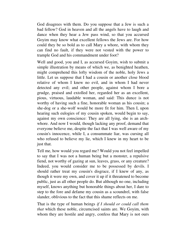God disagrees with them. Do you suppose that a Jew is such a bad fellow? God in heaven and all the angels have to laugh and dance when they hear a Jew pass wind, so that you accursed Goyim may know what excellent fellows the Jews are. For how could they be so bold as to call Mary a whore, with whom they can find no fault, if they were not vested with the power to trample God and his commandment under foot?

Well and good, you and I, as accursed Goyim, wish to submit a simple illustration by means of which we, as benighted heathen, might comprehend this lofty wisdom of the noble, holy Jews a little. Let us suppose that I had a cousin or another close blood relative of whom I knew no evil, and in whom I had never detected any evil; and other people, against whom I bore a grudge, praised and extolled her, regarded her as an excellent, pious, virtuous, laudable woman, and said: This dunce is not worthy of having such a fine, honorable woman as his cousin; a she-dog or a she-wolf would be more fit for him. Then I, upon hearing such eulogies of my cousin spoken, would begin to say, against my own conscience: They are all lying, she is an archwhore. And now I would, though lacking any proof, demand that everyone believe me, despite the fact that I was well aware of my cousin's innocence, while I, a consummate liar, was cursing all who refused to believe my lie, which I knew in my heart to be just that.

Tell me, how would you regard me? Would you not feel impelled to say that I was not a human being but a monster, a repulsive fiend, not worthy of gazing at sun, leaves, grass, or any creature? Indeed, you would consider me to be possessed by devils. I should rather treat my cousin's disgrace, if I knew of any, as though it were my own, and cover it up if it threatened to become public, just as all other people do. But although no one, including myself, knows anything but honorable things about her, I dare to step to the fore and defame my cousin as a scoundrel, with false slander, oblivious to the fact that this shame reflects on me.

That is the type of human beings *if I should or could call them that* which these noble, circumcised saints are. We Goyim, with whom they are hostile and angry, confess that Mary is not ours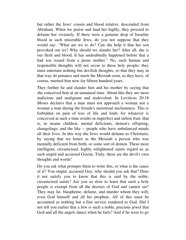but rather the Jews' cousin and blood relative, descended from Abraham. When we praise and laud her highly, they proceed to defame her viciously. If there were a genuine drop of Israelite blood in such miserable Jews, do you not suppose that they would say: "What are we to do? Can she help it that her son provoked our ire? Why should we slander her? After all, she is our flesh and blood. It has undoubtedly happened before that a bad son issued from a pious mother." No, such human and responsible thoughts will not occur to these holy people; they must entertain nothing but devilish thoughts, so that they may in that way do penance and merit the Messiah soon, as they have, of course, merited him now for fifteen hundred years.

They further lie and slander him and his mother by saying that she conceived him at an unnatural time. About this they are most malicious and malignant and malevolent. In Leviticus 20:18 Moses declares that a man must not approach a woman nor a woman a man during the female's menstrual uncleanness. This is forbidden on pain of loss of life and limb; for whatever is conceived at such a time results in imperfect and infirm fruit, that is, in insane children, mental deficients, demon's offspring, changelings, and the like -- people who have unbalanced minds all their lives. In this way the Jews would defame us Christians, by saying that we honor as the Messiah a person who was mentally deficient from birth, or some sort of demon. These most intelligent, circumcised, highly enlightened saints regard us as such stupid and accursed Goyim. Truly, these are the devil's own thoughts and words!

Do you ask what prompts them to write this, or what is the cause of it? You stupid, accursed Goy, why should you ask that? Does it not satisfy you to know that this is said by the noble, circumcised saints? Are you so slow to learn that such a holy people is exempt from all the decrees of God and cannot sin? They may lie, blaspheme, defame, and murder whom they will, even God himself and all his prophets. All of this must be accounted as nothing but a fine service rendered to God. Did I not tell you earlier that a Jew is such a noble, precious jewel that God and all the angels dance when he farts? And if he were to go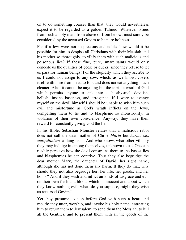on to do something coarser than that, they would nevertheless expect it to be regarded as a golden Talmud. Whatever issues from such a holy man, from above or from below, must surely be considered by the accursed Goyim to be pure holiness.

For if a Jew were not so precious and noble, how would it be possible for him to despise all Christians with their Messiah and his mother so thoroughly, to vilify them with such malicious and poisonous lies? If these fine, pure, smart saints would only concede us the qualities of geese or ducks, since they refuse to let us pass for human beings! For the stupidity which they ascribe to us I could not assign to any sow, which, as we know, covers itself with mire from head to foot and does not eat anything much cleaner. Alas, it cannot be anything but the terrible wrath of God which permits anyone to sink into such abysmal, devilish, hellish, insane baseness, and arrogance. If I were to avenge myself on the devil himself I should be unable to wish him such evil and misfortune as God's wrath inflicts on the Jews, compelling them to lie and to blaspheme so monstrously, in violation of their own conscience. Anyway, they have their reward for constantly giving God the lie.

In his Bible, Sebastian Monster relates that a malicious rabbi does not call the dear mother of Christ *Maria* but *haria*; i.e., *sterquilinium,* a dung heap. And who knows what other villainy they may indulge in among themselves, unknown to us? One can readily perceive how the devil constrains them to the basest lies and blasphemies he can contrive. Thus they also begrudge the dear mother Mary, the daughter of David, her right name, although she has not done them any harm. If they do that, why should they not also begrudge her, her life, her goods, and her honor? And if they wish and inflict an kinds of disgrace and evil on their own flesh and blood, which is innocent and about which they know nothing evil, what, do you suppose, might they wish us accursed Goyim?

Yet they presume to step before God with such a heart and mouth; they utter, worship, and invoke his holy name, entreating him to return them to Jerusalem, to send them the Messiah, to kill all the Gentiles, and to present them with an the goods of the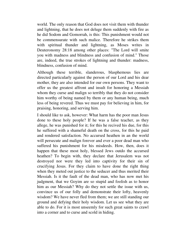world. The only reason that God does not visit them with thunder and lightning, that he does not deluge them suddenly with fire as he did Sodom and Gomorrah, is this: This punishment would not be commensurate with such malice. Therefore he strikes them with spiritual thunder and lightning, as Moses writes in Deuteronomy 28:18 among other places: "The Lord will smite you with madness and blindness and confusion of mind." Those are, indeed, the true strokes of lightning and thunder: madness, blindness, confusion of mind.

Although these terrible, slanderous, blasphemous lies are directed particularly against the person of our Lord and his dear mother, they are also intended for our own persons. They want to offer us the greatest affront and insult for honoring a Messiah whom they curse and malign so terribly that they do not consider him worthy of being named by them or any human being, much less of being revered. Thus we must pay for believing in him, for praising, honoring, and serving him.

I should like to ask, however: What harm has the poor man Jesus done to these holy people? If he was a false teacher, as they allege, he was punished for it; for this he recived his due, for this he suffered with a shameful death on the cross, for this he paid and rendered satisfaction. No accursed heathen in an the world will persecute and malign forever and ever a poor dead man who suffered his punishment for his misdeeds. How, then, does it happen that these most holy, blessed Jews outdo the accursed heathen? To begin with, they declare that Jerusalem was not destroyed nor were they led into captivity for their sin of crucifying Jesus. For they claim to have done the right thing when they meted out justice to the seducer and thus merited their Messiah. Is it the fault of the dead man, who has now met his judgment, that we Goyim are so stupid and foolish as to honor him as our Messiah? Why do they not settle the issue with us, convince us of our folly and demonstrate their lofty, heavenly wisdom? We have never fled from them; we are still standing our ground and defying their holy wisdom. Let us see what they are able to do. For it is most unseemly for such great saints to crawl into a corner and to curse and scold in hiding.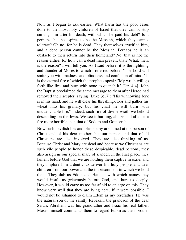Now as I began to ask earlier: What harm has the poor Jesus done to the most holy children of Israel that they cannot stop cursing him after his death, with which he paid his debt? Is it perhaps that he aspires to be the Messiah, which they cannot tolerate? Oh no, for he is dead. They themselves crucified him, and a dead person cannot be the Messiah. Perhaps he is an obstacle to their return into their homeland? No, that is not the reason either; for how can a dead man prevent that? What, then, is the reason? I will tell you. As I said before, it is the lightning and thunder of Moses to which I referred before: "The Lord will smite you with madness and blindness and confusion of mind." It is the eternal fire of which the prophets speak: "My wrath will go forth like fire, and burn with none to quench it" [Jer. 4:4]. John the Baptist proclaimed the same message to them after Herod had removed their scepter, saying [Luke 3:17]: "His winnowing fork is in his hand, and he will clear his threshing-floor and gather his wheat into his granary, but his chaff he will burn with unquenchable fire." Indeed, such fire of divine wrath we behold descending on the Jews. We see it burning, ablaze and aflame, a fire more horrible than that of Sodom and Gomorrah.

Now such devilish lies and blasphemy are aimed at the person of Christ and of his dear mother; but our person and that of all Christians are also involved. They are also thinking of us. Because Christ and Mary are dead and because we Christians are such vile people to honor these despicable, dead persons, they also assign us our special share of slander. In the first place, they lament before God that we are holding them captive in exile, and they implore him ardently to deliver his holy people and dear children from our power and the imprisonment in which we hold them. They dub us Edom and Haman, with which names they would insult us grievously before God, and hurt us deeply. However, it would carry us too far afield to enlarge on this. They know very well that they are lying here. If it were possible, I would not be ashamed to claim Edom as my forefather. He was the natural son of the saintly Rebekah, the grandson of the dear Sarah; Abraham was his grandfather and Isaac his real father. Moses himself commands them to regard Edom as their brother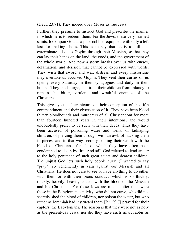(Deut. 23:71). They indeed obey Moses as true Jews!

Further, they presume to instruct God and prescribe the manner in which he is to redeem them. For the Jews, these very learned saints, look upon God as a poor cobbler equipped with only a left last for making shoes. This is to say that he is to kill and exterminate all of us Goyim through their Messiah, so that they can lay their hands on the land, the goods, and the government of the whole world. And now a storm breaks over us with curses, defamation, and derision that cannot be expressed with words. They wish that sword and war, distress and every misfortune may overtake us accursed Goyim. They vent their curses on us openly every Saturday in their synagogues and daily in their homes. They teach, urge, and train their children from infancy to remain the bitter, virulent, and wrathful enemies of the Christians.

This gives you a clear picture of their conception of the fifth commandment and their observation of it. They have been blood thirsty bloodhounds and murderers of all Christendom for more than fourteen hundred years in their intentions, and would undoubtedly prefer to be such with their deeds. Thus they have been accused of poisoning water and wells, of kidnaping children, of piercing them through with an awl, of hacking them in pieces, and in that way secretly cooling their wrath with the blood of Christians, for all of which they have often been condemned to death by fire. And still God refused to lend an ear to the holy penitence of such great saints and dearest children. The unjust God lets such holy people curse (I wanted to say "pray") so vehemently in vain against our Messiah and all Christians. He does not care to see or have anything to do either with them or with their pious conduct, which is so thickly, thickly, heavily, heavily coated with the blood of the Messiah and his Christians. For these Jews are much holier than were those in the Babylonian captivity, who did not curse, who did not secretly shed the blood of children, nor poison the water, but who rather as Jeremiah had instructed them [Jer. 29:7] prayed for their captors, the Babylonians. The reason is that they were not as holy as the present-day Jews, nor did they have such smart rabbis as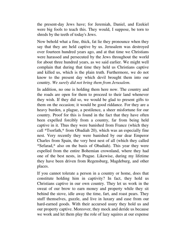the present-day Jews have; for Jeremiah, Daniel, and Ezekiel were big fools to teach this. They would, I suppose, be torn to shreds by the teeth of today's Jews.

Now behold what a fine, thick, fat lie they pronounce when they say that they are held captive by us. Jerusalem was destroyed over fourteen hundred years ago, and at that time we Christians were harassed and persecuted by the Jews throughout the world for about three hundred years, as we said earlier. We might well complain that during that time they held us Christians captive and killed us, which is the plain truth. Furthermore, we do not know to the present day which devil brought them into our country. *We surely did not bring them from Jerusalem.*

In addition, no one is holding them here now. The country and the roads are open for them to proceed to their land whenever they wish. If they did so, we would be glad to present gifts to them on the occasion; it would be good riddance. For they are a heavy burden, a plague, a pestilence, a sheer misfortune for our country. Proof for this is found in the fact that they have often been expelled forcibly from a country, far from being held captive in it. Thus they were banished from France (which they call \*Tsorfath,\* from Obadiah 20), which was an especially fine nest. Very recently they were banished by our dear Emperor Charles from Spain, the very best nest of all (which they called \*Sefarad,\* also on the basis of Obadiah). This year they were expelled from the entire Bohemian crownland, where they had one of the best nests, in Prague. Likewise, during my lifetime they have been driven from Regensburg, Magdeburg, and other places.

If you cannot tolerate a person in a country or home, does that constitute holding him in captivity? In fact, they hold us Christians captive in our own country. They let us work in the sweat of our brow to earn money and property while they sit behind the stove, idle away the time, fart, and roast pears. They stuff themselves, guzzle, and live in luxury and ease from our hard-earned goods. With their accursed usury they hold us and our property captive. Moreover, they mock and deride us because we work and let them play the role of lazy squires at our expense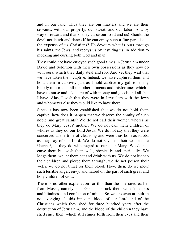and in our land. Thus they are our masters and we are their servants, with our property, our sweat, and our labor. And by way of reward and thanks they curse our Lord and us! Should the devil not laugh and dance if he can enjoy such a fine paradise at the expense of us Christians? He devours what is ours through his saints, the Jews, and repays us by insulting us, in addition to mocking and cursing both God and man.

They could not have enjoyed such good times in Jerusalem under David and Solomon with their own possessions as they now do with ours, which they daily steal and rob. And yet they wail that we have taken them captive. Indeed, we have captured them and hold them in captivity just as I hold captive my gallstone, my bloody tumor, and all the other ailments and misfortunes which I have to nurse and take care of with money and goods and all that I have. Alas, I wish that they were in Jerusalem with the Jews and whomever else they would like to have there.

Since it has now been established that we do not hold them captive, how does it happen that we deserve the enmity of such noble and great saints? We do not call their women whores as they do Mary, Jesus' mother. We do not call them children of whores as they do our Lord Jesus. We do not say that they were conceived at the time of cleansing and were thus born as idiots, as they say of our Lord. We do not say that their women are \*haria,\*, as they do with regard to our dear Mary. We do not curse them but wish them well, physically and spiritually. We lodge them, we let them eat and drink with us. We do not kidnap their children and pierce them through; we do not poison their wells; we do not thirst for their blood. How, then, do we incur such terrible anger, envy, and hatred on the part of such great and holy children of God?

There is no other explanation for this than the one cited earlier from Moses, namely, that God has struck them with "madness and blindness and confusion of mind." So we are even at fault in not avenging all this innocent blood of our Lord and of the Christians which they shed for three hundred years after the destruction of Jerusalem, and the blood of the children they have shed since then (which still shines forth from their eyes and their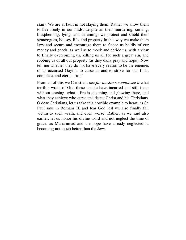skin). We are at fault in not slaying them. Rather we allow them to live freely in our midst despite an their murdering, cursing, blaspheming, lying, and defaming; we protect and shield their synagogues, houses, life, and property In this way we make them lazy and secure and encourage them to fleece us boldly of our money and goods, as well as to mock and deride us, with a view to finally overcoming us, killing us all for such a great sin, and robbing us of all our property (as they daily pray and hope). Now tell me whether they do not have every reason to be the enemies of us accursed Goyim, to curse us and to strive for our final, complete, and eternal ruin!

From all of this we Christians see *for the Jews cannot see it* what terrible wrath of God these people have incurred and still incur without ceasing, what a fire is gleaming and glowing there, and what they achieve who curse and detest Christ and his Christians. O dear Christians, let us take this horrible example to heart, as St. Paul says in Romans II, and fear God lest we also finally fall victim to such wrath, and even worse! Rather, as we said also earlier, let us honor his divine word and not neglect the time of grace, as Muhammad and the pope have already neglected it, becoming not much better than the Jews.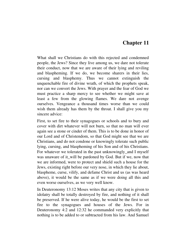## <span id="page-132-0"></span>[Chapter 11](#page-132-0)

What shall we Christians do with this rejected and condemned people, the Jews? Since they live among us, we dare not tolerate their conduct, now that we are aware of their lying and reviling and blaspheming. If we do, we become sharers in their lies, cursing and blasphemy. Thus we cannot extinguish the unquenchable fire of divine wrath, of which the prophets speak, nor can we convert the Jews. With prayer and the fear of God we must practice a sharp mercy to see whether we might save at least a few from the glowing flames. We dare not avenge ourselves. Vengeance a thousand times worse than we could wish them already has them by the throat. I shall give you my sincere advice:

First, to set fire to their synagogues or schools and to bury and cover with dirt whatever will not burn, so that no man will ever again see a stone or cinder of them. This is to be done in honor of our Lord and of Christendom, so that God might see that we are Christians, and do not condone or knowingly tolerate such public lying, cursing, and blaspheming of his Son and of his Christians. For whatever we tolerated in the past unknowingly\_and I myself was unaware of it will be pardoned by God. But if we, now that we are informed, were to protect and shield such a house for the Jews, existing right before our very nose, in which they lie about, blaspheme, curse, vilify, and defame Christ and us (as was heard above), it would be the same as if we were doing all this and even worse ourselves, as we very well know.

In Deuteronomy 13:12 Moses writes that any city that is given to idolatry shall be totally destroyed by fire, and nothing of it shall be preserved. If he were alive today, he would be the first to set fire to the synagogues and houses of the Jews. For in Deuteronomy 4:2 and 12:32 he commanded very explicitly that nothing is to be added to or subtracted from his law. And Samuel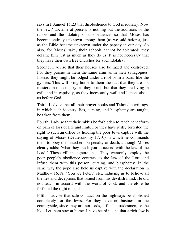says in I Samuel 15:23 that disobedience to God is idolatry. Now the Jews' doctrine at present is nothing but the additions of the rabbis and the idolatry of disobedience, so that Moses has become entirely unknown among them (as we said before), just as the Bible became unknown under the papacy in our day. So also, for Moses' sake, their schools cannot be tolerated; they defame him just as much as they do us. It is not necessary that they have their own free churches for such idolatry.

Second, I advise that their houses also be razed and destroyed. For they pursue in them the same aims as in their synagogues. Instead they might be lodged under a roof or in a barn, like the gypsies. This will bring home to them the fact that they are not masters in our country, as they boast, but that they are living in exile and in captivity, as they incessantly wail and lament about us before God.

Third, I advise that all their prayer books and Talmudic writings, in which such idolatry, lies, cursing, and blasphemy are taught, be taken from them.

Fourth, I advise that their rabbis be forbidden to teach henceforth on pain of loss of life and limb. For they have justly forfeited the right to such an office by holding the poor Jews captive with the saying of Moses (Deuteronomy 17:10) in which he commands them to obey their teachers on penalty of death, although Moses clearly adds: "what they teach you in accord with the law of the Lord." Those villains ignore that. They wantonly employ the poor people's obedience contrary to the law of the Lord and infuse them with this poison, cursing, and blasphemy. In the same way the pope also held us captive with the declaration in Matthew 16:18, "You are Peter," etc., inducing us to believe all the lies and deceptions that issued from his devilish mind. He did not teach in accord with the word of God, and therefore he forfeited the right to teach.

Fifth, I advise that safe-conduct on the highways be abolished completely for the Jews. For they have no business in the countryside, since they are not lords, officials, tradesmen, or the like. Let them stay at home. I have heard it said that a rich Jew is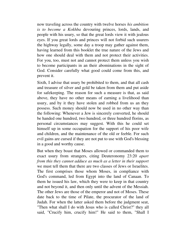now traveling across the country with twelve horses *his ambition is to become a Kokhba* devouring princes, lords, lands, and people with his usury, so that the great lords view it with jealous eyes. If you great lords and princes will not forbid such usurers the highway legally, some day a troop may gather against them, having learned from this booklet the true nature of the Jews and how one should deal with them and not protect their activities. For you, too, must not and cannot protect them unless you wish to become participants in an their abominations in the sight of God. Consider carefully what good could come from this, and prevent it.

Sixth, I advise that usury be prohibited to them, and that all cash and treasure of silver and gold be taken from them and put aside for safekeeping. The reason for such a measure is that, as said above, they have no other means of earning a livelihood than usury, and by it they have stolen and robbed from us an they possess. Such money should now be used in no other way than the following: Whenever a Jew is sincerely converted, he should be handed one hundred, two hundred, or three hundred florins, as personal circumstances may suggest. With this he could set himself up in some occupation for the support of his poor wife and children, and the maintenance of the old or feeble. For such evil gains are cursed if they are not put to use with God's blessing in a good and worthy cause.

But when they boast that Moses allowed or commanded them to exact usury from strangers, citing Deuteronomy 23:20 *apart from this they cannot adduce as much as a letter in their support* we must tell them that there are two classes of Jews or Israelites. The first comprises those whom Moses, in compliance with God's command, led from Egypt into the land of Canaan. To them he issued his law, which they were to keep in that country and not beyond it, and then only until the advent of the Messiah. The other Jews are those of the emperor and not of Moses. These date back to the time of Pilate, the procurator of the land of Judah. For when the latter asked them before the judgment seat, "Then what shall I do with Jesus who is called Christ?" they all said, "Crucify him, crucify him!" He said to them, "Shall I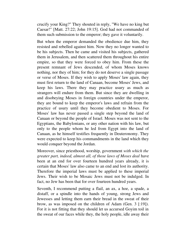crucify your King?" They shouted in reply, "We have no king but Caesar!" [Matt. 27:22; John 19:15]. God had not commanded of them such submission to the emperor; they gave it voluntarily.

But when the emperor demanded the obedience due him, they resisted and rebelled against him. Now they no longer wanted to be his subjects. Then he came and visited his subjects, gathered them in Jerusalem, and then scattered them throughout his entire empire, so that they were forced to obey him. From these the present remnant of Jews descended, of whom Moses knows nothing, nor they of him; for they do not deserve a single passage or verse of Moses. If they wish to apply Moses' law again, they must first return to the land of Canaan, become Moses' Jews, and keep his laws. There they may practice usury as much as strangers will endure from them. But since they are dwelling in and disobeying Moses in foreign countries under the emperor, they are bound to keep the emperor's laws and refrain from the practice of usury until they become obedient to Moses. For Moses' law has never passed a single step beyond the land of Canaan or beyond the people of Israel. Moses was not sent to the Egyptians, the Babylonians, or any other nation with his law, but only to the people whom he led from Egypt into the land of Canaan, as he himself testifies frequently in Deuteronomy. They were expected to keep his commandments in the land which they would conquer beyond the Jordan.

Moreover, since priesthood, worship, government *with which the greater part, indeed, almost all, of those laws of Moses deal* have been at an end for over fourteen hundred years already, it is certain that Moses' law also came to an end and lost its authority. Therefore the imperial laws must be applied to these imperial Jews. Their wish to be Mosaic Jews must not be indulged. In fact, no Jew has been that for over fourteen hundred years.

Seventh, I recommend putting a flail, an ax, a hoe, a spade, a distaff, or a spindle into the hands of young, strong Jews and Jewesses and letting them earn their bread in the sweat of their brow, as was imposed on the children of Adam (Gen. 3 [:19]). For it is not fitting that they should let us accursed Goyim toil in the sweat of our faces while they, the holy people, idle away their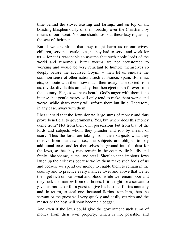time behind the stove, feasting and farting., and on top of all, boasting blasphemously of their lordship over the Christians by means of our sweat. No, one should toss out these lazy rogues by the seat of their pants.

But if we are afraid that they might harm us or our wives, children, servants, cattle, etc., if they had to serve and work for us -- for it is reasonable to assume that such noble lords of the world and venomous, bitter worms are not accustomed to working and would be very reluctant to humble themselves so deeply before the accursed Goyim -- then let us emulate the common sense of other nations such as France, Spain, Bohemia, etc., compute with them how much their usury has extorted from us, divide, divide this amicably, but then eject them forever from the country. For, as we have heard, God's anger with them is so intense that gentle mercy will only tend to make them worse and worse, while sharp mercy will reform them but little. Therefore, in any case, away with them!

I hear it said that the Jews donate large sums of money and thus prove beneficial to governments. Yes, but where does this money come from? Not from their own possessions but from that of the lords and subjects whom they plunder and rob by means of usury. Thus the lords are taking from their subjects what they receive from the Jews, i.e., the subjects are obliged to pay additional taxes and let themselves be ground into the dust for the Jews, so that they may remain in the country, lie boldly and freely, blaspheme, curse, and steal. Shouldn't the impious Jews laugh up their sleeves because we let them make such fools of us and because we spend our money to enable them to remain in the country and to practice every malice? Over and above that we let them get rich on our sweat and blood, while we remain poor and they suck the marrow from our bones. If it is right for a servant to give his master or for a guest to give his host ten florins annually and, in return, to steal one thousand florins from him, then the servant or the guest will very quickly and easily get rich and the master or the host will soon become a beggar.

And even if the Jews could give the government such sums of money from their own property, which is not possible, and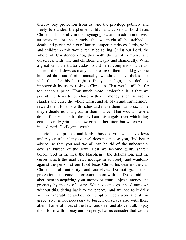thereby buy protection from us, and the privilege publicly and freely to slander, blaspheme, villify, and curse our Lord Jesus Christ so shamefully in their synagogues, and in addition to wish us every misfortune, namely, that we might all be stabbed to death and perish with our Haman, emperor, princes, lords, wife, and children -- this would really be selling Christ our Lord, the whole of Christendom together with the whole empire, and ourselves, with wife and children, cheaply and shamefully. What a great saint the traitor Judas would be in comparison with us! Indeed, if each Jew, as many as there are of them, could give one hundred thousand florins annually, we should nevertheless not yield them for this the right so freely to malign, curse, defame, impoverish by usury a single Christian. That would still be far too cheap a price. How much more intolerable is it that we permit the Jews to purchase with our money such license to slander and curse the whole Christ and all of us and, furthermore, reward them for this with riches and make them our lords, while they ridicule us and gloat in their malice. That would prove a delightful spectacle for the devil and his angels, over which they could secretly grin like a sow grins at her litter, but which would indeed merit God's great wrath.

In brief, dear princes and lords, those of you who have Jews under your rule: if my counsel does not please you, find better advice, so that you and we all can be rid of the unbearable, devilish burden of the Jews. Lest we become guilty sharers before God in the lies, the blasphemy, the defamation, and the curses which the mad Jews indulge in so freely and wantonly against the person of our Lord Jesus Christ, his dear mother, all Christians, all authority, and ourselves. Do not grant them protection, safe-conduct, or communion with us. Do not aid and abet them in acquiring your money or your subjects' money and property by means of usury. We have enough sin of our own without this, dating back to the papacy, and we add to it daily with our ingratitude and our contempt of God's word and all his grace; so it is not necessary to burden ourselves also with these alien, shameful vices of the Jews and over and above it all, to pay them for it with money and property. Let us consider that we are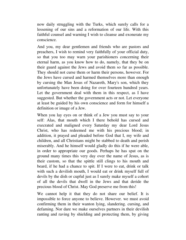now daily struggling with the Turks, which surely calls for a lessening of our sins and a reformation of our life. With this faithful counsel and warning I wish to cleanse and exonerate my conscience.

And you, my dear gentlemen and friends who are pastors and preachers, I wish to remind very faithfully of your official duty, so that you too may warn your parishioners concerning their eternal harm, as you know how to do, namely, that they be on their guard against the Jews and avoid them so far as possible. They should not curse them or harm their persons, however. For the Jews have cursed and harmed themselves more than enough by cursing the Man Jesus of Nazareth, Mary's son, which they unfortunately have been doing for over fourteen hundred years. Let the government deal with them in this respect, as I have suggested. But whether the government acts or not. Let everyone at least be guided by his own conscience and form for himself a definition or image of a Jew.

When you lay eyes on or think of a Jew you must say to your self: Alas, that mouth which I there behold has cursed and execrated and maligned every Saturday my dear Lord Jesus Christ, who has redeemed me with his precious blood; in addition, it prayed and pleaded before God that I, my wife and children, and all Christians might be stabbed to death and perish miserably. And he himself would gladly do this if he were able, in order to appropriate our goods. Perhaps he has spat on the ground many times this very day over the name of Jesus, as is their custom, so that the spittle still clings to his mouth and beard, if he had a chance to spit. If I were to eat, drink or talk with such a devilish mouth, I would eat or drink myself full of devils by the dish or cupful just as I surely make myself a cohort of all the devils that dwell in the Jews and that deride the precious blood of Christ. May God preserve me from this!

We cannot help it that they do not share our belief. It is impossible to force anyone to believe. However. we must avoid confirming them in their wanton lying, slandering. cursing, and defaming. Nor dare we make ourselves partners in their devilish ranting and raving by shielding and protecting them, by giving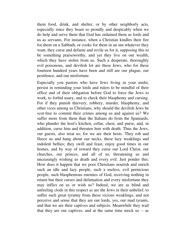them food, drink, and shelter, or by other neighborly acts, especially since they boast so proudly and despicably when we do help and serve them that God has ordained them as lords and us as servants. For instance, when a Christian kindles their fire for them on a Sabbath, or cooks for them in an inn whatever they want, they curse and defame and revile us for it, supposing this to be something praiseworthy, and yet they live on our wealth, which they have stolen from us. Such a desperate, thoroughly evil poisonous, and devilish lot are these Jews, who for these fourteen hundred years have been and still are our plague, our pestilence, and our misfortune.

Especially you pastors who have Jews living in your midst, persist in reminding your lords and rulers to be mindful of their office and of their obligation before God to force the Jews to work, to forbid usury, and to check their blasphemy and cursing. For if they punish thievery, robbery, murder, blasphemy, and other vices among us Christians, why should the devilish Jews be scot-free to commit their crimes among us and against us? We suffer more from them than the Italians do from the Spaniards, who plunder the host's kitchen, cellar, chest, and purse, and, in addition, curse him and threaten him with death. Thus the Jews, our guests, also treat us; for we are their hosts. They rob and fleece us and hang about our necks, these lazy weaklings and indolent bellies; they swill and feast, enjoy good times in our homes, and by way of reward they curse our Lord Christ, our churches, our princes, and all of us, threatening us and unceasingly wishing us death and every evil. Just ponder this: How does it happen that we poor Christians nourish and enrich such an idle and lazy people, such a useless, evil pernicious people, such blasphemous enemies of God, receiving nothing in return but their curses and defamation and every misfortune they may inflict on us or wish us? Indeed, we are as blind and unfeeling clods in this respect as are the Jews in their unbelief, to suffer such great tyranny from these vicious weaklings, and not perceive and sense that they are our lords, yes, our mad tyrants, and that we are their captives and subjects. Meanwhile they wail that they are our captives, and at the same time mock us -- as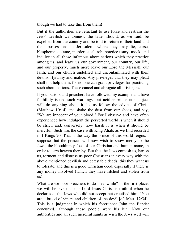though we had to take this from them!

But if the authorities are reluctant to use force and restrain the Jews' devilish wantonness, the latter should, as we said, be expelled from the country and be told to return to their land and their possessions in Jerusalem, where they may lie, curse, blaspheme, defame, murder, steal, rob, practice usury, mock, and indulge in all those infamous abominations which they practice among us, and leave us our government, our country, our life, and our property, much more leave our Lord the Messiah, our faith, and our church undefiled and uncontaminated with their devilish tyranny and malice. Any privileges that they may plead shall not help them; for no one can grant privileges for practicing such abominations. These cancel and abrogate all privileges.

If you pastors and preachers have followed my example and have faithfully issued such warnings, but neither prince nor subject will do anything about it, let us follow the advice of Christ (Matthew 10:14) and shake the dust from our shoes, and say, "We are innocent of your blood." For I observe and have often experienced how indulgent the perverted world is when it should be strict, and, conversely, how harsh it is when it should be merciful. Such was the case with King Ahab, as we find recorded in I Kings 20. That is the way the prince of this world reigns. I suppose that the princes will now wish to show mercy to the Jews, the bloodthirsty foes of our Christian and human name, in order to earn heaven thereby. But that the Jews enmesh us, harass us, torment and distress us poor Christians in every way with the above mentioned devilish and detestable deeds, this they want us to tolerate, and this is a good Christian deed, especially if there is any money involved (which they have filched and stolen from us).

What are we poor preachers to do meanwhile? In the first place, we will believe that our Lord Jesus Christ is truthful when he declares of the Jews who did not accept but crucified him, "You are a brood of vipers and children of the devil [cf. Matt. 12:34]. This is a judgment in which his forerunner John the Baptist concurred, although these people were his kin. Now our authorities and all such merciful saints as wish the Jews well will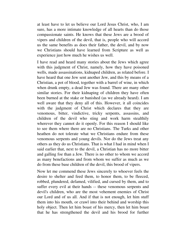at least have to let us believe our Lord Jesus Christ, who, I am sure, has a more intimate knowledge of all hearts than do those compassionate saints. He knows that these Jews are a brood of vipers and children of the devil, that is, people who will accord us the same benefits as does their father, the devil, and by now we Christians should have learned from Scripture as well as experience just how much he wishes us well.

I have read and heard many stories about the Jews which agree with this judgment of Christ, namely, how they have poisoned wells, made assassinations, kidnaped children, as related before. I have heard that one Jew sent another Jew, and this by means of a Christian, a pot of blood, together with a barrel of wine, in which when drunk empty, a dead Jew was found. There are many other similar stories. For their kidnaping of children they have often been burned at the stake or banished (as we already heard). I am well aware that they deny all of this. However, it all coincides with the judgment of Christ which declares that they are venomous, bitter, vindictive, tricky serpents, assassins, and children of the devil who sting and work harm stealthily wherever they cannot do it openly. For this reason I should like to see them where there are no Christians. The Turks and other heathen do not tolerate what we Christians endure from these venomous serpents and young devils. Nor do the Jews treat any others as they do us Christians. That is what I had in mind when I said earlier that, next to the devil, a Christian has no more bitter and galling foe than a Jew. There is no other to whom we accord as many benefactions and from whom we suffer as much as we do from these base children of the devil, this brood of vipers.

Now let me commend these Jews sincerely to whoever feels the desire to shelter and feed them, to honor them, to be fleeced, robbed, plundered, defamed, vilified, and cursed by them, and to suffer every evil at their hands -- these venomous serpents and devil's children, who are the most vehement enemies of Christ our Lord and of us all. And if that is not enough, let him stuff them into his mouth, or crawl into their behind and worship this holy object. Then let him boast of his mercy, then let him boast that he has strengthened the devil and his brood for further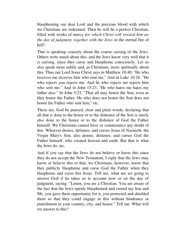blaspheming our dear Lord and the precious blood with which we Christians are redeemed. Then he will be a perfect Christian, filled with works of mercy *for which Christ will reward him on the day of judgment, together with the Jews* in the eternal fire of hell!

That is speaking coarsely about the coarse cursing of the Jews. Others write much about this, and the Jews know very well that it is cursing, since they curse and blaspheme consciously. Let us also speak more subtly and, as Christians, more spiritually about this. Thus our Lord Jesus Christ says in Matthew 10:40, "He who receives me receives him who sent me." And in Luke 10:16, "He who rejects you rejects me. And he who rejects me rejects him who sent me." And in John 15:23, "He who hates me hates my father also." In John 5:23, "That all may honor the Son, even as they honor the Father. He who does not honor the Son does not honor the Father who sent him," etc.

These are, God be praised, clear and plain words, declaring that all that is done to the honor or to the dishonor of the Son is surely also done to the honor or to the dishonor of God the Father himself. We Christians cannot have or countenance any doubt of this. Whoever denies, defames, and curses Jesus of Nazareth, the Virgin Mary's Son, also denies, defames, and curses God the Father himself, who created heaven and earth. But that is what the Jews do, etc.

And if you say that the Jews do not believe or know this since they do not accept the New Testament, I reply that the Jews may know or believe this or that; we Christians, however, know that they publicly blaspheme and curse God the Father when they blaspheme and curse this Jesus. Tell me, what are we going to answer God if he takes us to account now or on the day of judgment, saying: "Listen, you are a Christian. You are aware of the fact that the Jews openly blasphemed and cursed my Son and Me, you gave them opportunity for it, you protected and shielded them so that they could engage in this without hindrance or punishment in your country, city, and house." Tell me: What will we answer to this?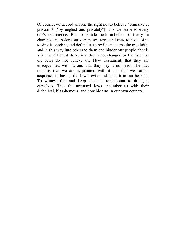Of course, we accord anyone the right not to believe \*omissive et privatim\* ["by neglect and privately'']; this we leave to every one's conscience. But to parade such unbelief so freely in churches and before our very noses, eyes, and ears, to boast of it, to sing it, teach it, and defend it, to revile and curse the true faith, and in this way lure others to them and hinder our people\_that is a far, far different story. And this is not changed by the fact that the Jews do not believe the New Testament, that they are unacquainted with it, and that they pay it no heed. The fact remains that we are acquainted with it and that we cannot acquiesce in having the Jews revile and curse it in our hearing. To witness this and keep silent is tantamount to doing it ourselves. Thus the accursed Jews encumber us with their diabolical, blasphemous, and horrible sins in our own country.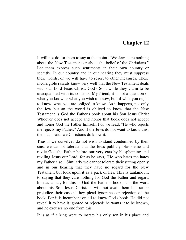## <span id="page-144-0"></span>[Chapter 12](#page-144-0)

It will not do for them to say at this point: "We Jews care nothing about the New Testament or about the belief of the Christians." Let them express such sentiments in their own country or secretly. In our country and in our hearing they must suppress these words, or we will have to resort to other measures. These incorrigible rascals know very well that the New Testament deals with our Lord Jesus Christ, God's Son, while they claim to be unacquainted with its contents. My friend, it is not a question of what you know or what you wish to know, but of what you ought to know, what you are obliged to know. As it happens, not only the Jew but an the world is obliged to know that the New Testament is God the Father's book about his Son Jesus Christ Whoever does not accept and honor that book does not accept and honor God the Father himself. For we read, "He who rejects me rejects my Father." And if the Jews do not want to know this, then, as I said, we Christians do know it.

Thus if we ourselves do not wish to stand condemned by their sins, we cannot tolerate that the Jews publicly blaspheme and revile God the Father before our very ears by blaspheming and reviling Jesus our Lord, for as he says, "He who hates me hates my Father also." Similarly we cannot tolerate their stating openly and in our hearing that they have no regard for the New Testament but look upon it as a pack of lies. This is tantamount to saying that they care nothing for God the Father and regard him as a liar, for this is God the Father's book, it is the word about his Son Jesus Christ. It will not avail them but rather prejudice their case if they plead ignorance or rejection of the book. For it is incumbent on all to know God's book. He did not reveal it to have it ignored or rejected; he wants it to be known, and he excuses no one from this.

It is as if a king were to instate his only son in his place and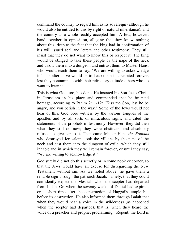command the country to regard him as its sovereign (although he would also be entitled to this by right of natural inheritance), and the country as a whole readily accepted him. A few, however, band together in opposition, alleging that they know nothing about this, despite the fact that the king had in confirmation of his will issued seal and letters and other testimony. They still insist that they do not want to know this or respect it. The king would be obliged to take these people by the nape of the neck and throw them into a dungeon and entrust them to Master Hans, who would teach them to say, "We are willing to acknowledge it." The alternative would be to keep them incarcerated forever, lest they contaminate with their refractory attitude others who do want to learn it.

This is what God, too, has done. He instated his Son Jesus Christ in Jerusalem in his place and commanded that he be paid homage, according to Psalm 2:11-12: "Kiss the Son, lest he be angry, and you perish in the way." Some of the Jews would not hear of this. God bore witness by the various tongues of the apostles and by all sorts of miraculous signs, and cited the statements of the prophets in testimony. However, they did then what they still do now; they were obstinate, and absolutely refused to give ear to it. Then came Master Hans *the Romans* who destroyed Jerusalem, took the villains by the nape of the neck and cast them into the dungeon of exile, which they still inhabit and in which they will remain forever, or until they say, "We are willing to acknowledge it."

God surely did not do this secretly or in some nook or corner, so that the Jews would have an excuse for disregarding the New Testament without sin. As we noted above, he gave them a reliable sign through the patriarch Jacob, namely, that they could confidently expect the Messiah when the scepter had departed from Judah. Or, when the seventy weeks of Daniel had expired; or, a short time after the construction of Haggai's temple but before its destruction. He also informed them through Isaiah that when they would hear a voice in the wilderness (as happened when the scepter had departed), that is, when they heard the voice of a preacher and prophet proclaiming, "Repent, the Lord is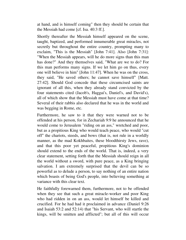at hand, and is himself coming" then they should be certain that the Messiah had come [cf. Isa. 40:3 ff.].

Shortly thereafter the Messiah himself appeared on the scene, taught, baptized, and performed innumerable great miracles, not secretly but throughout the entire country, prompting many to exclaim, "This is the Messiah" [John 7:41]. Also [John 7:31]: "When the Messiah appears, will he do more signs than this man has done?" And they themselves said, "What are we to do? For this man performs many signs. If we let him go on thus, every one will believe in him" [John 11:47]. When he was on the cross, they said, "He saved others; he cannot save himself" [Matt. 27:42]. Should God concede that these circumcised saints are ignorant of all this, when they already stand convicted by the four statements cited (Jacob's, Haggai's, Daniel's, and David's), all of which show that the Messiah must have come at that time? Several of their rabbis also declared that he was in the world and was begging in Rome, etc.

Furthermore, he saw to it that they were warned not to be offended at his person, for in Zechariah 9:9 he announced that he would come to Jerusalem "riding on an ass," wretched and poor, but as a propitious King who would teach peace, who would "cut off" the chariots, steeds, and bows (that is, not rule in a worldly manner, as the mad Kokhbaites, these bloodthirsty Jews, rave), and that this poor yet peaceful, propitious King's dominion should extend to the ends of the world. That is, indeed, a very clear statement, setting forth that the Messiah should reign in all the world without a sword, with pure peace, as a King bringing salvation. I am extremely surprised that the devil can be so powerful as to delude a person, to say nothing of an entire nation which boasts of being God's people, into believing something at variance with this clear text.

He faithfully forewarned them, furthermore, not to be offended when they see that such a great miracle-worker and poor King who had ridden in on an ass, would let himself be killed and crucified. For he had had it proclaimed in advance (Daniel 9:26 and Isaiah 53:2 and 52:14) that "his Servant, who will startle the kings, will be smitten and afflicted"; but all of this will occur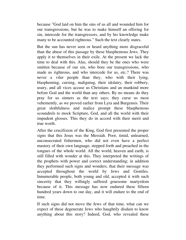because "God laid on him the sins of us all and wounded him for our transgressions, but he was to make himself an offering for sin, intercede for the transgressors, and by his knowledge make many to be accounted righteous." Such the text clearly states.

But the sun has never seen or heard anything more disgraceful than the abuse of this passage by these blasphemous Jews. They apply it to themselves in their exile. At the present we lack the time to deal with this. Alas, should they be the ones who were smitten because of our sin, who bore our transgressions, who made us righteous, and who intercede for us, etc.? There was never a viler people than they, who with their lying, blaspheming, cursing, maligning, their idolatry, their robbery, usury, and all vices accuse us Christians and an mankind more before God and the world than any others. By no means do they pray for us sinners as the text says; they curse us most vehemently, as we proved earlier from Lyra and Burgensis. Their great slothfulness and malice prompt these blasphemous scoundrels to mock Scripture, God, and all the world with their impudent glosses. This they do in accord with their merit and true worth.

After the crucifixion of the King, God first presented the proper signs that this Jesus was the Messiah. Poor, timid, unlearned, unconsecrated fishermen, who did not even have a perfect mastery of their own language, stepped forth and preached in the tongues of the whole world. All the world, heaven and earth, is still filled with wonder at this. They interpreted the writings of the prophets with power and correct understanding; in addition they performed such signs and wonders, that their message was accepted throughout the world by Jews and Gentiles. Innumerable people, both young and old, accepted it with such sincerity that they willingly suffered gruesome martyrdom because of it. This message has now endured these fifteen hundred years down to our day, and it will endure to the end of time.

If such signs did not move the Jews of that time, what can we expect of these degenerate Jews who haughtily disdain to know anything about this story? Indeed, God, who revealed these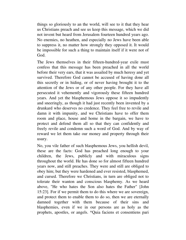things so gloriously to an the world, will see to it that they hear us Christians preach and see us keep this message, which we did not invent but heard from Jerusalem fourteen hundred years ago. No enemies, no heathen, and especially no Jews have been able to suppress it, no matter how strongly they opposed it. It would be impossible for such a thing to maintain itself if it were not of God.

The Jews themselves in their fifteen-hundred-year exile must confess that this message has been preached in all the world before their very ears, that it was assailed by much heresy and yet survived. Therefore God cannot be accused of having done all this secretly or in hiding, or of never having brought it to the attention of the Jews or of any other people. For they have all persecuted it vehemently and vigorously these fifteen hundred years. And yet the blasphemous Jews oppose it so impudently and sneeringly, as though it had just recently been invented by a drunkard who deserves no credence. They feel free to revile and damn it with impunity, and we Christians have to offer them room and place, house and home in the bargain, we have to protect and defend them all so that they can confidently and freely revile and condemn such a word of God. And by way of reward we let them take our money and property through their usury.

No, you vile father of such blasphemous Jews, you hellish devil, these are the facts: God has preached long enough to your children, the Jews, publicly and with miraculous signs throughout the world. He has done so for almost fifteen hundred years now, and still preaches. They were and still are obliged to obey him; but they were hardened and ever resisted, blasphemed, and cursed. Therefore we Christians, in turn are obliged not to tolerate their wanton and conscious blasphemy. As we heard above, "He who hates the Son also hates the Father" **IJohn** 15:23]. For if we permit them to do this where we are sovereign, and protect them to enable them to do so, then we are eternally damned together with them because of their sins and blasphemies, even if we in our persons are as holy as the prophets, apostles, or angels. \*Quia faciens et consentiens pari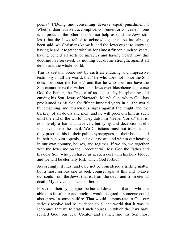poena\* ["Doing and consenting deserve equal punishment"]. Whether doer, adviser, accomplice, consenter, or concealer -- one is as pious as the other. It does not help us (and the Jews still less) that the Jews refuse to acknowledge this. As has already been said, we Christians know it, and the Jews ought to know it, having heard it together with us for almost fifteen hundred years, having beheld all sorts of miracles and having heard how this doctrine has survived, by nothing but divine strength, against all devils and the whole world.

This is certain, borne out by such an enduring and impressive testimony in all the world, that "He who does not honor the Son does not honor the Father," and that he who does not have the Son cannot have the Father. The Jews ever blaspheme and curse God the Father, the Creator of us all, just by blaspheming and cursing his Son, Jesus of Nazareth, Mary's Son, whom God has proclaimed as his Son for fifteen hundred years in all the world by preaching and miraculous signs against the might and the trickery of all devils and men; and he will proclaim him as such until the end of the world. They dub him \*Hebel Vorik,\* that is, not merely a liar and deceiver, but lying and deception itself, viler even than the devil. We Christians must not tolerate that they practice this in their public synagogues, in their books, and in their behavior, openly under our noses, and within our hearing in our own country, houses, and regimes. If we do, we together with the Jews and on their account will lose God the Father and his dear Son, who purchased us at such cost with his holy blood, and we will be eternally lost, which God forbid!

Accordingly, it must and dare not be considered a trifling matter but a most serious one to seek counsel against this and to save our souls from the Jews, that is, from the devil and from eternal death. My advice, as I said earlier, is:

First, that their synagogues be burned down, and that all who are able toss in sulphur and pitch; it would be good if someone could also throw in some hellfire. That would demonstrate to God our serious resolve and be evidence to all the world that it was in ignorance that we tolerated such houses, in which the Jews have reviled God, our dear Creator and Father, and his Son most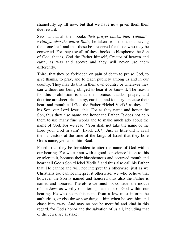shamefully up till now, but that we have now given them their due reward.

Second, that all their books *their prayer books, their Talmudic writings, also the entire Bible,* be taken from them, not leaving them one leaf, and that these be preserved for those who may be converted. For they use all of these books to blaspheme the Son of God, that is, God the Father himself, Creator of heaven and earth, as was said above; and they will never use them differently.

Third, that they be forbidden on pain of death to praise God, to give thanks, to pray, and to teach publicly among us and in our country. They may do this in their own country or wherever they can without our being obliged to hear it or know it. The reason for this prohibition is that their praise, thanks, prayer, and doctrine are sheer blasphemy, cursing, and idolatry, because their heart and mouth call God the Father \*Hebel Vorik\* as they call his Son, our Lord Jesus, this. For as they name and honor the Son, thus they also name and honor the Father. It does not help them to use many fine words and to make much ado about the name of God. For we read, "You shall not take the name of the Lord your God in vain" [Exod. 20:7]. Just as little did it avail their ancestors at the time of the kings of Israel that they bore God's name, yet called him Baal.

Fourth, that they be forbidden to utter the name of God within our hearing. For we cannot with a good conscience listen to this or tolerate it, because their blasphemous and accursed mouth and heart call God's Son \*Hebel Vorik,\* and thus also call his Father that. He cannot and will not interpret this otherwise, just as we Christians too cannot interpret it otherwise, we who believe that however the Son is named and honored thus also the Father is named and honored. Therefore we must not consider the mouth of the Jews as worthy of uttering the name of God within our hearing. He who hears this name-from a Jew must inform the authorities, or else throw sow dung at him when he sees him and chase him away. And may no one be merciful and kind in this regard, for God's honor and the salvation of us all, including that of the Jews, are at stake!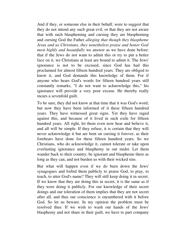And if they, or someone else in their behalf, were to suggest that they do not intend any such great evil, or that they are not aware that with such blaspheming and cursing they are blaspheming and cursing God the Father *alleging that though they blaspheme Jesus and us Christians, they nonetheless praise and honor God most highly and beautifully* we answer as we have done before: that if the Jews do not want to admit this or try to put a better face on it, we Christians at least are bound to admit it. The Jews' ignorance is not to be excused, since God has had this proclaimed for almost fifteen hundred years. They are obliged to know it, and God demands this knowledge of them. For if anyone who hears God's words for fifteen hundred years still constantly remarks, "I do not want to acknowledge this," his ignorance will provide a very poor excuse. He thereby really incurs a sevenfold guilt.

To be sure, they did not know at that time that it was God's word; but now they have been informed of it these fifteen hundred years. They have witnessed great signs. Yet they have raged against this, and because of it lived in such exile for fifteen hundred years. All right, let them even now hear and believe it, and all will be simple. If they refuse, it is certain that they will never acknowledge it but are bent on cursing it forever, as their forebears have done for these fifteen hundred years. So we Christians, who do acknowledge it, cannot tolerate or take upon everlasting ignorance and blasphemy in out midst. Let them wander back to their country, be ignorant and blaspheme there as long as they can, and not burden us with their wicked sins.

But what will happen even if we do burn down the Jews' synagogues and forbid them publicly to praise God, to pray, to teach, to utter God's name? They will still keep doing it in secret. If we know that they are doing this in secret, it is the same as if they were doing it publicly. For our knowledge of their secret doings and our toleration of them implies that they are not secret after all, and thus our conscience is encumbered with it before God. So let us beware. In my opinion the problem must be resolved thus: If we wish to wash our hands of the Jews' blasphemy and not share in their guilt, we have to part company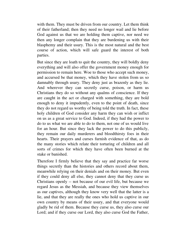with them. They must be driven from our country. Let them think of their fatherland; then they need no longer wail and lie before God against us that we are holding them captive, nor need we then any longer complain that they are burdening us with their blasphemy and their usury. This is the most natural and the best course of action, which will safe guard the interest of both parties.

But since they are loath to quit the country, they will boldly deny everything and will also offer the government money enough for permission to remain here. Woe to those who accept such money, and accursed be that money, which they have stolen from us so damnably through usury. They deny just as brazenly as they lie. And wherever they can secretly curse, poison, or harm us Christians they do so without any qualms of conscience. If they are caught in the act or charged with something, they are bold enough to deny it impudently, even to the point of death, since they do not regard us worthy of being told the truth. In fact, these holy children of God consider any harm they can wish or inflict on us as a great service to God. Indeed, if they had the power to do to us what we are able to do to them, not one of us would live for an hour. But since they lack the power to do this publicly, they remain our daily murderers and bloodthirsty foes in their hearts. Their prayers and curses furnish evidence of that, as do the many stories which relate their torturing of children and all sorts of crimes for which they have often been burned at the stake or banished.

Therefore I firmly believe that they say and practice far worse things secretly than the histories and others record about them, meanwhile relying on their denials and on their money. But even if they could deny all else, they cannot deny that they curse us Christians openly -- not because of our evil life, but because we regard Jesus as the Messiah, and because they view themselves as our captives, although they know very well that the latter is a lie, and that they are really the ones who hold us captive in our own country by means of their usury, and that everyone would gladly be rid of them. Because they curse us, they also curse our Lord; and if they curse our Lord, they also curse God the Father,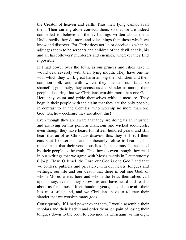the Creator of heaven and earth. Thus their lying cannot avail them. Their cursing alone convicts them, so that we are indeed compelled to believe all the evil things written about them. Undoubtedly they do more and viler things than those which we know and discover. For Christ does not lie or deceive us when he adjudges them to be serpents and children of the devil, that is, his and all his followers' murderers and enemies, wherever they find it possible.

If I had power over the Jews, as our princes and cities have, I would deal severely with their lying mouth. They have one lie with which they work great harm among their children and their common folk and with which they slander our faith so shameful y: namely, they accuse us and slander us among their people, declaring that we Christians worship more than one God. Here they vaunt and pride themselves without measure. They beguile their people with the claim that they are the only people, in contrast to an the Gentiles, who worship no more than one God. Oh, how cocksure they are about this!

Even though they are aware that they are doing us an injustice and are lying on this point as malicious and wicked scoundrels, even though they have heard for fifteen hundred years, and still hear, that an of us Christians disavow this, they still stuff their ears shut like serpents and deliberately refuse to hear us, but rather insist that their venomous lies about us must be accepted by their people as the truth. This they do even though they read in our writings that we agree with Moses' words in Deuteronomy 6 [:4]: "Hear, O Israel, the Lord our God is one God," and that we confess, publicly and privately, with our hearts, tongues and writings, our life and our death, that there is but one God, of whom Moses writes here and whom the Jews themselves call upon. I say, even if they know this and have heard and read it about us for almost fifteen hundred years, it is of no avail; their lies must still stand, and we Christians have to tolerate their slander that we worship many gods.

Consequently, if I had power over them, I would assemble their scholars and their leaders and order them, on pain of losing their tongues down to the root, to convince us Christians within eight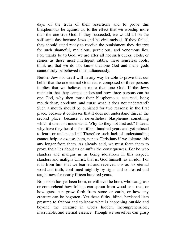days of the truth of their assertions and to prove this blasphemous lie against us, to the effect that we worship more than the one true God. If they succeeded, we would all on the self-same day become Jews and be circumcised. If they failed, they should stand ready to receive the punishment they deserve for such shameful, malicious, pernicious, and venomous lies. For, thanks be to God, we are after all not such ducks, clods, or stones as these most intelligent rabbis, these senseless fools, think us, that we do not know that one God and many gods cannot truly be believed in simultaneously.

Neither Jew nor devil will in any way be able to prove that our belief that the one eternal Godhead is composed of three persons implies that we believe in more than one God. If the Jews maintain that they cannot understand how three persons can be one God, why then must their blasphemous, accursed, lying mouth deny, condemn, and curse what it does not understand? Such a mouth should be punished for two reasons; in the first place, because it confesses that it does not understand this; in the second place, because it nevertheless blasphemes something which it does not understand. Why do they not first ask? Indeed, why have they heard it for fifteen hundred years and yet refused to learn or understand it? Therefore such lack of understanding cannot help or excuse them, nor us Christians if we tolerate this any longer from them. As already said, we must force them to prove their lies about us or suffer the consequences. For he who slanders and maligns us as being idolatrous in this respect, slanders and maligns Christ, that is, God himself, as an idol. For it is from him that we learned and received this as his eternal word and truth, confirmed mightily by signs and confessed and taught now for nearly fifteen hundred years.

No person has yet been born, or will ever be born, who can grasp or comprehend how foliage can sprout from wood or a tree, or how grass can grow forth from stone or earth, or how any creature can be begotten. Yet these filthy, blind, hardened liars presume to fathom and to know what is happening outside and beyond the creature in God's hidden, incomprehensible, inscrutable, and eternal essence. Though we ourselves can grasp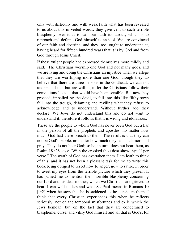only with difficulty and with weak faith what has been revealed to us about this in veiled words, they give vent to such terrible blasphemy over it as to call our faith idolatrous, which is to reproach and defame God himself as an idol. We are convinced of our faith and doctrine; and they, too, ought to understand it, having heard for fifteen hundred years that it is by God and from God through Jesus Christ.

If these vulgar people had expressed themselves more mildly and said, "The Christians worship one God and not many gods, and we are lying and doing the Christians an injustice when we allege that they are worshiping more than one God, though they do believe that there are three persons in the Godhead; we can not understand this but are willing to let the Christians follow their convictions," etc. -- that would have been sensible. But now they proceed, impelled by the devil, to fall into this like filthy sows fall into the trough, defaming and reviling what they refuse to acknowledge and to understand. Without further ado they declare: We Jews do not understand this and do not want to understand it; therefore it follows that it is wrong and idolatrous.

These are the people to whom God has never been God but a liar in the person of all the prophets and apostles, no matter how much God had these preach to them. The result is that they can not be God's people, no matter how much they teach, clamor, and pray. They do not hear God; so he, in turn, does not hear them, as Psalm 18 :26 says: "With the crooked thou dost show thyself per verse." The wrath of God has overtaken them. I am loath to think of this, and it has not been a pleasant task for me to write this book being obliged to resort now to anger, now to satire, in order to avert my eyes from the terrible picture which they present It has pained me to mention their horrible blasphemy concerning our Lord and his dear mother, which we Christians are grieved to hear. I can well understand what St. Paul means in Romans 10 [9:2] when he says that he is saddened as he considers them. I think that every Christian experiences this when he reflects seriously, not on the temporal misfortunes and exile which the Jews bemoan, but on the fact that they are condemned to blaspheme, curse, and vilify God himself and all that is God's, for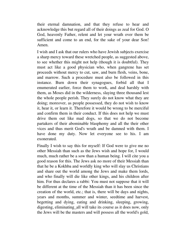their eternal damnation, and that they refuse to hear and acknowledge this but regard all of their doings as zeal for God. O God, heavenly Father, relent and let your wrath over them be sufficient and come to an end, for the sake of your dear Son! Amen.

I wish and I ask that our rulers who have Jewish subjects exercise a sharp mercy toward these wretched people, as suggested above, to see whether this might not help (though it is doubtful). They must act like a good physician who, when gangrene has set proceeds without mercy to cut, saw, and burn flesh, veins, bone, and marrow. Such a procedure must also be followed in this instance. Burn down their synagogues, forbid all that I enumerated earlier, force them to work, and deal harshly with them, as Moses did in the wilderness, slaying three thousand lest the whole people perish. They surely do not know what they are doing; moreover, as people possessed, they do not wish to know it, hear it, or learn it. Therefore it would be wrong to be merciful and confirm them in their conduct. If this does not help we must drive them out like mad dogs, so that we do not become partakers of their abominable blasphemy and all the their other vices and thus merit God's wrath and be damned with them. I have done my duty. Now let everyone see to his. I am exonerated.

Finally I wish to say this for myself: If God were to give me no other Messiah than such as the Jews wish and hope for, I would much, much rather be a sow than a human being. I will cite you a good reason for this. The Jews ask no more of their Messiah than that he be a Kokhba and worldly king who will slay us Christians and share out the world among the Jews and make them lords, and who finally will die like other kings, and his children after him. For thus declares a rabbi: You must not suppose that it will be different at the time of the Messiah than it has been since the creation of the world, etc.; that is, there will be days and nights, years and months, summer and winter, seedtime and harvest, begetting and dying, eating and drinking, sleeping, growing, digesting, eliminating\_all will take its course as it does now, only the Jews will be the masters and will possess all the world's gold,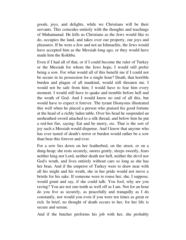goods, joys, and delights, while we Christians will be their servants. This coincides entirely with the thoughts and teachings of Muhamunad. He kills us Christians as the Jews would like to do, occupies the land, and takes over our property, our joys and pleasures. If he were a Jew and not an Ishmaelite, the Jews would have accepted him as the Messiah long ago, or they would have made him the Kokhba.

Even if I had all of that, or if I could become the ruler of Turkey or the Messiah for whom the Jews hope, I would still prefer being a sow. For what would all of this benefit me if I could not be secure in its possession for a single hour? Death, that horrible burden and plague of all mankind, would still threaten me. I would not be safe from him; I would have to fear him every moment. I would still have to quake and tremble before hell and the wrath of God. And I would know no end of all this, but would have to expect it forever. The tyrant Dionysius illustrated this well when he placed a person who praised his good fortune at the head of a richly laden table. Over his head he suspended an unsheathed sword attached to a silk thread, and below him he put a redhot fire, saying: Eat and be merry, etc. That is the sort of joy such a Messiah would dispense. And I know that anyone who has ever tasted of death's terror or burden would rather be a sow than bear this forever and ever.

For a sow lies down on her featherbed, on the street, or on a dung-heap; she rests securely, snores gently, sleeps sweetly, fears neither king nor Lord, neither death nor hell, neither the devil nor God's wrath, and lives entirely without care so long as she has her bran. And if the emperor of Turkey were to draw near with all his might and his wrath, she in her pride would not move a bristle for his sake. If someone were to rouse her, she, I suppose, would grunt and say, if she could talk: You fool, why are you raving? You are not one-tenth as well off as I am. Not for an hour do you live as securely, as peacefully and tranquilly as I do constantly, nor would you even if you were ten times as great or rich. In brief, no thought of death occurs to her, for her life is secure and serene.

And if the butcher performs his job with her, she probably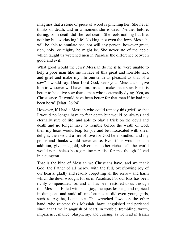imagines that a stone or piece of wood is pinching her. She never thinks of death, and in a moment she is dead. Neither before, during, or in death did she feel death. She feels nothing but life, nothing but everlasting life! No king, not even the Jews' Messiah, will be able to emulate her, nor will any person, however great, rich, holy, or mighty he might be. She never ate of the apple which taught us wretched men in Paradise the difference between good and evil.

What good would the Jews' Messiah do me if he were unable to help a poor man like me in face of this great and horrible lack and grief and make my life one-tenth as pleasant as that of a sow? I would say: Dear Lord God, keep your Messiah, or give him to whoever will have him. Instead, make me a sow. For it is better to be a live sow than a man who is eternally dying. Yea, as Christ says: "It would have been better for that man if he had not been born" [Matt. 26:24].

However, if I had a Messiah who could remedy this grief, so that I would no longer have to fear death but would be always and eternally sure of life, and able to play a trick on the devil and death and no longer have to tremble before the wrath of God, then my heart would leap for joy and be intoxicated with sheer delight; then would a fire of love for God be enkindled, and my praise and thanks would never cease. Even if he would not, in addition, give me gold, silver, and other riches, all the world would nonetheless be a genuine paradise for me, though I lived in a dungeon.

That is the kind of Messiah we Christians have, and we thank God, the Father of all mercy, with the full, overflowing joy of our hearts, gladly and readily forgetting all the sorrow and harm which the devil wrought for us in Paradise. For our loss has been richly compensated for, and all has been restored to us through this Messiah. Filled with such joy, the apostles sang and rejoiced in dungeons and amid all misfortunes as did even young girls, such as Agatha, Lucia, etc. The wretched Jews, on the other hand, who rejected this Messiah, have languished and perished since that time in anguish of heart, in trouble, trembling, wrath, impatience, malice, blasphemy, and cursing, as we read in Isaiah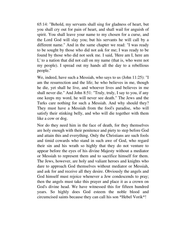65:14: "Behold, my servants shall sing for gladness of heart, but you shall cry out for pain of heart, and shall wail for anguish of spirit. You shall leave your name to my chosen for a curse, and the Lord God will slay you; but his servants he will call by a different name." And in the same chapter we read: "I was ready to be sought by those who did not ask for me; I was ready to be found by those who did not seek me. I said, 'Here am I, here am I,' to a nation that did not call on my name (that is, who were not my people). I spread out my hands all the day to a rebellious people."

We, indeed, have such a Messiah, who says to us (John 11:25): "I am the resurrection and the life; he who believes in me, though he die, yet shall he live, and whoever lives and believes in me shall never die." And John 8:51: "Truly, truly, I say to you, if any one keeps my word, he will never see death." The Jews and the Turks care nothing for such a Messiah. And why should they? They must have a Messiah from the fool's paradise, who will satisfy their stinking belly, and who will die together with them like a cow or dog.

Nor do they need him in the face of death, for they themselves are holy enough with their penitence and piety to step before God and attain this and everything. Only the Christians are such fools and timid cowards who stand in such awe of God, who regard their sin and his wrath so highly that they do not venture to appear before the eyes of his divine Majesty without a mediator or Messiah to represent them and to sacrifice himself for them. The Jews, however, are holy and valiant heroes and knights who dare to approach God themselves without mediator or Messiah, and ask for and receive all they desire. Obviously the angels and God himself must rejoice whenever a Jew condescends to pray; then the angels must take this prayer and place it as a crown on God's divine head. We have witnessed this for fifteen hundred years. So highly does God esteem the noble blood and circumcised saints because they can call his son \*Hebel Vorik\*!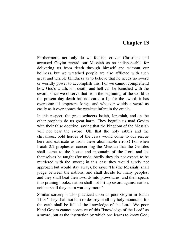## <span id="page-160-0"></span>[Chapter 13](#page-160-0)

Furthermore, not only do we foolish, craven Christians and accursed Goyim regard our Messiah as so indispensable for delivering us from death through himself and without our holiness, but we wretched people are also afflicted with such great and terrible blindness as to believe that he needs no sword or worldly power to accomplish this. For we cannot comprehend how God's wrath, sin, death, and hell can be banished with the sword, since we observe that from the beginning of the world to the present day death has not cared a fig for the sword; it has overcome all emperors, kings, and whoever wields a sword as easily as it over comes the weakest infant in the cradle.

In this respect, the great seducers Isaiah, Jeremiah, and an the other prophets do us great harm. They beguile us mad Goyim with their false doctrine, saying that the kingdom of the Messiah will not bear the sword. Oh, that the holy rabbis and the chivalrous, bold heroes of the Jews would come to our rescue here and extricate us from these abominable errors! For when Isaiah 2:2 prophesies concerning the Messiah that the Gentiles shall come to the house and mountain of the Lord and let themselves be taught (for undoubtedly they do not expect to be murdered with the sword; in this case they would surely not approach but would stay away), he says: "He (the Messiah) shall judge between the nations, and shall decide for many peoples; and they shall beat their swords into plowshares, and their spears into pruning hooks; nation shall not lift up sword against nation, neither shall they learn war any more."

Similar sorcery is also practiced upon us poor Goyim in Isaiah 11:9: "They shall not hurt or destroy in all my holy mountain; for the earth shall be full of the knowledge of the Lord. We poor blind Goyim cannot conceive of this "knowledge of the Lord" as a sword, but as the instruction by which one learns to know God;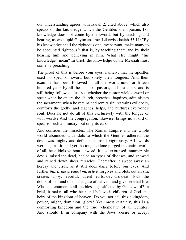our understanding agrees with Isaiah 2, cited above, which also speaks of the knowledge which the Gentiles shall pursue. For knowledge does not come by the sword, but by teaching and hearing, as we stupid Goyim assume. Likewise Isaiah 53:11: "By his knowledge shall the righteous one, my servant, make many to be accounted righteous"; that is, by teaching them and by their hearing him and believing in him. What else might "his knowledge" mean? In brief, the knowledge of the Messiah must come by preaching.

The proof of this is before your eyes, namely, that the apostles used no spear or sword but solely their tongues. And their example has been followed in all the world now for fifteen hundred years by all the bishops, pastors, and preachers, and is still being followed. Just see whether the pastor wields sword or spear when he enters the church, preaches, baptizes, administers the sacrament, when he retains and remits sin, restrains evildoers, comforts the godly, and teaches, helps, and nurtures everyone's soul. Does he not do all of this exclusively with the tongue or with words? And the congregation, likewise, brings no sword or spear to such a ministry, but only its ears.

And consider the miracles. The Roman Empire and the whole world abounded with idols to which the Gentiles adhered; the devil was mighty and defended himself vigorously. All swords were against it, and yet the tongue alone purged the entire world of all these idols without a sword. It also exorcised innumerable devils, raised the dead, healed an types of diseases, and snowed and rained down sheer miracles. Thereafter it swept away an heresy and error, as it still does daily before our eyes. And further *this is the greatest miracle* it forgives and blots out all sin, creates happy, peaceful, patient hearts, devours death, locks the doors of hell and opens the gate of heaven, and gives eternal life. Who can enumerate all the blessings effected by God's word? In brief, it makes all who hear and believe it children of God and heirs of the kingdom of heaven. Do you not call this a kingdom, power, might, dominion, glory? Yes, most certainly, this is a comforting kingdom and the true \*chemdath\* of all Gentiles. And should I, in company with the Jews, desire or accept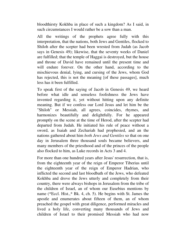bloodthirsty Kokhba in place of such a kingdom? As I said, in such circumstances I would rather be a sow than a man.

All the writings of the prophets agree fully with this interpretation, that the nations, both Jews and Gentiles, flocked to Shiloh after the scepter had been wrested from Judah (as Jacob says in Genesis 49); likewise, that the seventy weeks of Daniel are fulfilled; that the temple of Haggai is destroyed, but the house and throne of David have remained until the present time and will endure forever. On the other hand, according to the mischievous denial, lying, and cursing of the Jews, whom God has rejected, this is not the meaning [of these passages], much less has it been fulfilled.

To speak first of the saying of Jacob in Genesis 49, we heard before what idle and senseless foolishness the Jews have invented regarding it, yet without hitting upon any definite meaning. But if we confess our Lord Jesus and let him be the "Shiloh" or Messiah, all agrees, coincides, rhymes, and harmonizes beautifully and delightfully. For he appeared promptly on the scene at the time of Herod, after the scepter had departed from Judah. He initiated his rule of peace without a sword, as Isaiah and Zechariah had prophesied, and an the nations gathered about him *both Jews and Gentiles* so that on one day in Jerusalem three thousand souls became believers, and many members of the priesthood and of the princes of the people also flocked to him, as Luke records in Acts 3 and 4.

For more than one hundred years after Jesus' resurrection, that is, from the eighteenth year of the reign of Emperor Tiberius until the eighteenth year of the reign of Emperor Hadrian, who inflicted the second and last bloodbath of the Jews, who defeated Kokhba and drove the Jews utterly and completely from their country, there were always bishops in Jerusalem from the tribe of the children of Israel, an of whom our Eusebius mentions by name (\*Eccl. Hist.,\* Bk. 4, ch. 5). He begins with St. James the apostle and enumerates about fifteen of them, an of whom preached the gospel with great diligence, performed miracles and lived a holy life, converting many thousands of Jews and children of Israel to their promised Messiah who had now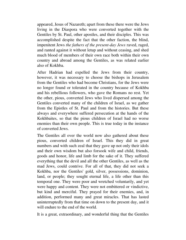appeared, Jesus of Nazareth; apart from these there were the Jews living in the Diaspora who were converted together with the Gentiles by St. Paul, other apostles, and their disciples. This was accomplished despite the fact that the other faction, the blind, impenitent Jews *the fathers of the present-day Jews* raved, raged, and ranted against it without letup and without ceasing, and shed much blood of members of their own race both within their own country and abroad among the Gentiles, as was related earlier also of Kokhba.

After Hadrian had expelled the Jews from their country, however, it was necessary to choose the bishops in Jerusalem from the Gentiles who had become Christians, for the Jews were no longer found or tolerated in the country because of Kokhba and his rebellious followers, who gave the Romans no rest. Yet the other, pious, converted Jews who lived dispersed among the Gentiles converted many of the children of Israel, as we gather from the Epistles of St. Paul and from the histories. But these always and everywhere suffered persecution at the hands of the Kokhbaites, so that the pious children of Israel had no worse enemies than their own people. This is true today in the instance of converted Jews.

The Gentiles all over the world now also gathered about these pious, converted children of Israel. This they did in great numbers and with such zeal that they gave up not only their idols and their own wisdom but also forsook wife and child, friends, goods and honor, life and limb for the sake of it. They suffered everything that the devil and all the other Gentiles, as well as the mad Jews, could contrive. For all of that, they did not seek a Kokhba, nor the Gentiles' gold, silver, possessions, dominion, land, or people; they sought eternal life, a life other than this temporal one. They were poor and wretched voluntarily, and yet were happy and content. They were not embittered or vindictive, but kind and merciful. They prayed for their enemies, and, in addition, performed many and great miracles. That has lasted uninterruptedly from that time on down to the present day, and it will endure to the end of the world.

It is a great, extraordinary, and wonderful thing that the Gentiles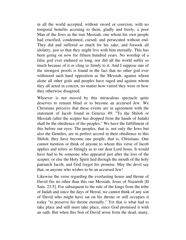in all the world accepted, without sword or coercion, with no temporal benefits accruing to them, gladly and freely, a poor Man of the Jews as the true Messiah, one whom his own people had crucified, condemned, cursed, and persecuted without end. They did and suffered so much for his sake, and forsook all idolatry, just so that they might live with him eternally. This has been going on now for fifteen hundred years. No worship of a false god ever endured so long, nor did all the world suffer so much because of it or cling so firmly to it. And I suppose one of the strongest proofs is found in the fact that no other god ever withstood such hard opposition as the Messiah, against whom alone all other gods and peoples have raged and against whom they all acted in concert, no matter how varied they were or how they otherwise disagreed.

Whoever is not moved by this miraculous spectacle quite deserves to remain blind or to become an accursed Jew. We Christians perceive that these events are in agreement with the statement of Jacob found in Genesis 49: "To the Shiloh or Messiah (after the scepter has dropped from the hands of Judah) shall be the obedience of the peoples." We have the fulfillment of this before our eyes: The peoples, that is, not only the Jews but also the Gentiles, are in perfect accord in their obedience to this Shiloh; they have become one people, that is, Christians. One cannot mention or think of anyone to whom this verse of Jacob applies and refers so fittingly as to our dear Lord Jesus. It would have had to be someone who appeared just after the loss of the scepter, or else the Holy Spirit lied through the mouth of the holy patriarch Jacob, and God forgot his promise. May the devil say that, or anyone who wishes to be an accursed Jew!

Likewise the verse regarding the everlasting house and throne of David fits no other than this our Messiah, Jesus of Nazareth [II Sam. 23:5]. For subsequent to the rule of the kings from the tribe of Judah and since the days of Herod, we cannot think of any son of David who might have sat on his throne or still occupies it today "to preserve his throne eternally." Yet that is what had to take place and still must take place, since God promised it with an oath. But when this Son of David arose from the dead, many,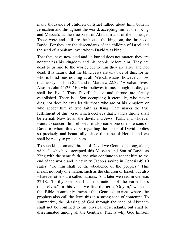many thousands of children of Israel rallied about him, both in Jerusalem and throughout the world, accepting him as their King and Messiah, as the true Seed of Abraham and of their lineage. These were and still are the house, the kingdom, the throne of David. For they are the descendants of the children of Israel and the seed of Abraham, over whom David was king.

That they have now died and lie buried does not matter; they are nonetheless his kingdom and his people before him. They are dead to us and to the world, but to him they are alive and not dead. It is natural that the blind Jews are unaware of this; for he who is blind sees nothing at all. We Christians, however, know that he says in John 8:56 and in Matthew 22:32: "Abraham lives. Also in John 11:25: "He who believes in me, though he die, yet shall he live." Thus David's house and throne are firmly established. There is a Son occupying it eternally, who never dies, nor does he ever let die those who are of his kingdom or who accept him in true faith as King. That marks the true fulfillment of this verse which declares that David's throne shall be eternal. Now let all the devils and Jews, Turks and whoever wants to concern himself with it also name one or more sons of David to whom this verse regarding the house of David applies so precisely and beautifully, since the time of Herod, and we shall be ready to praise them.

To such kingdom and throne of David we Gentiles belong, along with all who have accepted this Messiah and Son of David as King with the same faith, and who continue to accept him to the end of the world and in eternity. Jacob's saying in Genesis 49:10 states: "To him shall be the obedience of the peoples." This means not only one nation, such as the children of Israel, but also whatever others are called nations. And later we read in Genesis  $22:18$ : "In thy seed shall all the nations of the earth bless themselves." In this verse we find the term "Goyim," which in the Bible commonly means the Gentiles, except where the prophets also call the Jews this in a strong tone of contempt. To summarize, the blessing of God through the seed of Abraham shall not be confined to his physical descendants, but shall be disseminated among all the Gentiles. That is why God himself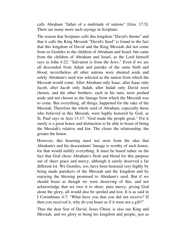calls Abraham "father of a multitude of nations" [Gen. 17:5]. There are many more such sayings in Scripture.

The reason that Scripture calls this kingdom "David's throne" and that it calls the King Messiah "David's Seed" is found in the fact that this kingdom of David and the King Messiah did not come from us Gentiles to the children of Abraham and Israel, but came from the children of Abraham and Israel, as the Lord himself says in John 4:22: "Salvation is from the Jews." Even if we are all descended from Adam and partake of the same birth and blood, nevertheless all other nations were shunted aside and solely Abraham's seed was selected as the nation from which the Messiah would come. After Abraham only Isaac, after Isaac only Jacob, after Jacob only Judah, after Judah only David were chosen, and the other brothers, each in his turn, were pushed aside and not chosen as the lineage from which the Messiah was to come. But everything, all things, happened for the sake of the Messiah. Therefore the whole seed of Abraham, especially those who believed in this Messiah, were highly honored by God, as St. Paul says in Acts 13:17: "God made the people great." For it surely is a great honor and distinction to be able to boast of being the Messiah's relative and kin. The closer the relationship, the greater the honor.

However, this boasting must not stem from the idea that Abraham's and his descendants' lineage is worthy of such honor; for that would nullify everything. It must be based rather on the fact that God chose Abraham's flesh and blood for this purpose out of sheer grace and mercy, although it surely deserved a far different lot. We Gentiles, too, have been honored very highly by being made partakers of the Messiah and the kingdom and by enjoying the blessing promised to Abraham's seed. But if we should boast as though we were deserving of this, and not acknowledge that we owe it to sheer, pure mercy, giving God alone the glory, all would also be spoiled and lost. It is as said in I Corinthians 4:7: "What have you that you did not receive? If then you received it, why do you boast as if it were not a gift?"

Thus the dear Son of David, Jesus Christ, is also our King and Messiah, and we glory in being his kingdom and people, just as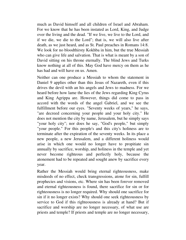much as David himself and all children of Israel and Abraham. For we know that he has been instated as Lord, King, and Judge over the living and the dead. "If we live, we live to the Lord, and if we die, we die to the Lord"; that is, we will also live after death, as we just heard, and as St. Paul preaches in Romans 14:8. We look for no bloodthirsty Kokhba in him, but the true Messiah who can give life and salvation. That is what is meant by a son of David sitting on his throne eternally. The blind Jews and Turks know nothing at all of this. May God have mercy on them as he has had and will have on us. Amen.

Neither can one produce a Messiah to whom the statement in Daniel 9 applies other than this Jesus of Nazareth, even if this drives the devil with an his angels and Jews to madness. For we heard before how lame the lies of the Jews regarding King Cyrus and King Agrippa are. However, things did come to pass in accord with the words of the angel Gabriel, and we see the fulfillment before our eyes. "Seventy weeks of years," he says, "are decreed concerning your people and your holy city." He does not mention the city by name, Jerusalem, but he simply says "your holy city"; nor does he say, "God's people," but simply "your people." For this people's and this city's holiness are to terminate after the expiration of the seventy weeks. In its place a new people, a new Jerusalem, and a different holiness would arise in which one would no longer have to propitiate sin annually by sacrifice, worship, and holiness in the temple and yet never become righteous and perfectly holy, because the atonement had to be repeated and sought anew by sacrifice every year.

Rather the Messiah would bring eternal righteousness, make misdeeds of no effect, check transgressions, atone for sin, fulfill prophecies and visions, etc. Where sin has been forever removed and eternal righteousness is found, there sacrifice for sin or for righteousness is no longer required. Why should one sacrifice for sin if it no longer exists? Why should one seek righteousness by service to God if this righteousness is already at hand? But if sacrifice and worship are no longer necessary, of what use are priests and temple? If priests and temple are no longer necessary,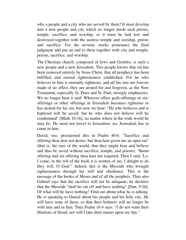why a people and a city who are served by them? It must develop into a new people and city which no longer needs such priests, temple, sacrifice, and worship, or it must be laid low and destroyed together with the useless temple and worship, priests and sacrifice. For the seventy weeks pronounce the final judgment and put an end to them together with city and temple, priests, sacrifice, and worship.

The Christian church, composed of Jews and Gentiles, is such a new people and a new Jerusalem. This people knows that sin has been removed entirely by Jesus Christ, that all prophecy has been fulfilled, and eternal righteousness established. For he who believes in him is eternally righteous, and all his sins are forever made of no effect, they are atoned for and forgiven, as the New Testament, especially St. Peter and St. Paul, strongly emphasizes. We no longer hear it said: Whoever offers guilt-offerings or sinofferings or other offerings in Jerusalem becomes righteous or has atoned for his sin; but now we hear: "He who believes and is baptized will be saved; but he who does not believe will be condemned" [Mark 16:16], no matter where in the wide world he may be. He need not travel to Jerusalem; no, Jerusalem has to come to him.

David, too, proclaimed this in Psalm 40:6: "Sacrifice and offering thou dost not desire; but thou hast given me an open ear" (that is, the ears of the world, that they might hear and believe and thus be saved without sacrifice, temple, and priests). "Burnt offering and sin offering thou hast not required. Then I said, 'Lo, I come; in the roll of the book it is written of me; I delight to do they will, O God.'" Indeed, this is the Messiah who brought righteousness through his will and obedience. This is the message of the books of Moses and of all the prophets. Thus also Gabriel says that the sacrifice will not be adequate; he declares that the Messiah "shall be cut off and have nothing" [Dan. 9:26]. Of what will he have nothing? Find out about what he is talking. He is speaking to Daniel about his people and his holy city. He will have none of these, so that their holiness will no longer be with him and in him. Thus Psalm 16:4 says: "I do not want their libations of blood, nor will I take their names upon my lips."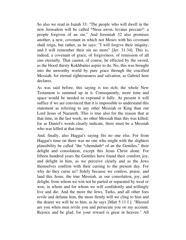So also we read in Isaiah 33: "The people who will dwell in the new Jerusalem will be called \*Nesu awon, levatus peccato\*: a people forgiven of an sin." And Jeremiah 32 also promises another, a new, covenant in which not Moses with his covenant shall reign, but rather, as he says: "I will forgive their iniquity, and I will remember their sin no more" [Jer. 31:34]. This is, indeed, a covenant of grace, of forgiveness, of remission of all sins eternally. That cannot, of course, be effected by the sword, as the blood thirsty Kokhbaites aspire to do. No, this was brought into the unworthy world by pure grace through the crucified Messiah, for eternal righteousness and salvation, as Gabriel here declares.

As was said before, this saying is too rich; the whole New Testament is summed up in it. Consequently, more time and space would be needed to expound it fully. At present it will suffice if we are convinced that it is impossible to understand this statement as referring to any other Messiah or King than our Lord Jesus of Nazareth. This is true also for the reason that at that time, in the last week; no other Messiah than this was killed; for as Daniel's words clearly indicate, there must be a Messiah who was killed at that time.

And, finally, also Haggai's saying fits no one else. For from Haggai's time on there was no one who might with the slightest plausibility be called "the \*chemdath\* of an the Gentiles," their delight and consolation, except this Jesus Christ alone. For fifteen hundred years the Gentiles have found their comfort, joy, and delight in him, as we perceive clearly and as the Jews themselves confirm with their cursing to the present day. For why do they curse us? Solely because we confess, praise, and laud this Jesus, the true Messiah, as our consolation, joy, and delight, from whom we win not he parted or separated by weal or woe, in whom and for whom we will confidently and willingly live and die. And the more the Jews, Turks, and all other foes revile and defame him, the more firmly will we cling to him and the dearer we will be to him, as he says [Matt 5:11 f.]: "Blessed are you when men revile you and persecute you on my account. Rejoice and be glad, for your reward is great in heaven." All